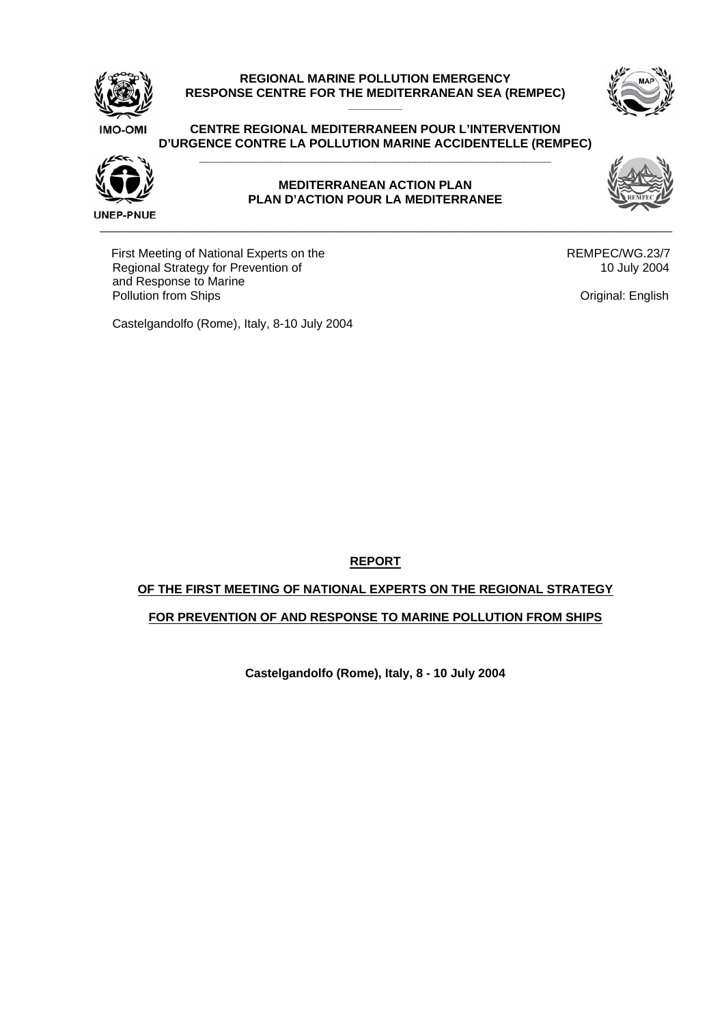

# **REGIONAL MARINE POLLUTION EMERGENCY**  RESPONSE CENTRE FOR THE MEDITERRANEAN SEA (REMPEC)



#### **CENTRE REGIONAL MEDITERRANEEN POUR L'INTERVENTION D'URGENCE CONTRE LA POLLUTION MARINE ACCIDENTELLE (REMPEC) \_\_\_\_\_\_\_\_\_\_\_\_\_\_\_\_\_\_\_\_\_\_\_\_\_\_\_\_\_\_\_\_\_\_\_\_\_\_\_\_\_\_\_\_\_\_\_\_\_\_\_\_**



## **MEDITERRANEAN ACTION PLAN PLAN D'ACTION POUR LA MEDITERRANEE**

 $\overline{a}$  , and the state of the state of the state of the state of the state of the state of the state of the state of the state of the state of the state of the state of the state of the state of the state of the state o

First Meeting of National Experts on the Regional Strategy for Prevention of and Response to Marine Pollution from Ships

 REMPEC/WG.23/7 10 July 2004

Original: English

Castelgandolfo (Rome), Italy, 8-10 July 2004

**REPORT**

# **OF THE FIRST MEETING OF NATIONAL EXPERTS ON THE REGIONAL STRATEGY**

# **FOR PREVENTION OF AND RESPONSE TO MARINE POLLUTION FROM SHIPS**

**Castelgandolfo (Rome), Italy, 8 - 10 July 2004**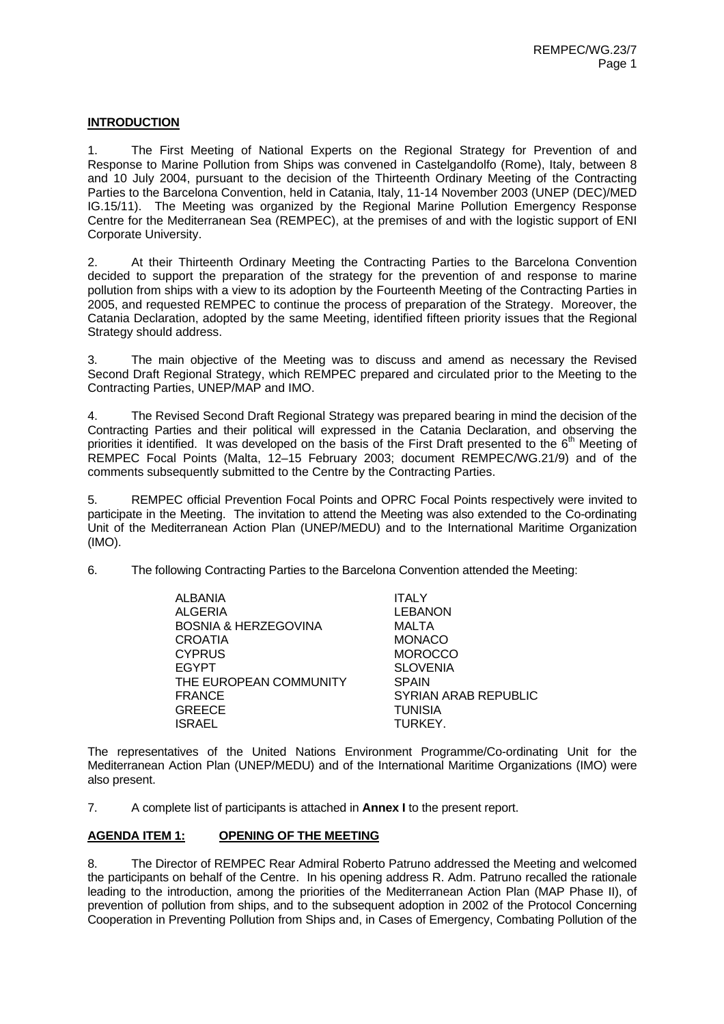# **INTRODUCTION**

1. The First Meeting of National Experts on the Regional Strategy for Prevention of and Response to Marine Pollution from Ships was convened in Castelgandolfo (Rome), Italy, between 8 and 10 July 2004, pursuant to the decision of the Thirteenth Ordinary Meeting of the Contracting Parties to the Barcelona Convention, held in Catania, Italy, 11-14 November 2003 (UNEP (DEC)/MED IG.15/11). The Meeting was organized by the Regional Marine Pollution Emergency Response Centre for the Mediterranean Sea (REMPEC), at the premises of and with the logistic support of ENI Corporate University.

2. At their Thirteenth Ordinary Meeting the Contracting Parties to the Barcelona Convention decided to support the preparation of the strategy for the prevention of and response to marine pollution from ships with a view to its adoption by the Fourteenth Meeting of the Contracting Parties in 2005, and requested REMPEC to continue the process of preparation of the Strategy. Moreover, the Catania Declaration, adopted by the same Meeting, identified fifteen priority issues that the Regional Strategy should address.

3. The main objective of the Meeting was to discuss and amend as necessary the Revised Second Draft Regional Strategy, which REMPEC prepared and circulated prior to the Meeting to the Contracting Parties, UNEP/MAP and IMO.

4. The Revised Second Draft Regional Strategy was prepared bearing in mind the decision of the Contracting Parties and their political will expressed in the Catania Declaration, and observing the priorities it identified. It was developed on the basis of the First Draft presented to the  $6<sup>th</sup>$  Meeting of REMPEC Focal Points (Malta, 12–15 February 2003; document REMPEC/WG.21/9) and of the comments subsequently submitted to the Centre by the Contracting Parties.

5. REMPEC official Prevention Focal Points and OPRC Focal Points respectively were invited to participate in the Meeting. The invitation to attend the Meeting was also extended to the Co-ordinating Unit of the Mediterranean Action Plan (UNEP/MEDU) and to the International Maritime Organization (IMO).

6. The following Contracting Parties to the Barcelona Convention attended the Meeting:

| ALBANIA                | <b>ITALY</b>         |
|------------------------|----------------------|
| <b>ALGERIA</b>         | <b>LEBANON</b>       |
| BOSNIA & HERZEGOVINA   | MALTA                |
| <b>CROATIA</b>         | <b>MONACO</b>        |
| <b>CYPRUS</b>          | <b>MOROCCO</b>       |
| <b>EGYPT</b>           | <b>SLOVENIA</b>      |
| THE EUROPEAN COMMUNITY | <b>SPAIN</b>         |
| <b>FRANCE</b>          | SYRIAN ARAB REPUBLIC |
| <b>GREECE</b>          | <b>TUNISIA</b>       |
| ISRAEL                 | TURKEY.              |

The representatives of the United Nations Environment Programme/Co-ordinating Unit for the Mediterranean Action Plan (UNEP/MEDU) and of the International Maritime Organizations (IMO) were also present.

7. A complete list of participants is attached in **Annex I** to the present report.

# **AGENDA ITEM 1: OPENING OF THE MEETING**

8. The Director of REMPEC Rear Admiral Roberto Patruno addressed the Meeting and welcomed the participants on behalf of the Centre. In his opening address R. Adm. Patruno recalled the rationale leading to the introduction, among the priorities of the Mediterranean Action Plan (MAP Phase II), of prevention of pollution from ships, and to the subsequent adoption in 2002 of the Protocol Concerning Cooperation in Preventing Pollution from Ships and, in Cases of Emergency, Combating Pollution of the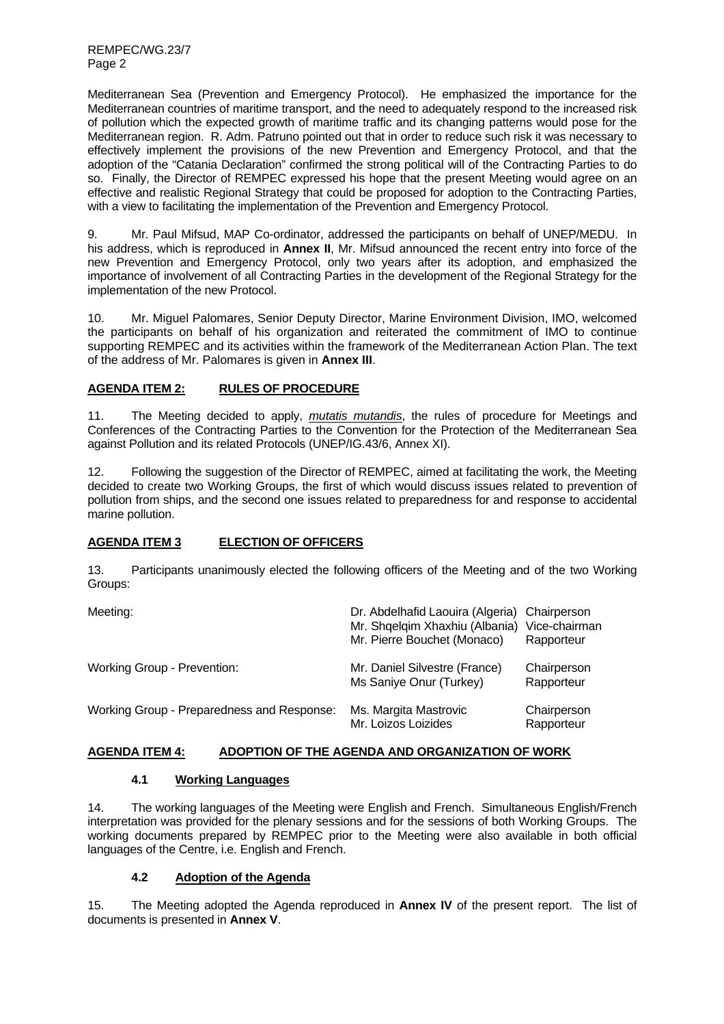REMPEC/WG.23/7 Page 2

Mediterranean Sea (Prevention and Emergency Protocol). He emphasized the importance for the Mediterranean countries of maritime transport, and the need to adequately respond to the increased risk of pollution which the expected growth of maritime traffic and its changing patterns would pose for the Mediterranean region. R. Adm. Patruno pointed out that in order to reduce such risk it was necessary to effectively implement the provisions of the new Prevention and Emergency Protocol, and that the adoption of the "Catania Declaration" confirmed the strong political will of the Contracting Parties to do so. Finally, the Director of REMPEC expressed his hope that the present Meeting would agree on an effective and realistic Regional Strategy that could be proposed for adoption to the Contracting Parties, with a view to facilitating the implementation of the Prevention and Emergency Protocol.

9. Mr. Paul Mifsud, MAP Co-ordinator, addressed the participants on behalf of UNEP/MEDU. In his address, which is reproduced in **Annex II**, Mr. Mifsud announced the recent entry into force of the new Prevention and Emergency Protocol, only two years after its adoption, and emphasized the importance of involvement of all Contracting Parties in the development of the Regional Strategy for the implementation of the new Protocol.

10. Mr. Miguel Palomares, Senior Deputy Director, Marine Environment Division, IMO, welcomed the participants on behalf of his organization and reiterated the commitment of IMO to continue supporting REMPEC and its activities within the framework of the Mediterranean Action Plan. The text of the address of Mr. Palomares is given in **Annex III**.

# **AGENDA ITEM 2: RULES OF PROCEDURE**

11. The Meeting decided to apply, *mutatis mutandis*, the rules of procedure for Meetings and Conferences of the Contracting Parties to the Convention for the Protection of the Mediterranean Sea against Pollution and its related Protocols (UNEP/IG.43/6, Annex XI).

12. Following the suggestion of the Director of REMPEC, aimed at facilitating the work, the Meeting decided to create two Working Groups, the first of which would discuss issues related to prevention of pollution from ships, and the second one issues related to preparedness for and response to accidental marine pollution.

# **AGENDA ITEM 3 ELECTION OF OFFICERS**

13. Participants unanimously elected the following officers of the Meeting and of the two Working Groups:

| Meeting:                                   | Dr. Abdelhafid Laouira (Algeria)<br>Mr. Shqelqim Xhaxhiu (Albania)<br>Mr. Pierre Bouchet (Monaco) | Chairperson<br>Vice-chairman<br>Rapporteur |
|--------------------------------------------|---------------------------------------------------------------------------------------------------|--------------------------------------------|
| Working Group - Prevention:                | Mr. Daniel Silvestre (France)<br>Ms Saniye Onur (Turkey)                                          | Chairperson<br>Rapporteur                  |
| Working Group - Preparedness and Response: | Ms. Margita Mastrovic<br>Mr. Loizos Loizides                                                      | Chairperson<br>Rapporteur                  |

# **AGENDA ITEM 4: ADOPTION OF THE AGENDA AND ORGANIZATION OF WORK**

# **4.1 Working Languages**

14. The working languages of the Meeting were English and French. Simultaneous English/French interpretation was provided for the plenary sessions and for the sessions of both Working Groups. The working documents prepared by REMPEC prior to the Meeting were also available in both official languages of the Centre, i.e. English and French.

# **4.2 Adoption of the Agenda**

15. The Meeting adopted the Agenda reproduced in **Annex IV** of the present report. The list of documents is presented in **Annex V**.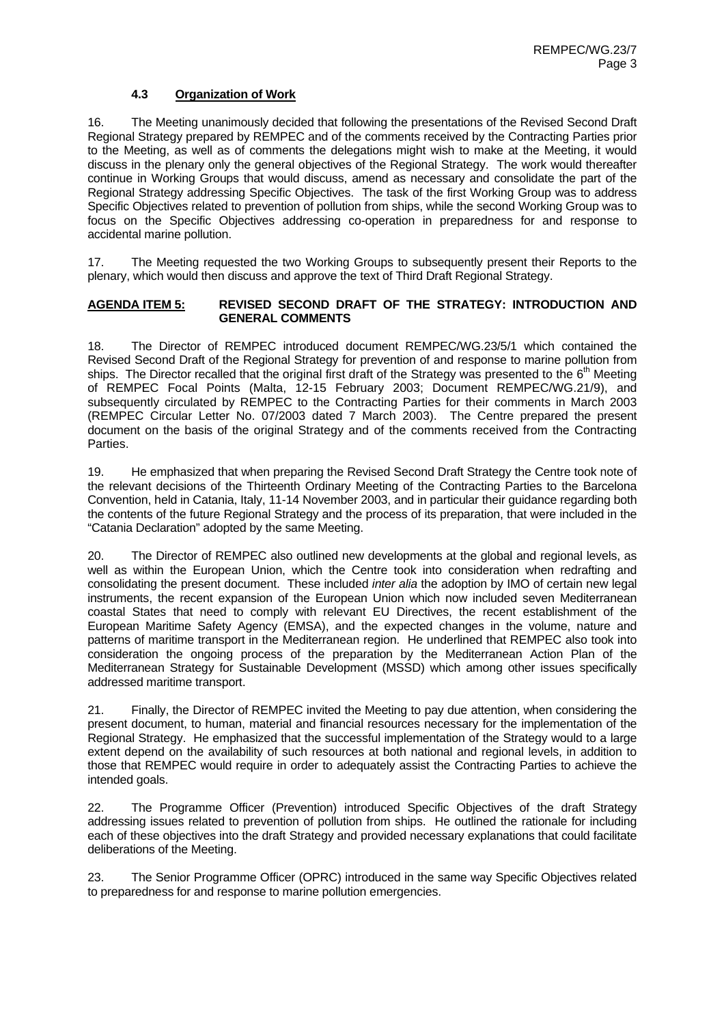# **4.3 Organization of Work**

16. The Meeting unanimously decided that following the presentations of the Revised Second Draft Regional Strategy prepared by REMPEC and of the comments received by the Contracting Parties prior to the Meeting, as well as of comments the delegations might wish to make at the Meeting, it would discuss in the plenary only the general objectives of the Regional Strategy. The work would thereafter continue in Working Groups that would discuss, amend as necessary and consolidate the part of the Regional Strategy addressing Specific Objectives. The task of the first Working Group was to address Specific Objectives related to prevention of pollution from ships, while the second Working Group was to focus on the Specific Objectives addressing co-operation in preparedness for and response to accidental marine pollution.

17. The Meeting requested the two Working Groups to subsequently present their Reports to the plenary, which would then discuss and approve the text of Third Draft Regional Strategy.

## **AGENDA ITEM 5: REVISED SECOND DRAFT OF THE STRATEGY: INTRODUCTION AND GENERAL COMMENTS**

18. The Director of REMPEC introduced document REMPEC/WG.23/5/1 which contained the Revised Second Draft of the Regional Strategy for prevention of and response to marine pollution from ships. The Director recalled that the original first draft of the Strategy was presented to the  $6<sup>th</sup>$  Meeting of REMPEC Focal Points (Malta, 12-15 February 2003; Document REMPEC/WG.21/9), and subsequently circulated by REMPEC to the Contracting Parties for their comments in March 2003 (REMPEC Circular Letter No. 07/2003 dated 7 March 2003). The Centre prepared the present document on the basis of the original Strategy and of the comments received from the Contracting Parties.

19. He emphasized that when preparing the Revised Second Draft Strategy the Centre took note of the relevant decisions of the Thirteenth Ordinary Meeting of the Contracting Parties to the Barcelona Convention, held in Catania, Italy, 11-14 November 2003, and in particular their guidance regarding both the contents of the future Regional Strategy and the process of its preparation, that were included in the "Catania Declaration" adopted by the same Meeting.

20. The Director of REMPEC also outlined new developments at the global and regional levels, as well as within the European Union, which the Centre took into consideration when redrafting and consolidating the present document. These included *inter alia* the adoption by IMO of certain new legal instruments, the recent expansion of the European Union which now included seven Mediterranean coastal States that need to comply with relevant EU Directives, the recent establishment of the European Maritime Safety Agency (EMSA), and the expected changes in the volume, nature and patterns of maritime transport in the Mediterranean region. He underlined that REMPEC also took into consideration the ongoing process of the preparation by the Mediterranean Action Plan of the Mediterranean Strategy for Sustainable Development (MSSD) which among other issues specifically addressed maritime transport.

21. Finally, the Director of REMPEC invited the Meeting to pay due attention, when considering the present document, to human, material and financial resources necessary for the implementation of the Regional Strategy. He emphasized that the successful implementation of the Strategy would to a large extent depend on the availability of such resources at both national and regional levels, in addition to those that REMPEC would require in order to adequately assist the Contracting Parties to achieve the intended goals.

22. The Programme Officer (Prevention) introduced Specific Objectives of the draft Strategy addressing issues related to prevention of pollution from ships. He outlined the rationale for including each of these objectives into the draft Strategy and provided necessary explanations that could facilitate deliberations of the Meeting.

23. The Senior Programme Officer (OPRC) introduced in the same way Specific Objectives related to preparedness for and response to marine pollution emergencies.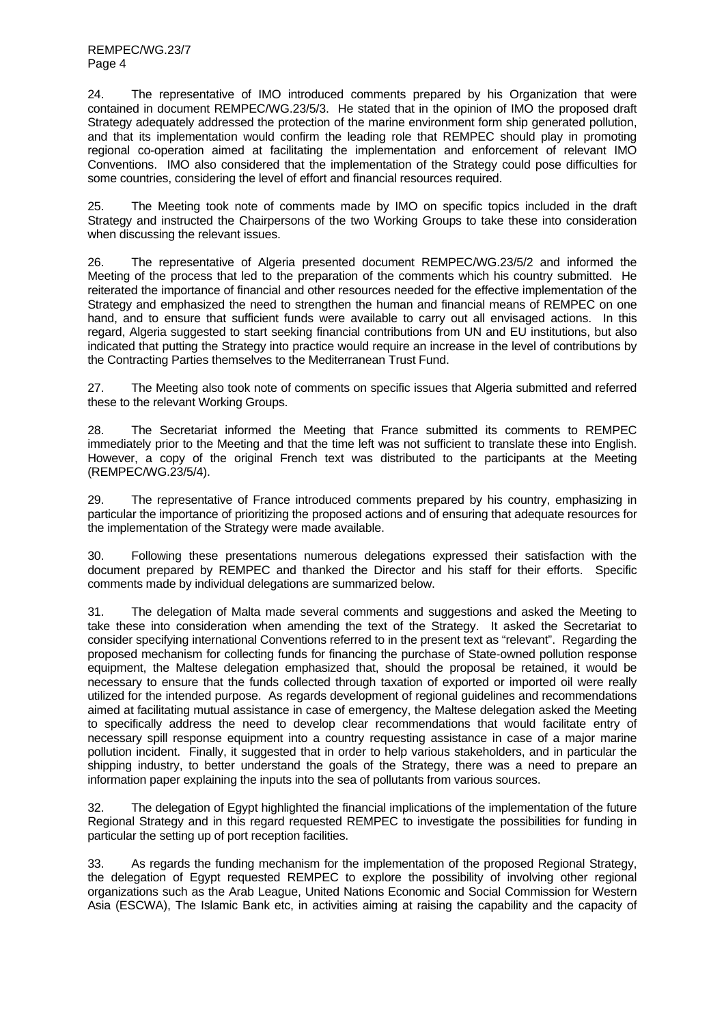24. The representative of IMO introduced comments prepared by his Organization that were contained in document REMPEC/WG.23/5/3. He stated that in the opinion of IMO the proposed draft Strategy adequately addressed the protection of the marine environment form ship generated pollution, and that its implementation would confirm the leading role that REMPEC should play in promoting regional co-operation aimed at facilitating the implementation and enforcement of relevant IMO Conventions. IMO also considered that the implementation of the Strategy could pose difficulties for some countries, considering the level of effort and financial resources required.

25. The Meeting took note of comments made by IMO on specific topics included in the draft Strategy and instructed the Chairpersons of the two Working Groups to take these into consideration when discussing the relevant issues.

26. The representative of Algeria presented document REMPEC/WG.23/5/2 and informed the Meeting of the process that led to the preparation of the comments which his country submitted. He reiterated the importance of financial and other resources needed for the effective implementation of the Strategy and emphasized the need to strengthen the human and financial means of REMPEC on one hand, and to ensure that sufficient funds were available to carry out all envisaged actions. In this regard, Algeria suggested to start seeking financial contributions from UN and EU institutions, but also indicated that putting the Strategy into practice would require an increase in the level of contributions by the Contracting Parties themselves to the Mediterranean Trust Fund.

27. The Meeting also took note of comments on specific issues that Algeria submitted and referred these to the relevant Working Groups.

28. The Secretariat informed the Meeting that France submitted its comments to REMPEC immediately prior to the Meeting and that the time left was not sufficient to translate these into English. However, a copy of the original French text was distributed to the participants at the Meeting (REMPEC/WG.23/5/4).

29. The representative of France introduced comments prepared by his country, emphasizing in particular the importance of prioritizing the proposed actions and of ensuring that adequate resources for the implementation of the Strategy were made available.

30. Following these presentations numerous delegations expressed their satisfaction with the document prepared by REMPEC and thanked the Director and his staff for their efforts. Specific comments made by individual delegations are summarized below.

31. The delegation of Malta made several comments and suggestions and asked the Meeting to take these into consideration when amending the text of the Strategy. It asked the Secretariat to consider specifying international Conventions referred to in the present text as "relevant". Regarding the proposed mechanism for collecting funds for financing the purchase of State-owned pollution response equipment, the Maltese delegation emphasized that, should the proposal be retained, it would be necessary to ensure that the funds collected through taxation of exported or imported oil were really utilized for the intended purpose. As regards development of regional guidelines and recommendations aimed at facilitating mutual assistance in case of emergency, the Maltese delegation asked the Meeting to specifically address the need to develop clear recommendations that would facilitate entry of necessary spill response equipment into a country requesting assistance in case of a major marine pollution incident. Finally, it suggested that in order to help various stakeholders, and in particular the shipping industry, to better understand the goals of the Strategy, there was a need to prepare an information paper explaining the inputs into the sea of pollutants from various sources.

32. The delegation of Egypt highlighted the financial implications of the implementation of the future Regional Strategy and in this regard requested REMPEC to investigate the possibilities for funding in particular the setting up of port reception facilities.

33. As regards the funding mechanism for the implementation of the proposed Regional Strategy, the delegation of Egypt requested REMPEC to explore the possibility of involving other regional organizations such as the Arab League, United Nations Economic and Social Commission for Western Asia (ESCWA), The Islamic Bank etc, in activities aiming at raising the capability and the capacity of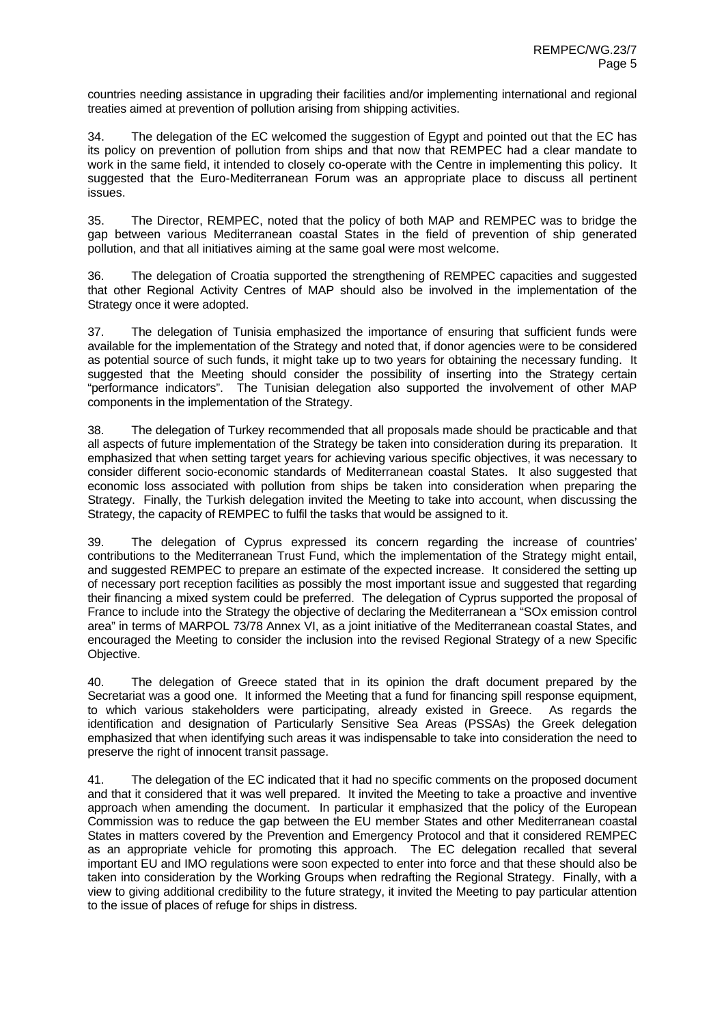countries needing assistance in upgrading their facilities and/or implementing international and regional treaties aimed at prevention of pollution arising from shipping activities.

34. The delegation of the EC welcomed the suggestion of Egypt and pointed out that the EC has its policy on prevention of pollution from ships and that now that REMPEC had a clear mandate to work in the same field, it intended to closely co-operate with the Centre in implementing this policy. It suggested that the Euro-Mediterranean Forum was an appropriate place to discuss all pertinent issues.

35. The Director, REMPEC, noted that the policy of both MAP and REMPEC was to bridge the gap between various Mediterranean coastal States in the field of prevention of ship generated pollution, and that all initiatives aiming at the same goal were most welcome.

36. The delegation of Croatia supported the strengthening of REMPEC capacities and suggested that other Regional Activity Centres of MAP should also be involved in the implementation of the Strategy once it were adopted.

37. The delegation of Tunisia emphasized the importance of ensuring that sufficient funds were available for the implementation of the Strategy and noted that, if donor agencies were to be considered as potential source of such funds, it might take up to two years for obtaining the necessary funding. It suggested that the Meeting should consider the possibility of inserting into the Strategy certain "performance indicators". The Tunisian delegation also supported the involvement of other MAP components in the implementation of the Strategy.

38. The delegation of Turkey recommended that all proposals made should be practicable and that all aspects of future implementation of the Strategy be taken into consideration during its preparation. It emphasized that when setting target years for achieving various specific objectives, it was necessary to consider different socio-economic standards of Mediterranean coastal States. It also suggested that economic loss associated with pollution from ships be taken into consideration when preparing the Strategy. Finally, the Turkish delegation invited the Meeting to take into account, when discussing the Strategy, the capacity of REMPEC to fulfil the tasks that would be assigned to it.

39. The delegation of Cyprus expressed its concern regarding the increase of countries' contributions to the Mediterranean Trust Fund, which the implementation of the Strategy might entail, and suggested REMPEC to prepare an estimate of the expected increase. It considered the setting up of necessary port reception facilities as possibly the most important issue and suggested that regarding their financing a mixed system could be preferred. The delegation of Cyprus supported the proposal of France to include into the Strategy the objective of declaring the Mediterranean a "SOx emission control area" in terms of MARPOL 73/78 Annex VI, as a joint initiative of the Mediterranean coastal States, and encouraged the Meeting to consider the inclusion into the revised Regional Strategy of a new Specific Objective.

40. The delegation of Greece stated that in its opinion the draft document prepared by the Secretariat was a good one. It informed the Meeting that a fund for financing spill response equipment, to which various stakeholders were participating, already existed in Greece. As regards the identification and designation of Particularly Sensitive Sea Areas (PSSAs) the Greek delegation emphasized that when identifying such areas it was indispensable to take into consideration the need to preserve the right of innocent transit passage.

41. The delegation of the EC indicated that it had no specific comments on the proposed document and that it considered that it was well prepared. It invited the Meeting to take a proactive and inventive approach when amending the document. In particular it emphasized that the policy of the European Commission was to reduce the gap between the EU member States and other Mediterranean coastal States in matters covered by the Prevention and Emergency Protocol and that it considered REMPEC as an appropriate vehicle for promoting this approach. The EC delegation recalled that several important EU and IMO regulations were soon expected to enter into force and that these should also be taken into consideration by the Working Groups when redrafting the Regional Strategy. Finally, with a view to giving additional credibility to the future strategy, it invited the Meeting to pay particular attention to the issue of places of refuge for ships in distress.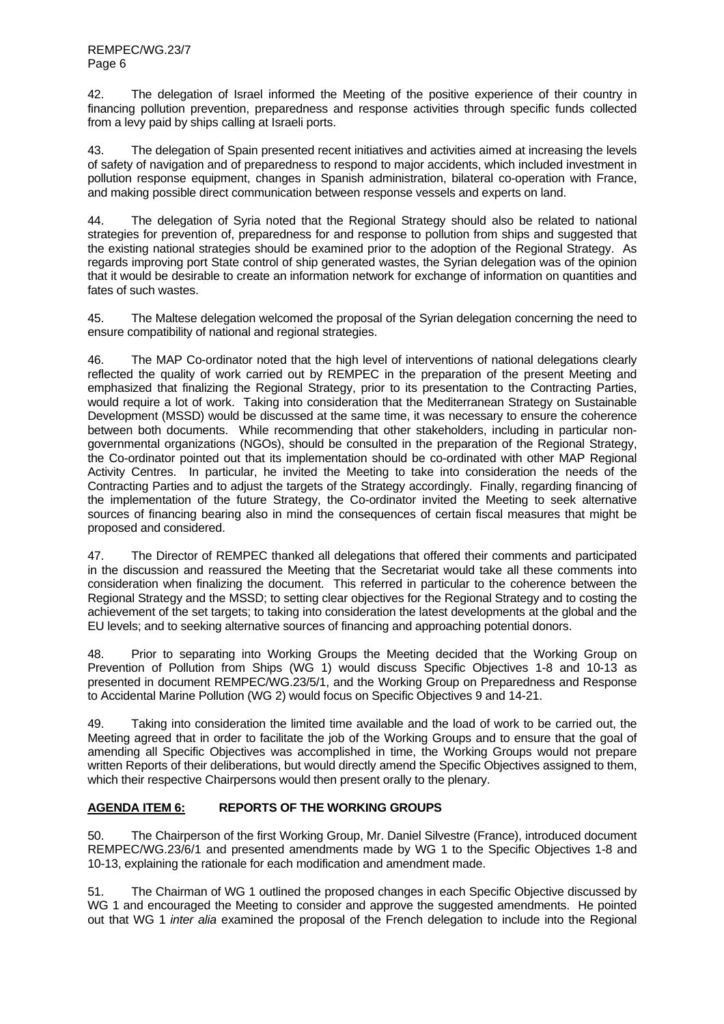42. The delegation of Israel informed the Meeting of the positive experience of their country in financing pollution prevention, preparedness and response activities through specific funds collected from a levy paid by ships calling at Israeli ports.

43. The delegation of Spain presented recent initiatives and activities aimed at increasing the levels of safety of navigation and of preparedness to respond to major accidents, which included investment in pollution response equipment, changes in Spanish administration, bilateral co-operation with France, and making possible direct communication between response vessels and experts on land.

44. The delegation of Syria noted that the Regional Strategy should also be related to national strategies for prevention of, preparedness for and response to pollution from ships and suggested that the existing national strategies should be examined prior to the adoption of the Regional Strategy. As regards improving port State control of ship generated wastes, the Syrian delegation was of the opinion that it would be desirable to create an information network for exchange of information on quantities and fates of such wastes.

45. The Maltese delegation welcomed the proposal of the Syrian delegation concerning the need to ensure compatibility of national and regional strategies.

46. The MAP Co-ordinator noted that the high level of interventions of national delegations clearly reflected the quality of work carried out by REMPEC in the preparation of the present Meeting and emphasized that finalizing the Regional Strategy, prior to its presentation to the Contracting Parties, would require a lot of work. Taking into consideration that the Mediterranean Strategy on Sustainable Development (MSSD) would be discussed at the same time, it was necessary to ensure the coherence between both documents. While recommending that other stakeholders, including in particular nongovernmental organizations (NGOs), should be consulted in the preparation of the Regional Strategy, the Co-ordinator pointed out that its implementation should be co-ordinated with other MAP Regional Activity Centres. In particular, he invited the Meeting to take into consideration the needs of the Contracting Parties and to adjust the targets of the Strategy accordingly. Finally, regarding financing of the implementation of the future Strategy, the Co-ordinator invited the Meeting to seek alternative sources of financing bearing also in mind the consequences of certain fiscal measures that might be proposed and considered.

47. The Director of REMPEC thanked all delegations that offered their comments and participated in the discussion and reassured the Meeting that the Secretariat would take all these comments into consideration when finalizing the document. This referred in particular to the coherence between the Regional Strategy and the MSSD; to setting clear objectives for the Regional Strategy and to costing the achievement of the set targets; to taking into consideration the latest developments at the global and the EU levels; and to seeking alternative sources of financing and approaching potential donors.

48. Prior to separating into Working Groups the Meeting decided that the Working Group on Prevention of Pollution from Ships (WG 1) would discuss Specific Objectives 1-8 and 10-13 as presented in document REMPEC/WG.23/5/1, and the Working Group on Preparedness and Response to Accidental Marine Pollution (WG 2) would focus on Specific Objectives 9 and 14-21.

49. Taking into consideration the limited time available and the load of work to be carried out, the Meeting agreed that in order to facilitate the job of the Working Groups and to ensure that the goal of amending all Specific Objectives was accomplished in time, the Working Groups would not prepare written Reports of their deliberations, but would directly amend the Specific Objectives assigned to them, which their respective Chairpersons would then present orally to the plenary.

# **AGENDA ITEM 6: REPORTS OF THE WORKING GROUPS**

50. The Chairperson of the first Working Group, Mr. Daniel Silvestre (France), introduced document REMPEC/WG.23/6/1 and presented amendments made by WG 1 to the Specific Objectives 1-8 and 10-13, explaining the rationale for each modification and amendment made.

51. The Chairman of WG 1 outlined the proposed changes in each Specific Objective discussed by WG 1 and encouraged the Meeting to consider and approve the suggested amendments. He pointed out that WG 1 *inter alia* examined the proposal of the French delegation to include into the Regional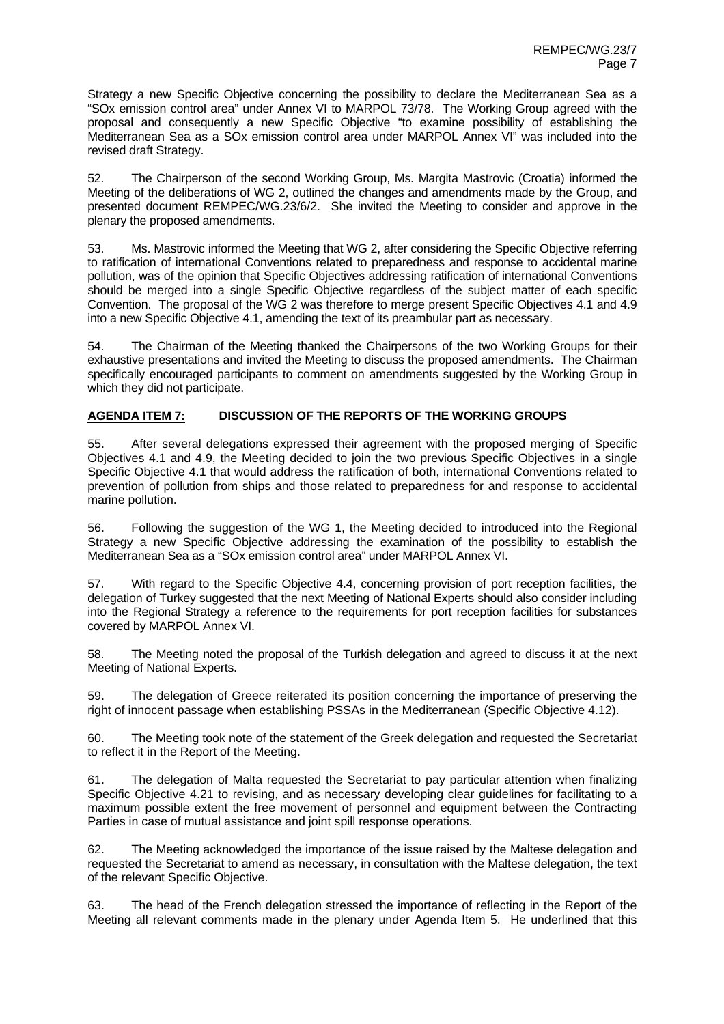Strategy a new Specific Objective concerning the possibility to declare the Mediterranean Sea as a "SOx emission control area" under Annex VI to MARPOL 73/78. The Working Group agreed with the proposal and consequently a new Specific Objective "to examine possibility of establishing the Mediterranean Sea as a SOx emission control area under MARPOL Annex VI" was included into the revised draft Strategy.

52. The Chairperson of the second Working Group, Ms. Margita Mastrovic (Croatia) informed the Meeting of the deliberations of WG 2, outlined the changes and amendments made by the Group, and presented document REMPEC/WG.23/6/2. She invited the Meeting to consider and approve in the plenary the proposed amendments.

53. Ms. Mastrovic informed the Meeting that WG 2, after considering the Specific Objective referring to ratification of international Conventions related to preparedness and response to accidental marine pollution, was of the opinion that Specific Objectives addressing ratification of international Conventions should be merged into a single Specific Objective regardless of the subject matter of each specific Convention. The proposal of the WG 2 was therefore to merge present Specific Objectives 4.1 and 4.9 into a new Specific Objective 4.1, amending the text of its preambular part as necessary.

54. The Chairman of the Meeting thanked the Chairpersons of the two Working Groups for their exhaustive presentations and invited the Meeting to discuss the proposed amendments. The Chairman specifically encouraged participants to comment on amendments suggested by the Working Group in which they did not participate.

# **AGENDA ITEM 7: DISCUSSION OF THE REPORTS OF THE WORKING GROUPS**

55. After several delegations expressed their agreement with the proposed merging of Specific Objectives 4.1 and 4.9, the Meeting decided to join the two previous Specific Objectives in a single Specific Objective 4.1 that would address the ratification of both, international Conventions related to prevention of pollution from ships and those related to preparedness for and response to accidental marine pollution.

56. Following the suggestion of the WG 1, the Meeting decided to introduced into the Regional Strategy a new Specific Objective addressing the examination of the possibility to establish the Mediterranean Sea as a "SOx emission control area" under MARPOL Annex VI.

57. With regard to the Specific Objective 4.4, concerning provision of port reception facilities, the delegation of Turkey suggested that the next Meeting of National Experts should also consider including into the Regional Strategy a reference to the requirements for port reception facilities for substances covered by MARPOL Annex VI.

58. The Meeting noted the proposal of the Turkish delegation and agreed to discuss it at the next Meeting of National Experts.

59. The delegation of Greece reiterated its position concerning the importance of preserving the right of innocent passage when establishing PSSAs in the Mediterranean (Specific Objective 4.12).

60. The Meeting took note of the statement of the Greek delegation and requested the Secretariat to reflect it in the Report of the Meeting.

61. The delegation of Malta requested the Secretariat to pay particular attention when finalizing Specific Objective 4.21 to revising, and as necessary developing clear guidelines for facilitating to a maximum possible extent the free movement of personnel and equipment between the Contracting Parties in case of mutual assistance and joint spill response operations.

62. The Meeting acknowledged the importance of the issue raised by the Maltese delegation and requested the Secretariat to amend as necessary, in consultation with the Maltese delegation, the text of the relevant Specific Objective.

63. The head of the French delegation stressed the importance of reflecting in the Report of the Meeting all relevant comments made in the plenary under Agenda Item 5. He underlined that this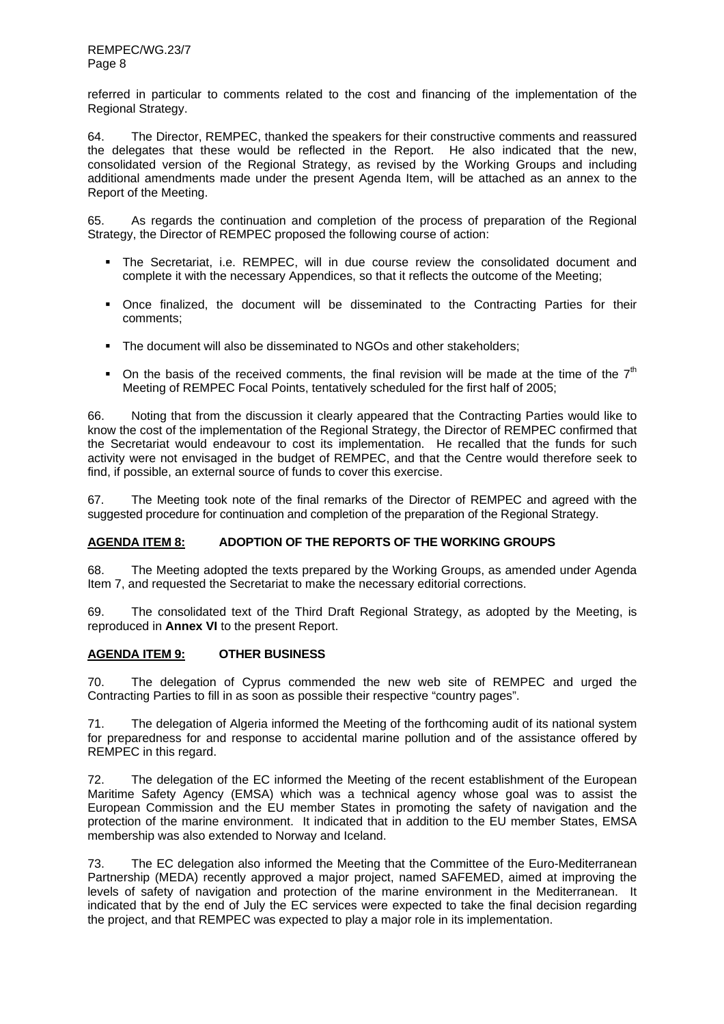referred in particular to comments related to the cost and financing of the implementation of the Regional Strategy.

64. The Director, REMPEC, thanked the speakers for their constructive comments and reassured the delegates that these would be reflected in the Report. He also indicated that the new, consolidated version of the Regional Strategy, as revised by the Working Groups and including additional amendments made under the present Agenda Item, will be attached as an annex to the Report of the Meeting.

65. As regards the continuation and completion of the process of preparation of the Regional Strategy, the Director of REMPEC proposed the following course of action:

- The Secretariat, i.e. REMPEC, will in due course review the consolidated document and complete it with the necessary Appendices, so that it reflects the outcome of the Meeting;
- Once finalized, the document will be disseminated to the Contracting Parties for their comments;
- The document will also be disseminated to NGOs and other stakeholders:
- On the basis of the received comments, the final revision will be made at the time of the  $7<sup>th</sup>$ Meeting of REMPEC Focal Points, tentatively scheduled for the first half of 2005;

66. Noting that from the discussion it clearly appeared that the Contracting Parties would like to know the cost of the implementation of the Regional Strategy, the Director of REMPEC confirmed that the Secretariat would endeavour to cost its implementation. He recalled that the funds for such activity were not envisaged in the budget of REMPEC, and that the Centre would therefore seek to find, if possible, an external source of funds to cover this exercise.

67. The Meeting took note of the final remarks of the Director of REMPEC and agreed with the suggested procedure for continuation and completion of the preparation of the Regional Strategy.

# **AGENDA ITEM 8: ADOPTION OF THE REPORTS OF THE WORKING GROUPS**

68. The Meeting adopted the texts prepared by the Working Groups, as amended under Agenda Item 7, and requested the Secretariat to make the necessary editorial corrections.

69. The consolidated text of the Third Draft Regional Strategy, as adopted by the Meeting, is reproduced in **Annex VI** to the present Report.

# **AGENDA ITEM 9: OTHER BUSINESS**

70. The delegation of Cyprus commended the new web site of REMPEC and urged the Contracting Parties to fill in as soon as possible their respective "country pages".

71. The delegation of Algeria informed the Meeting of the forthcoming audit of its national system for preparedness for and response to accidental marine pollution and of the assistance offered by REMPEC in this regard.

72. The delegation of the EC informed the Meeting of the recent establishment of the European Maritime Safety Agency (EMSA) which was a technical agency whose goal was to assist the European Commission and the EU member States in promoting the safety of navigation and the protection of the marine environment. It indicated that in addition to the EU member States, EMSA membership was also extended to Norway and Iceland.

73. The EC delegation also informed the Meeting that the Committee of the Euro-Mediterranean Partnership (MEDA) recently approved a major project, named SAFEMED, aimed at improving the levels of safety of navigation and protection of the marine environment in the Mediterranean. It indicated that by the end of July the EC services were expected to take the final decision regarding the project, and that REMPEC was expected to play a major role in its implementation.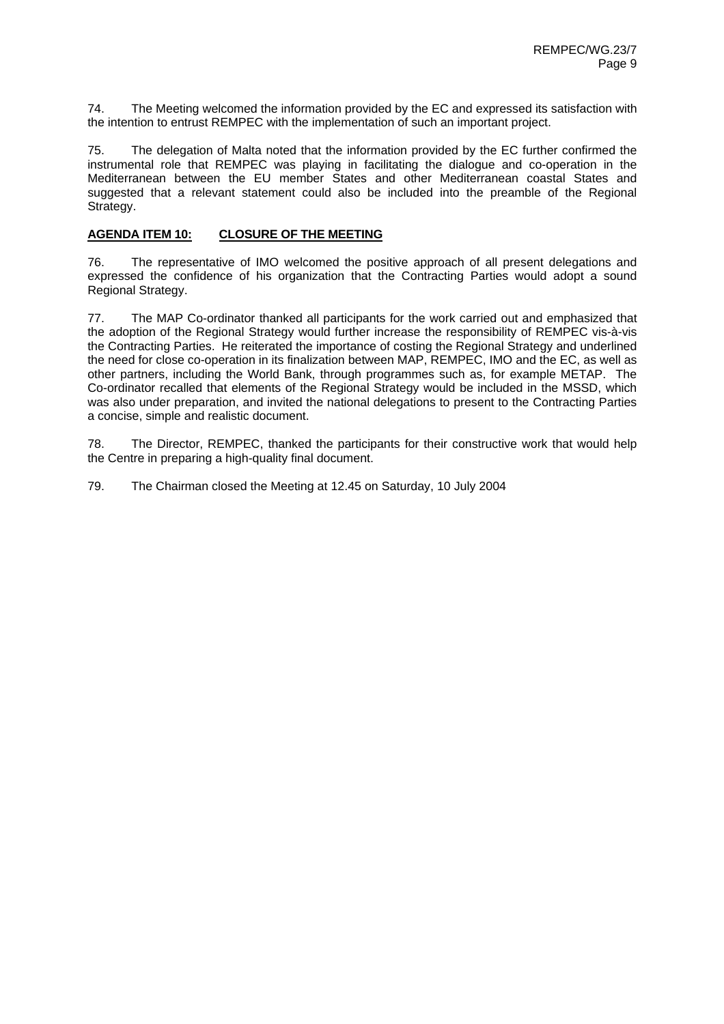74. The Meeting welcomed the information provided by the EC and expressed its satisfaction with the intention to entrust REMPEC with the implementation of such an important project.

75. The delegation of Malta noted that the information provided by the EC further confirmed the instrumental role that REMPEC was playing in facilitating the dialogue and co-operation in the Mediterranean between the EU member States and other Mediterranean coastal States and suggested that a relevant statement could also be included into the preamble of the Regional Strategy.

# **AGENDA ITEM 10: CLOSURE OF THE MEETING**

76. The representative of IMO welcomed the positive approach of all present delegations and expressed the confidence of his organization that the Contracting Parties would adopt a sound Regional Strategy.

77. The MAP Co-ordinator thanked all participants for the work carried out and emphasized that the adoption of the Regional Strategy would further increase the responsibility of REMPEC vis-à-vis the Contracting Parties. He reiterated the importance of costing the Regional Strategy and underlined the need for close co-operation in its finalization between MAP, REMPEC, IMO and the EC, as well as other partners, including the World Bank, through programmes such as, for example METAP. The Co-ordinator recalled that elements of the Regional Strategy would be included in the MSSD, which was also under preparation, and invited the national delegations to present to the Contracting Parties a concise, simple and realistic document.

78. The Director, REMPEC, thanked the participants for their constructive work that would help the Centre in preparing a high-quality final document.

79. The Chairman closed the Meeting at 12.45 on Saturday, 10 July 2004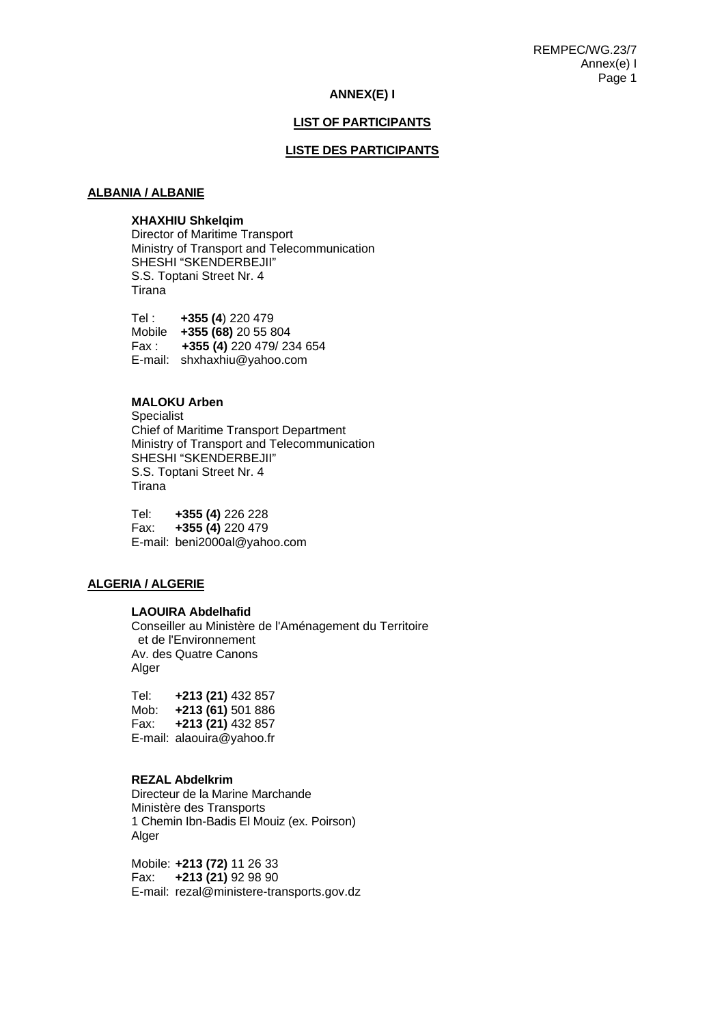## **ANNEX(E) I**

# **LIST OF PARTICIPANTS**

#### **LISTE DES PARTICIPANTS**

# **ALBANIA / ALBANIE**

# **XHAXHIU Shkelqim**

Director of Maritime Transport Ministry of Transport and Telecommunication SHESHI "SKENDERBEJII" S.S. Toptani Street Nr. 4 Tirana

Tel : **+355 (4**) 220 479 Mobile **+355 (68)** 20 55 804 Fax : **+355 (4)** 220 479/ 234 654 E-mail: shxhaxhiu@yahoo.com

#### **MALOKU Arben**

Specialist Chief of Maritime Transport Department Ministry of Transport and Telecommunication SHESHI "SKENDERBEJII" S.S. Toptani Street Nr. 4 Tirana

Tel: **+355 (4)** 226 228 Fax: **+355 (4)** 220 479 E-mail: beni2000al@yahoo.com

#### **ALGERIA / ALGERIE**

#### **LAOUIRA Abdelhafid**

Conseiller au Ministère de l'Aménagement du Territoire et de l'Environnement Av. des Quatre Canons Alger

Tel: **+213 (21)** 432 857 Mob: **+213 (61)** 501 886 Fax: **+213 (21)** 432 857 E-mail: alaouira@yahoo.fr

#### **REZAL Abdelkrim**

 Directeur de la Marine Marchande Ministère des Transports 1 Chemin Ibn-Badis El Mouiz (ex. Poirson) Alger

Mobile: **+213 (72)** 11 26 33 Fax: **+213 (21)** 92 98 90 E-mail: rezal@ministere-transports.gov.dz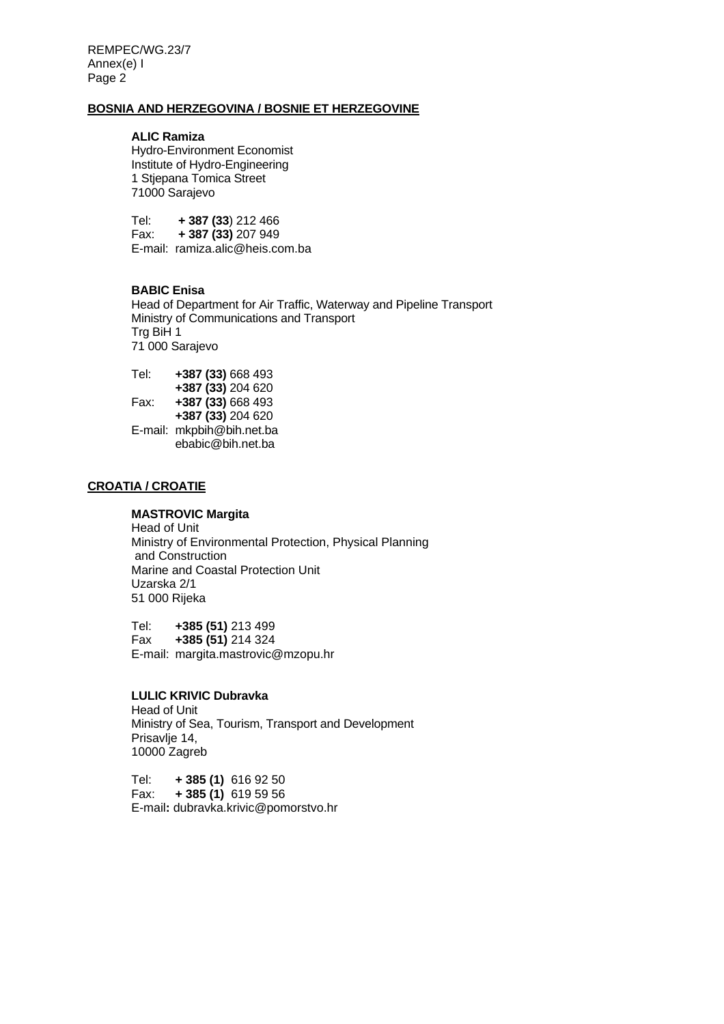REMPEC/WG.23/7 Annex(e) I Page 2

#### **BOSNIA AND HERZEGOVINA / BOSNIE ET HERZEGOVINE**

#### **ALIC Ramiza**

 Hydro-Environment Economist Institute of Hydro-Engineering 1 Stjepana Tomica Street 71000 Sarajevo

 Tel: **+ 387 (33**) 212 466 Fax: **+ 387 (33)** 207 949 E-mail: ramiza.alic@heis.com.ba

## **BABIC Enisa**

Head of Department for Air Traffic, Waterway and Pipeline Transport Ministry of Communications and Transport Trg BiH 1 71 000 Sarajevo

| Tel: | +387 (33) 668 493         |
|------|---------------------------|
|      | +387 (33) 204 620         |
| Fax: | +387 (33) 668 493         |
|      | +387 (33) 204 620         |
|      | E-mail: mkpbih@bih.net.ba |
|      | ebabic@bih.net.ba         |

# **CROATIA / CROATIE**

#### **MASTROVIC Margita**  Head of Unit

Ministry of Environmental Protection, Physical Planning and Construction Marine and Coastal Protection Unit Uzarska 2/1 51 000 Rijeka

Tel: **+385 (51)** 213 499 Fax **+385 (51)** 214 324 E-mail: margita.mastrovic@mzopu.hr

# **LULIC KRIVIC Dubravka**

 Head of Unit Ministry of Sea, Tourism, Transport and Development Prisavlje 14, 10000 Zagreb

Tel: **+ 385 (1)** 616 92 50 Fax: **+ 385 (1)** 619 59 56 E-mail**:** dubravka.krivic@pomorstvo.hr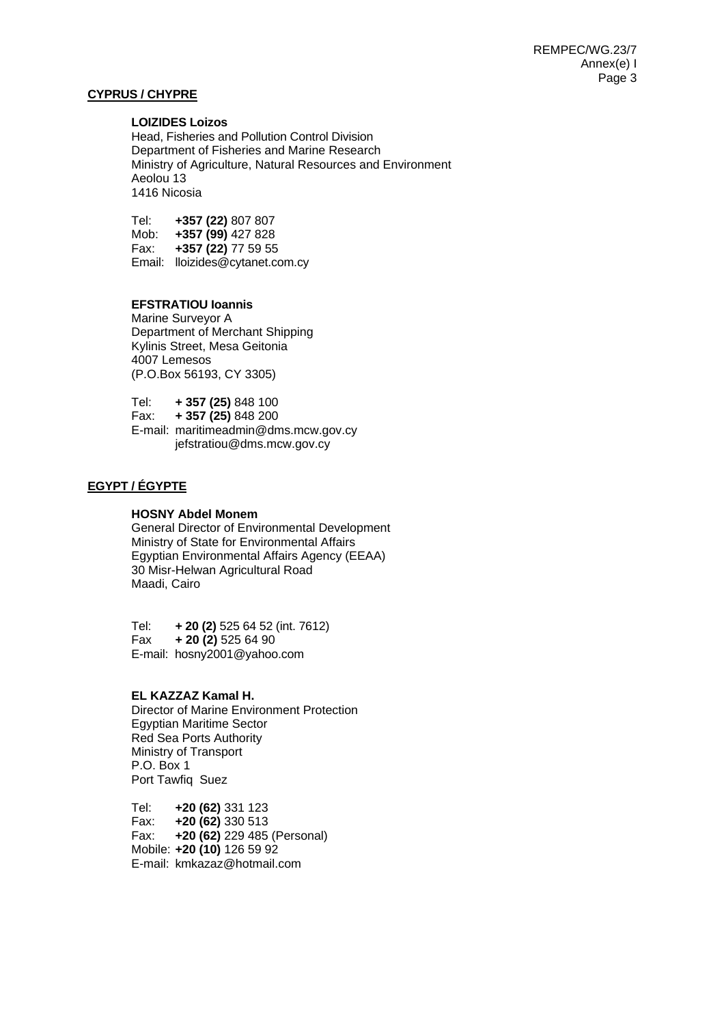# **CYPRUS / CHYPRE**

#### **LOIZIDES Loizos**

Head, Fisheries and Pollution Control Division Department of Fisheries and Marine Research Ministry of Agriculture, Natural Resources and Environment Aeolou 13 1416 Nicosia

Tel: **+357 (22)** 807 807 Mob: **+357 (99)** 427 828 Fax: **+357 (22)** 77 59 55 Email: lloizides@cytanet.com.cy

# **EFSTRATIOU Ioannis**

 Marine Surveyor A Department of Merchant Shipping Kylinis Street, Mesa Geitonia 4007 Lemesos (P.O.Box 56193, CY 3305)

Tel: **+ 357 (25)** 848 100 Fax: **+ 357 (25)** 848 200 E-mail: maritimeadmin@dms.mcw.gov.cy jefstratiou@dms.mcw.gov.cy

# **EGYPT / ÉGYPTE**

#### **HOSNY Abdel Monem**

General Director of Environmental Development Ministry of State for Environmental Affairs Egyptian Environmental Affairs Agency (EEAA) 30 Misr-Helwan Agricultural Road Maadi, Cairo

Tel: **+ 20 (2)** 525 64 52 (int. 7612) Fax **+ 20 (2)** 525 64 90 E-mail: hosny2001@yahoo.com

#### **EL KAZZAZ Kamal H.**

Director of Marine Environment Protection Egyptian Maritime Sector Red Sea Ports Authority Ministry of Transport P.O. Box 1 Port Tawfiq Suez

 Tel: **+20 (62)** 331 123 Fax: **+20 (62)** 330 513 Fax: **+20 (62)** 229 485 (Personal) Mobile: **+20 (10)** 126 59 92 E-mail: kmkazaz@hotmail.com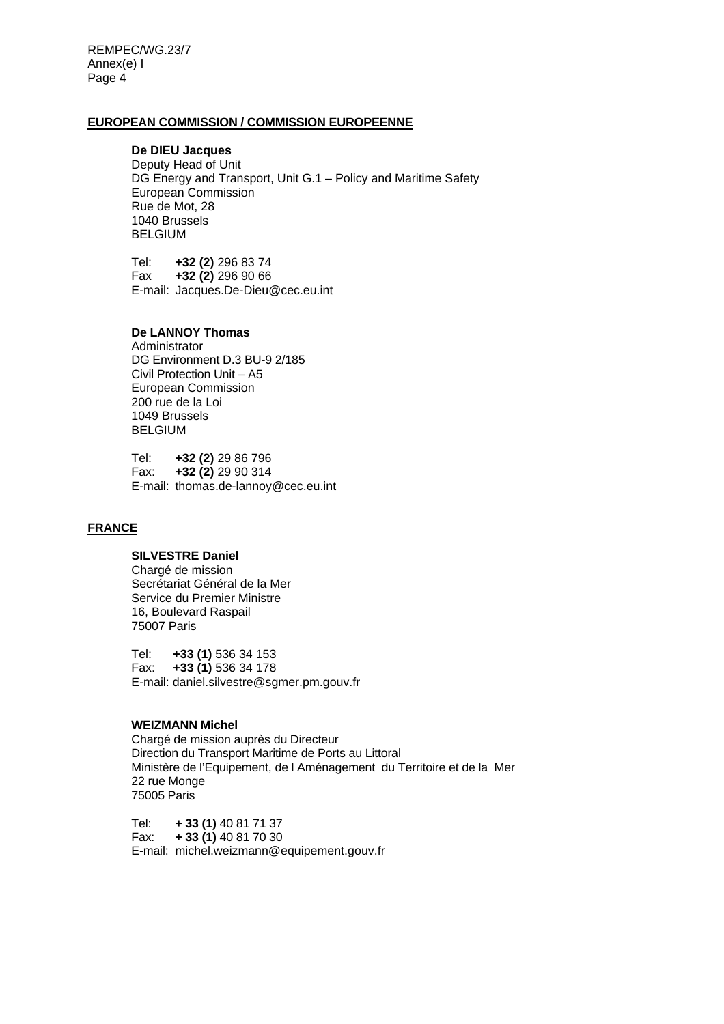REMPEC/WG.23/7 Annex(e) I Page 4

#### **EUROPEAN COMMISSION / COMMISSION EUROPEENNE**

# **De DIEU Jacques**

Deputy Head of Unit DG Energy and Transport, Unit G.1 – Policy and Maritime Safety European Commission Rue de Mot, 28 1040 Brussels BELGIUM

Tel: **+32 (2)** 296 83 74 Fax **+32 (2)** 296 90 66 E-mail: Jacques.De-Dieu@cec.eu.int

#### **De LANNOY Thomas**

 Administrator DG Environment D.3 BU-9 2/185 Civil Protection Unit – A5 European Commission 200 rue de la Loi 1049 Brussels **BELGIUM** 

Tel: **+32 (2)** 29 86 796 Fax: **+32 (2)** 29 90 314 E-mail: thomas.de-lannoy@cec.eu.int

# **FRANCE**

# **SILVESTRE Daniel**

Chargé de mission Secrétariat Général de la Mer Service du Premier Ministre 16, Boulevard Raspail 75007 Paris

Tel: **+33 (1)** 536 34 153 Fax: **+33 (1)** 536 34 178 E-mail: daniel.silvestre@sgmer.pm.gouv.fr

# **WEIZMANN Michel**

 Chargé de mission auprès du Directeur Direction du Transport Maritime de Ports au Littoral Ministère de l'Equipement, de l Aménagement du Territoire et de la Mer 22 rue Monge 75005 Paris

 Tel: **+ 33 (1)** 40 81 71 37 Fax: **+ 33 (1)** 40 81 70 30 E-mail: michel.weizmann@equipement.gouv.fr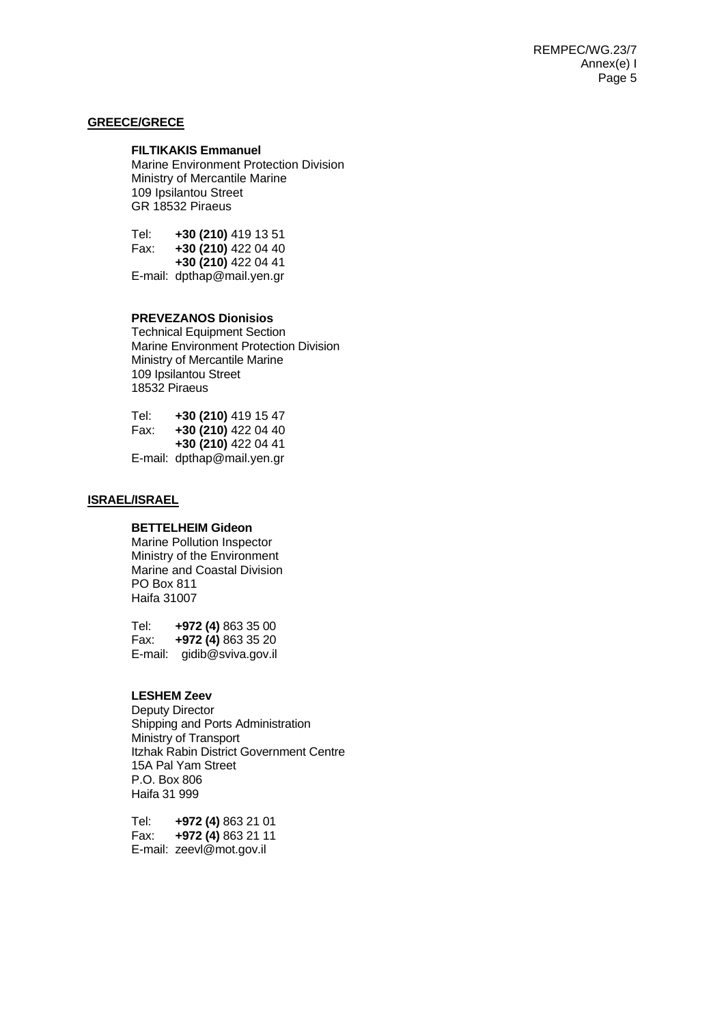## **GREECE/GRECE**

#### **FILTIKAKIS Emmanuel**

Marine Environment Protection Division Ministry of Mercantile Marine 109 Ipsilantou Street GR 18532 Piraeus

Tel: **+30 (210)** 419 13 51 Fax: **+30 (210)** 422 04 40 **+30 (210)** 422 04 41 E-mail: dpthap@mail.yen.gr

## **PREVEZANOS Dionisios**

Technical Equipment Section Marine Environment Protection Division Ministry of Mercantile Marine 109 Ipsilantou Street 18532 Piraeus

| Tel: | +30 (210) 419 15 47        |
|------|----------------------------|
| Fax: | +30 (210) 422 04 40        |
|      | +30 (210) 422 04 41        |
|      | E-mail: dpthap@mail.yen.gr |

# **ISRAEL/ISRAEL**

# **BETTELHEIM Gideon**

Marine Pollution Inspector Ministry of the Environment Marine and Coastal Division PO Box 811 Haifa 31007

 Tel: **+972 (4)** 863 35 00 Fax: **+972 (4)** 863 35 20 E-mail: gidib@sviva.gov.il

## **LESHEM Zeev**

 Deputy Director Shipping and Ports Administration Ministry of Transport Itzhak Rabin District Government Centre 15A Pal Yam Street P.O. Box 806 Haifa 31 999

 Tel: **+972 (4)** 863 21 01 Fax: **+972 (4)** 863 21 11 E-mail: zeevl@mot.gov.il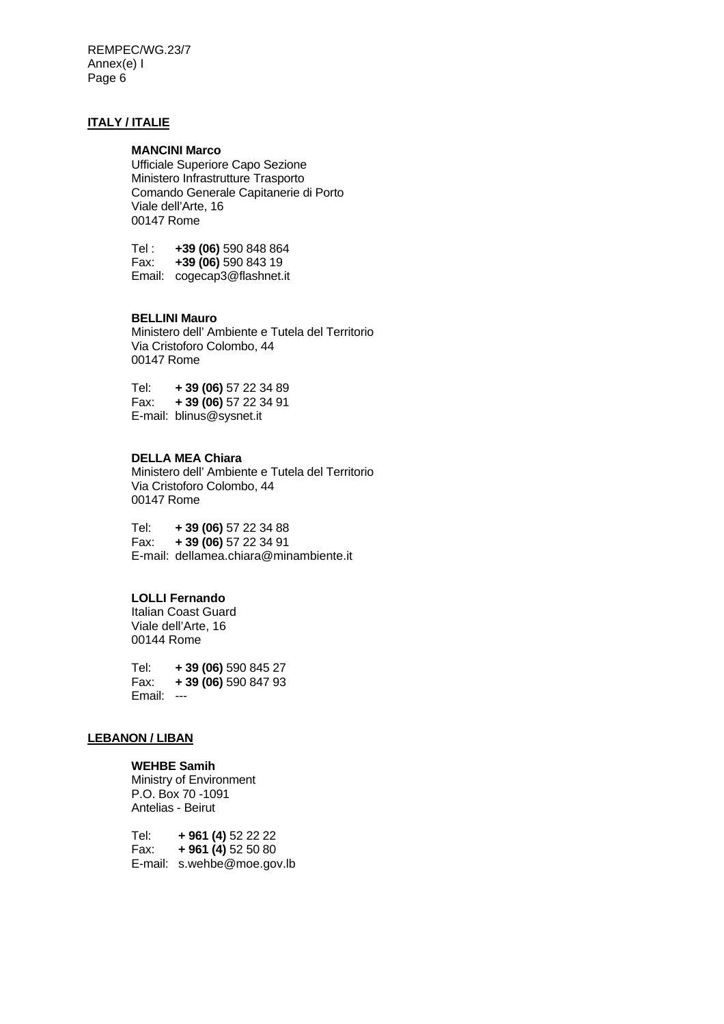REMPEC/WG.23/7 Annex(e) I Page 6

# **ITALY / ITALIE**

#### **MANCINI Marco**

 Ufficiale Superiore Capo Sezione Ministero Infrastrutture Trasporto Comando Generale Capitanerie di Porto Viale dell'Arte, 16 00147 Rome

Tel : **+39 (06)** 590 848 864 Fax: **+39 (06)** 590 843 19 Email: cogecap3@flashnet.it

#### **BELLINI Mauro**

Ministero dell' Ambiente e Tutela del Territorio Via Cristoforo Colombo, 44 00147 Rome

Tel: **+ 39 (06)** 57 22 34 89 Fax: **+ 39 (06)** 57 22 34 91 E-mail: blinus@sysnet.it

## **DELLA MEA Chiara**

 Ministero dell' Ambiente e Tutela del Territorio Via Cristoforo Colombo, 44 00147 Rome

Tel: **+ 39 (06)** 57 22 34 88 Fax: **+ 39 (06)** 57 22 34 91 E-mail: dellamea.chiara@minambiente.it

# **LOLLI Fernando**

Italian Coast Guard Viale dell'Arte, 16 00144 Rome

Tel: **+ 39 (06)** 590 845 27 Fax: **+ 39 (06)** 590 847 93 Email: ---

# **LEBANON / LIBAN**

#### **WEHBE Samih**

 Ministry of Environment P.O. Box 70 -1091 Antelias - Beirut

Tel: **+ 961 (4)** 52 22 22 Fax: **+ 961 (4)** 52 50 80 E-mail: s.wehbe@moe.gov.lb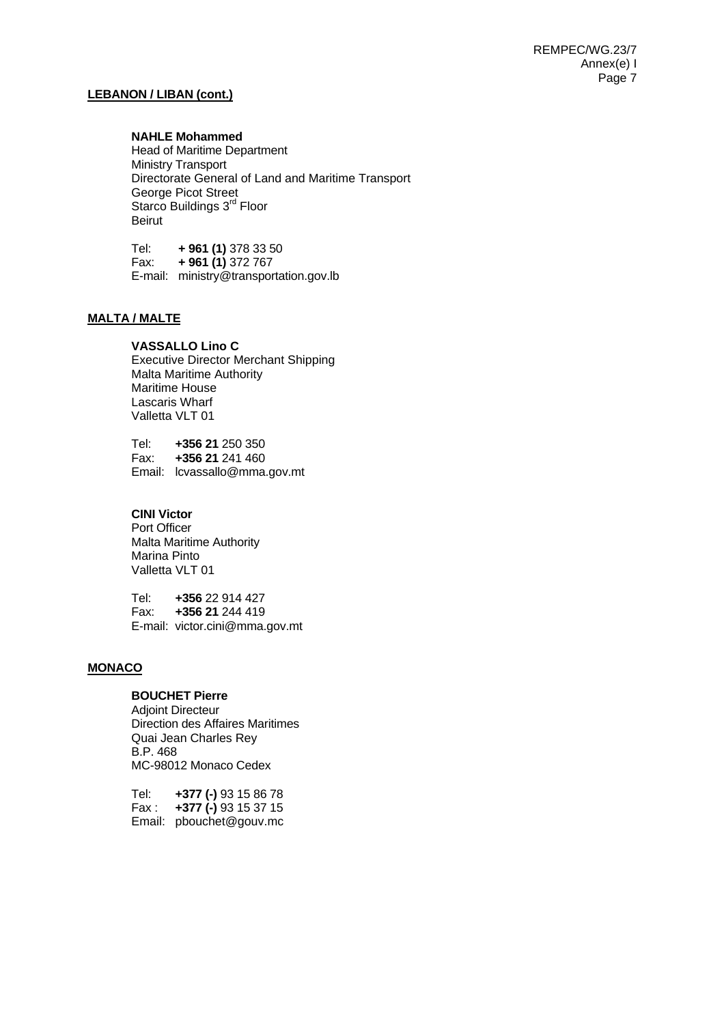# **LEBANON / LIBAN (cont.)**

## **NAHLE Mohammed**

Head of Maritime Department Ministry Transport Directorate General of Land and Maritime Transport George Picot Street Starco Buildings 3<sup>rd</sup> Floor Beirut

Tel: **+ 961 (1)** 378 33 50 Fax: **+ 961 (1)** 372 767 E-mail: ministry@transportation.gov.lb

# **MALTA / MALTE**

## **VASSALLO Lino C**

Executive Director Merchant Shipping Malta Maritime Authority Maritime House Lascaris Wharf Valletta VLT 01

Tel: **+356 21** 250 350 Fax: **+356 21** 241 460 Email: lcvassallo@mma.gov.mt

# **CINI Victor**

Port Officer Malta Maritime Authority Marina Pinto Valletta VLT 01

Tel: **+356** 22 914 427 Fax: **+356 21** 244 419 E-mail: victor.cini@mma.gov.mt

# **MONACO**

# **BOUCHET Pierre**

Adjoint Directeur Direction des Affaires Maritimes Quai Jean Charles Rey B.P. 468 MC-98012 Monaco Cedex

| Tel:  | +377 (-) 93 15 86 78        |
|-------|-----------------------------|
| Fax : | <b>+377 (-)</b> 93 15 37 15 |
|       | Email: pbouchet@gouv.mc     |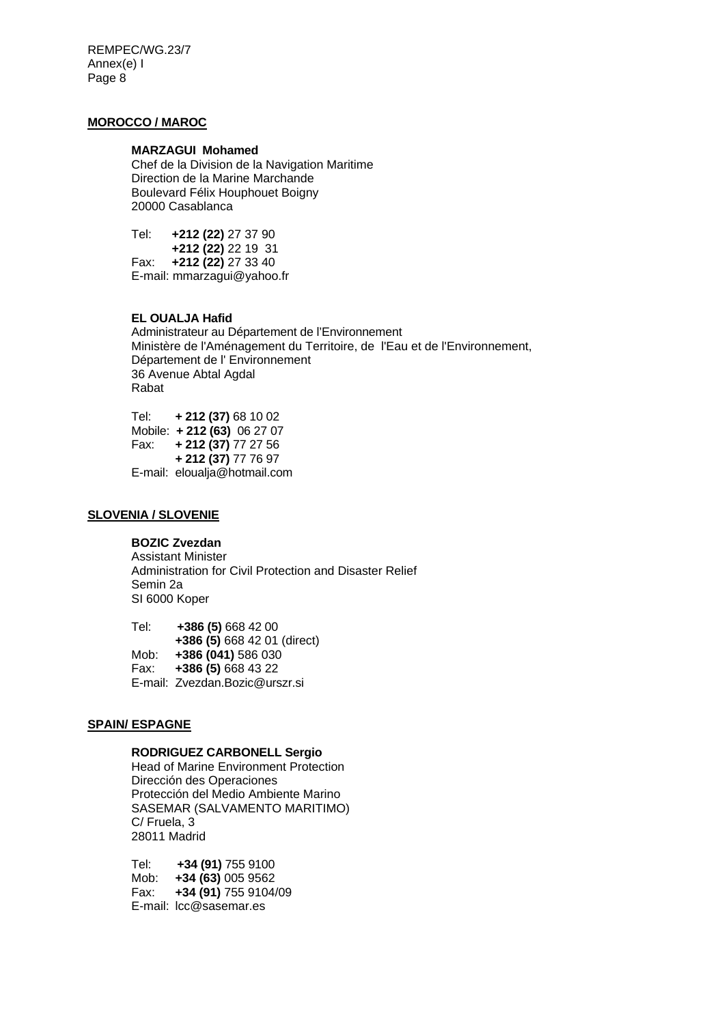REMPEC/WG.23/7 Annex(e) I Page 8

# **MOROCCO / MAROC**

#### **MARZAGUI Mohamed**

Chef de la Division de la Navigation Maritime Direction de la Marine Marchande Boulevard Félix Houphouet Boigny 20000 Casablanca

Tel: **+212 (22)** 27 37 90 **+212 (22)** 22 19 31<br>**Fax: +212 (22)** 27 33 40 Fax: **+212 (22)** 27 33 40 E-mail: mmarzagui@yahoo.fr

#### **EL OUALJA Hafid**

Administrateur au Département de l'Environnement Ministère de l'Aménagement du Territoire, de l'Eau et de l'Environnement, Département de l' Environnement 36 Avenue Abtal Agdal Rabat

Tel: **+ 212 (37)** 68 10 02 Mobile: **+ 212 (63)** 06 27 07 Fax: **+ 212 (37)** 77 27 56 **+ 212 (37)** 77 76 97 E-mail: eloualja@hotmail.com

# **SLOVENIA / SLOVENIE**

#### **BOZIC Zvezdan**

 Assistant Minister Administration for Civil Protection and Disaster Relief Semin 2a SI 6000 Koper

Tel: **+386 (5)** 668 42 00 **+386 (5)** 668 42 01 (direct) Mob: **+386 (041)** 586 030 Fax: **+386 (5)** 668 43 22 E-mail: Zvezdan.Bozic@urszr.si

# **SPAIN/ ESPAGNE**

## **RODRIGUEZ CARBONELL Sergio**

Head of Marine Environment Protection Dirección des Operaciones Protección del Medio Ambiente Marino SASEMAR (SALVAMENTO MARITIMO) C/ Fruela, 3 28011 Madrid

Tel: **+34 (91)** 755 9100 Mob: **+34 (63)** 005 9562 Fax: **+34 (91)** 755 9104/09 E-mail: lcc@sasemar.es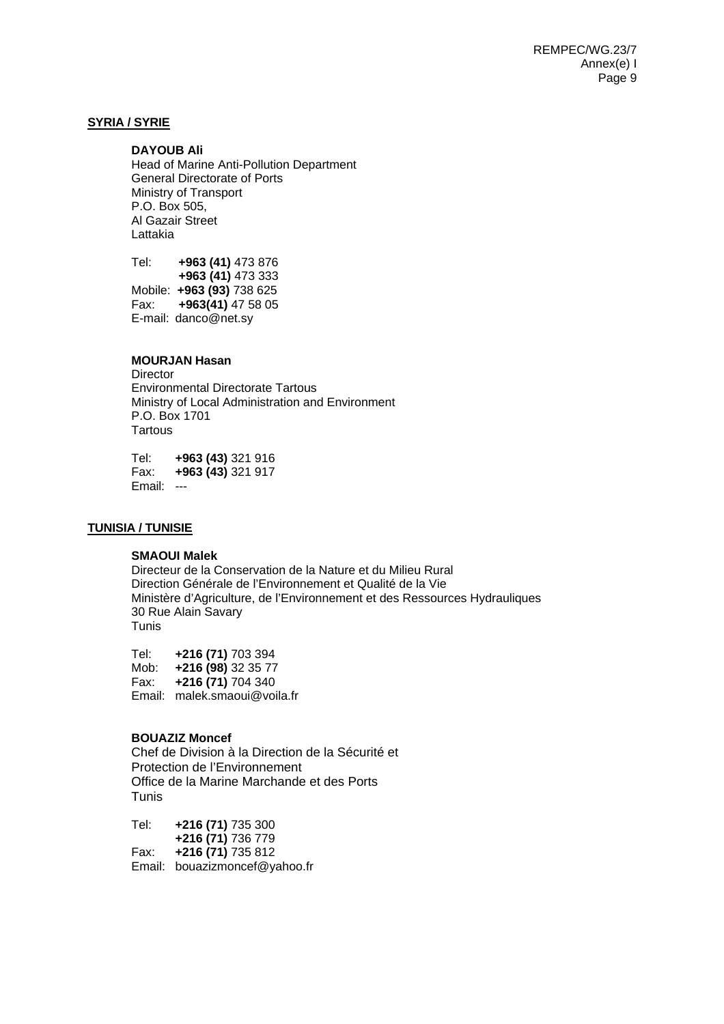## **SYRIA / SYRIE**

#### **DAYOUB Ali**

Head of Marine Anti-Pollution Department General Directorate of Ports Ministry of Transport P.O. Box 505, Al Gazair Street Lattakia

Tel: **+963 (41)** 473 876 **+963 (41)** 473 333 Mobile: **+963 (93)** 738 625 Fax: **+963(41)** 47 58 05 E-mail: danco@net.sy

# **MOURJAN Hasan**

**Director** Environmental Directorate Tartous Ministry of Local Administration and Environment P.O. Box 1701 **Tartous** 

Tel: **+963 (43)** 321 916 Fax: **+963 (43)** 321 917 Email: ---

#### **TUNISIA / TUNISIE**

#### **SMAOUI Malek**

Directeur de la Conservation de la Nature et du Milieu Rural Direction Générale de l'Environnement et Qualité de la Vie Ministère d'Agriculture, de l'Environnement et des Ressources Hydrauliques 30 Rue Alain Savary Tunis

Tel: **+216 (71)** 703 394 Mob: **+216 (98)** 32 35 77 Fax: **+216 (71)** 704 340 Email: malek.smaoui@voila.fr

#### **BOUAZIZ Moncef**

Chef de Division à la Direction de la Sécurité et Protection de l'Environnement Office de la Marine Marchande et des Ports Tunis

Tel: **+216 (71)** 735 300  **+216 (71)** 736 779 Fax: **+216 (71)** 735 812 Email: bouazizmoncef@yahoo.fr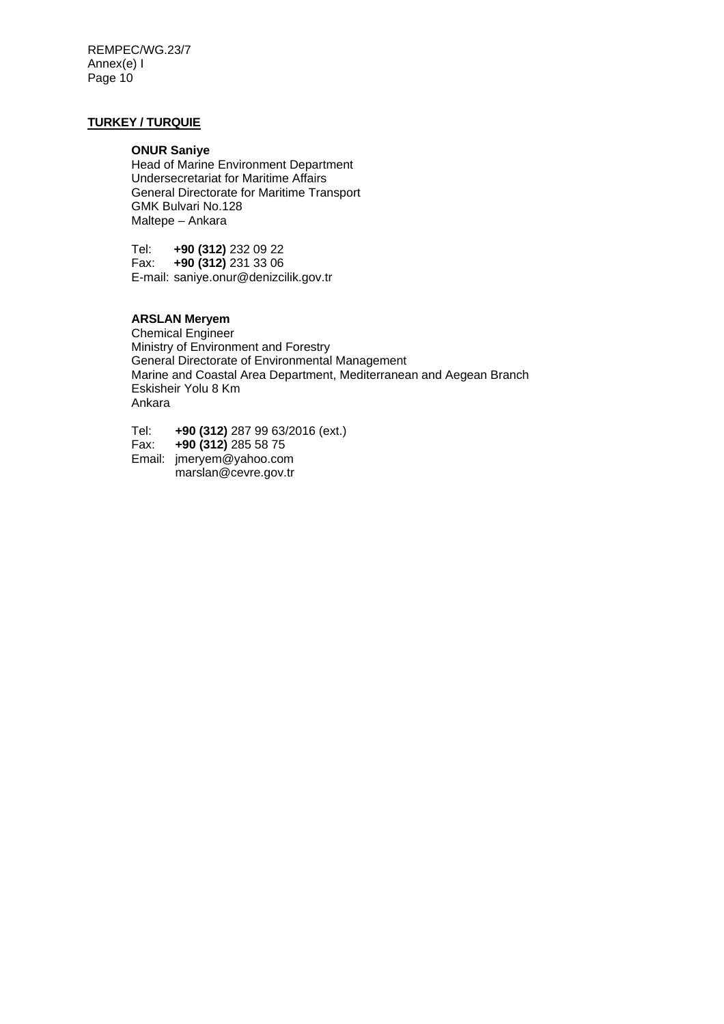REMPEC/WG.23/7 Annex(e) I Page 10

# **TURKEY / TURQUIE**

#### **ONUR Saniye**

Head of Marine Environment Department Undersecretariat for Maritime Affairs General Directorate for Maritime Transport GMK Bulvari No.128 Maltepe – Ankara

Tel: **+90 (312)** 232 09 22 Fax: **+90 (312)** 231 33 06 E-mail: saniye.onur@denizcilik.gov.tr

# **ARSLAN Meryem**

Chemical Engineer Ministry of Environment and Forestry General Directorate of Environmental Management Marine and Coastal Area Department, Mediterranean and Aegean Branch Eskisheir Yolu 8 Km Ankara

Tel: **+90 (312)** 287 99 63/2016 (ext.)

Fax: **+90 (312)** 285 58 75

Email: jmeryem@yahoo.com marslan@cevre.gov.tr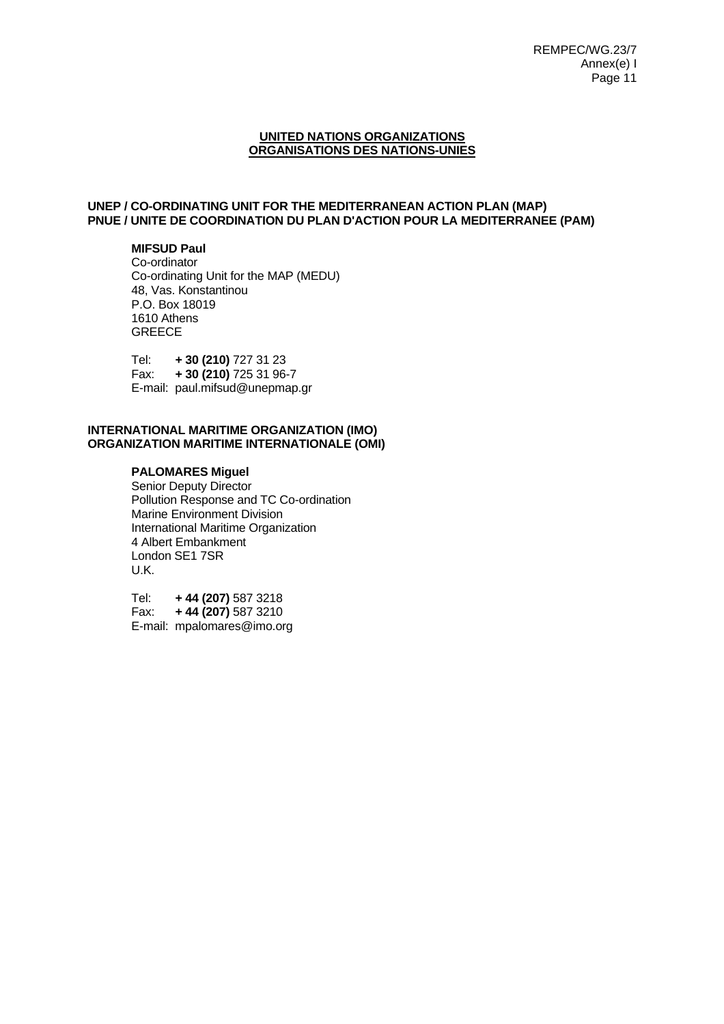#### **UNITED NATIONS ORGANIZATIONS ORGANISATIONS DES NATIONS-UNIES**

# **UNEP / CO-ORDINATING UNIT FOR THE MEDITERRANEAN ACTION PLAN (MAP) PNUE / UNITE DE COORDINATION DU PLAN D'ACTION POUR LA MEDITERRANEE (PAM)**

# **MIFSUD Paul**

Co-ordinator Co-ordinating Unit for the MAP (MEDU) 48, Vas. Konstantinou P.O. Box 18019 1610 Athens **GREECE** 

Tel: **+ 30 (210)** 727 31 23 Fax: **+ 30 (210)** 725 31 96-7 E-mail: paul.mifsud@unepmap.gr

#### **INTERNATIONAL MARITIME ORGANIZATION (IMO) ORGANIZATION MARITIME INTERNATIONALE (OMI)**

# **PALOMARES Miguel**

Senior Deputy Director Pollution Response and TC Co-ordination Marine Environment Division International Maritime Organization 4 Albert Embankment London SE1 7SR U.K.

Tel: **+ 44 (207)** 587 3218 Fax: **+ 44 (207)** 587 3210 E-mail: mpalomares@imo.org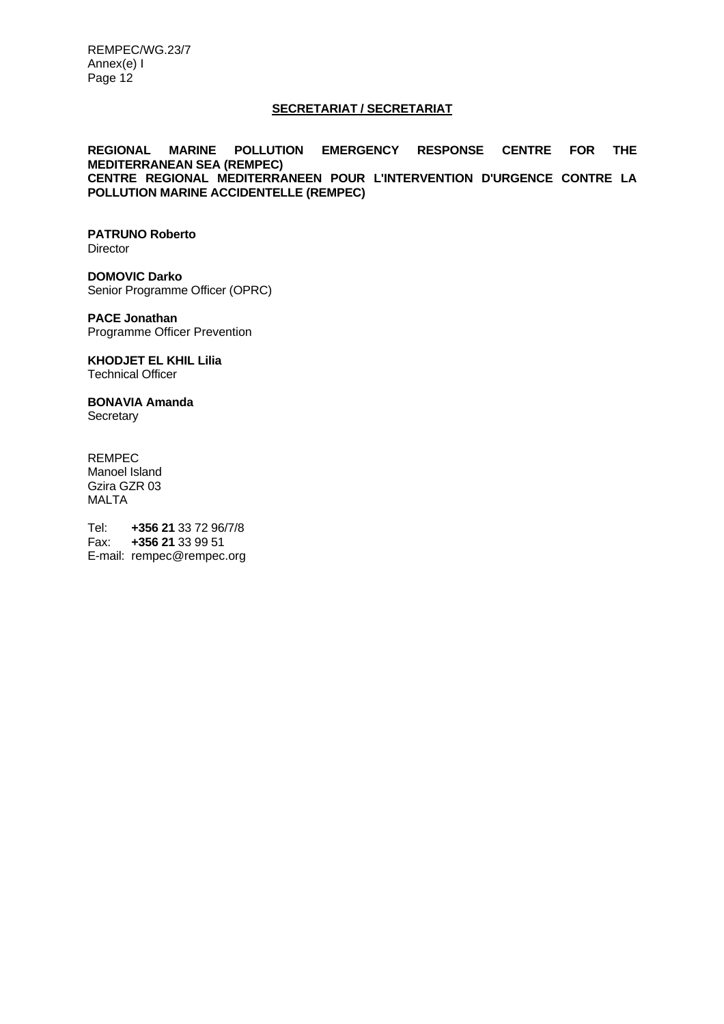REMPEC/WG.23/7 Annex(e) I Page 12

#### **SECRETARIAT / SECRETARIAT**

**REGIONAL MARINE POLLUTION EMERGENCY RESPONSE CENTRE FOR THE MEDITERRANEAN SEA (REMPEC) CENTRE REGIONAL MEDITERRANEEN POUR L'INTERVENTION D'URGENCE CONTRE LA POLLUTION MARINE ACCIDENTELLE (REMPEC)** 

# **PATRUNO Roberto**

**Director** 

**DOMOVIC Darko**  Senior Programme Officer (OPRC)

**PACE Jonathan**  Programme Officer Prevention

**KHODJET EL KHIL Lilia** Technical Officer

**BONAVIA Amanda Secretary** 

REMPEC Manoel Island Gzira GZR 03 MALTA

Tel: **+356 21** 33 72 96/7/8 Fax: **+356 21** 33 99 51 E-mail: rempec@rempec.org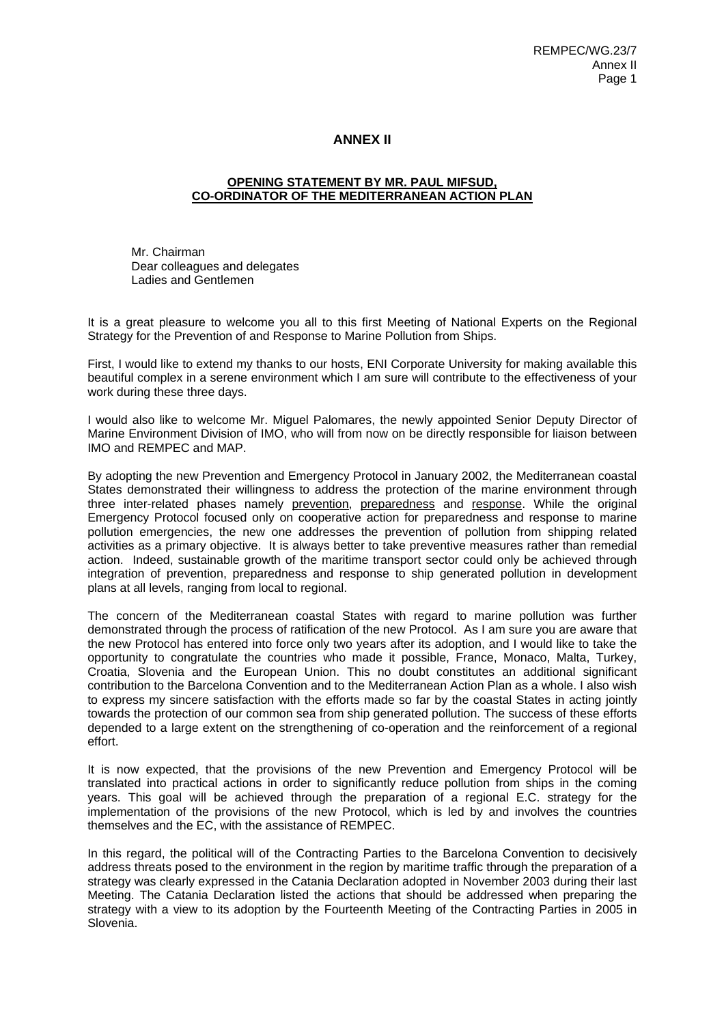# **ANNEX II**

#### **OPENING STATEMENT BY MR. PAUL MIFSUD, CO-ORDINATOR OF THE MEDITERRANEAN ACTION PLAN**

Mr. Chairman Dear colleagues and delegates Ladies and Gentlemen

It is a great pleasure to welcome you all to this first Meeting of National Experts on the Regional Strategy for the Prevention of and Response to Marine Pollution from Ships.

First, I would like to extend my thanks to our hosts, ENI Corporate University for making available this beautiful complex in a serene environment which I am sure will contribute to the effectiveness of your work during these three days.

I would also like to welcome Mr. Miguel Palomares, the newly appointed Senior Deputy Director of Marine Environment Division of IMO, who will from now on be directly responsible for liaison between IMO and REMPEC and MAP.

By adopting the new Prevention and Emergency Protocol in January 2002, the Mediterranean coastal States demonstrated their willingness to address the protection of the marine environment through three inter-related phases namely prevention, preparedness and response. While the original Emergency Protocol focused only on cooperative action for preparedness and response to marine pollution emergencies, the new one addresses the prevention of pollution from shipping related activities as a primary objective. It is always better to take preventive measures rather than remedial action. Indeed, sustainable growth of the maritime transport sector could only be achieved through integration of prevention, preparedness and response to ship generated pollution in development plans at all levels, ranging from local to regional.

The concern of the Mediterranean coastal States with regard to marine pollution was further demonstrated through the process of ratification of the new Protocol. As I am sure you are aware that the new Protocol has entered into force only two years after its adoption, and I would like to take the opportunity to congratulate the countries who made it possible, France, Monaco, Malta, Turkey, Croatia, Slovenia and the European Union. This no doubt constitutes an additional significant contribution to the Barcelona Convention and to the Mediterranean Action Plan as a whole. I also wish to express my sincere satisfaction with the efforts made so far by the coastal States in acting jointly towards the protection of our common sea from ship generated pollution. The success of these efforts depended to a large extent on the strengthening of co-operation and the reinforcement of a regional effort.

It is now expected, that the provisions of the new Prevention and Emergency Protocol will be translated into practical actions in order to significantly reduce pollution from ships in the coming years. This goal will be achieved through the preparation of a regional E.C. strategy for the implementation of the provisions of the new Protocol, which is led by and involves the countries themselves and the EC, with the assistance of REMPEC.

In this regard, the political will of the Contracting Parties to the Barcelona Convention to decisively address threats posed to the environment in the region by maritime traffic through the preparation of a strategy was clearly expressed in the Catania Declaration adopted in November 2003 during their last Meeting. The Catania Declaration listed the actions that should be addressed when preparing the strategy with a view to its adoption by the Fourteenth Meeting of the Contracting Parties in 2005 in Slovenia.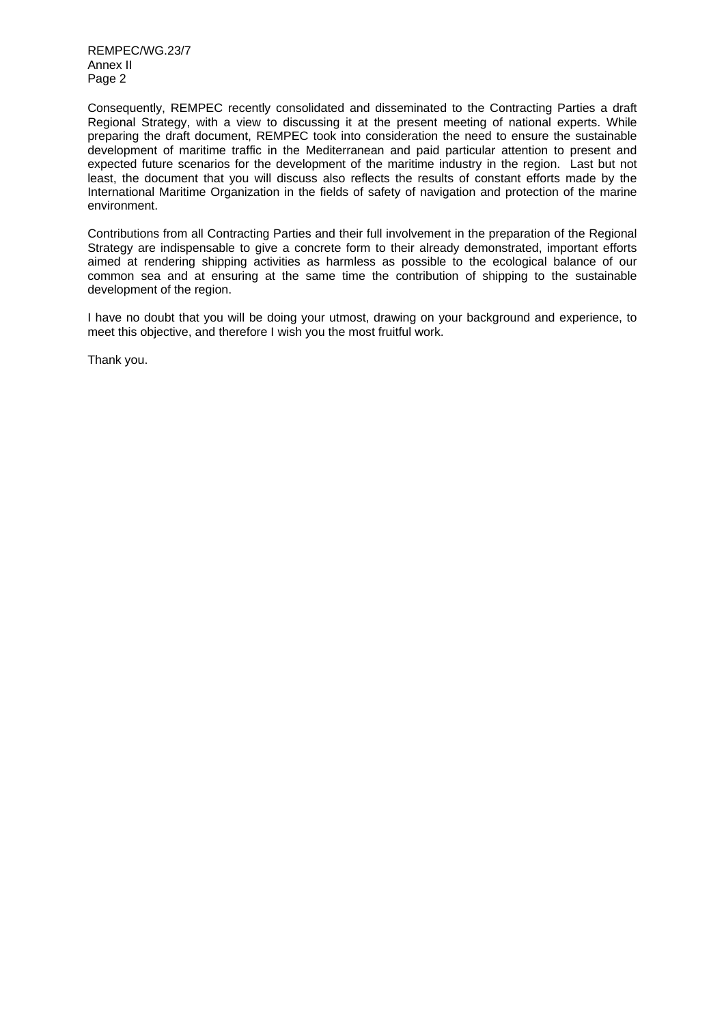REMPEC/WG.23/7 Annex II Page 2

Consequently, REMPEC recently consolidated and disseminated to the Contracting Parties a draft Regional Strategy, with a view to discussing it at the present meeting of national experts. While preparing the draft document, REMPEC took into consideration the need to ensure the sustainable development of maritime traffic in the Mediterranean and paid particular attention to present and expected future scenarios for the development of the maritime industry in the region. Last but not least, the document that you will discuss also reflects the results of constant efforts made by the International Maritime Organization in the fields of safety of navigation and protection of the marine environment.

Contributions from all Contracting Parties and their full involvement in the preparation of the Regional Strategy are indispensable to give a concrete form to their already demonstrated, important efforts aimed at rendering shipping activities as harmless as possible to the ecological balance of our common sea and at ensuring at the same time the contribution of shipping to the sustainable development of the region.

I have no doubt that you will be doing your utmost, drawing on your background and experience, to meet this objective, and therefore I wish you the most fruitful work.

Thank you.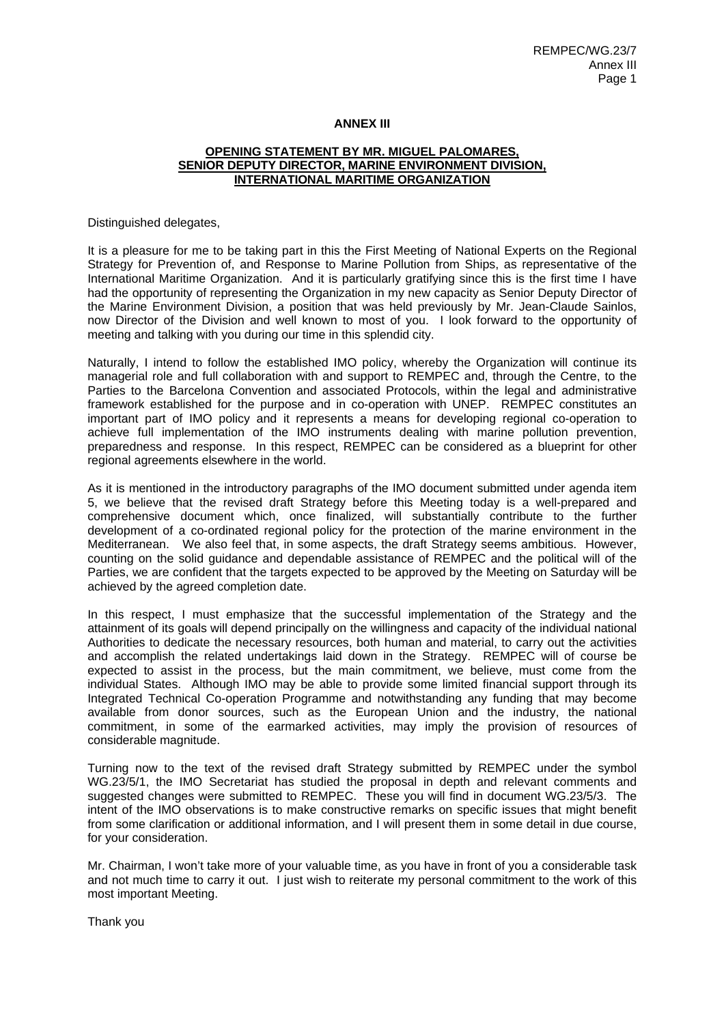#### **ANNEX III**

#### **OPENING STATEMENT BY MR. MIGUEL PALOMARES, SENIOR DEPUTY DIRECTOR, MARINE ENVIRONMENT DIVISION, INTERNATIONAL MARITIME ORGANIZATION**

Distinguished delegates,

It is a pleasure for me to be taking part in this the First Meeting of National Experts on the Regional Strategy for Prevention of, and Response to Marine Pollution from Ships, as representative of the International Maritime Organization. And it is particularly gratifying since this is the first time I have had the opportunity of representing the Organization in my new capacity as Senior Deputy Director of the Marine Environment Division, a position that was held previously by Mr. Jean-Claude Sainlos, now Director of the Division and well known to most of you. I look forward to the opportunity of meeting and talking with you during our time in this splendid city.

Naturally, I intend to follow the established IMO policy, whereby the Organization will continue its managerial role and full collaboration with and support to REMPEC and, through the Centre, to the Parties to the Barcelona Convention and associated Protocols, within the legal and administrative framework established for the purpose and in co-operation with UNEP. REMPEC constitutes an important part of IMO policy and it represents a means for developing regional co-operation to achieve full implementation of the IMO instruments dealing with marine pollution prevention, preparedness and response. In this respect, REMPEC can be considered as a blueprint for other regional agreements elsewhere in the world.

As it is mentioned in the introductory paragraphs of the IMO document submitted under agenda item 5, we believe that the revised draft Strategy before this Meeting today is a well-prepared and comprehensive document which, once finalized, will substantially contribute to the further development of a co-ordinated regional policy for the protection of the marine environment in the Mediterranean. We also feel that, in some aspects, the draft Strategy seems ambitious. However, counting on the solid guidance and dependable assistance of REMPEC and the political will of the Parties, we are confident that the targets expected to be approved by the Meeting on Saturday will be achieved by the agreed completion date.

In this respect, I must emphasize that the successful implementation of the Strategy and the attainment of its goals will depend principally on the willingness and capacity of the individual national Authorities to dedicate the necessary resources, both human and material, to carry out the activities and accomplish the related undertakings laid down in the Strategy. REMPEC will of course be expected to assist in the process, but the main commitment, we believe, must come from the individual States. Although IMO may be able to provide some limited financial support through its Integrated Technical Co-operation Programme and notwithstanding any funding that may become available from donor sources, such as the European Union and the industry, the national commitment, in some of the earmarked activities, may imply the provision of resources of considerable magnitude.

Turning now to the text of the revised draft Strategy submitted by REMPEC under the symbol WG.23/5/1, the IMO Secretariat has studied the proposal in depth and relevant comments and suggested changes were submitted to REMPEC. These you will find in document WG.23/5/3. The intent of the IMO observations is to make constructive remarks on specific issues that might benefit from some clarification or additional information, and I will present them in some detail in due course, for your consideration.

Mr. Chairman, I won't take more of your valuable time, as you have in front of you a considerable task and not much time to carry it out. I just wish to reiterate my personal commitment to the work of this most important Meeting.

Thank you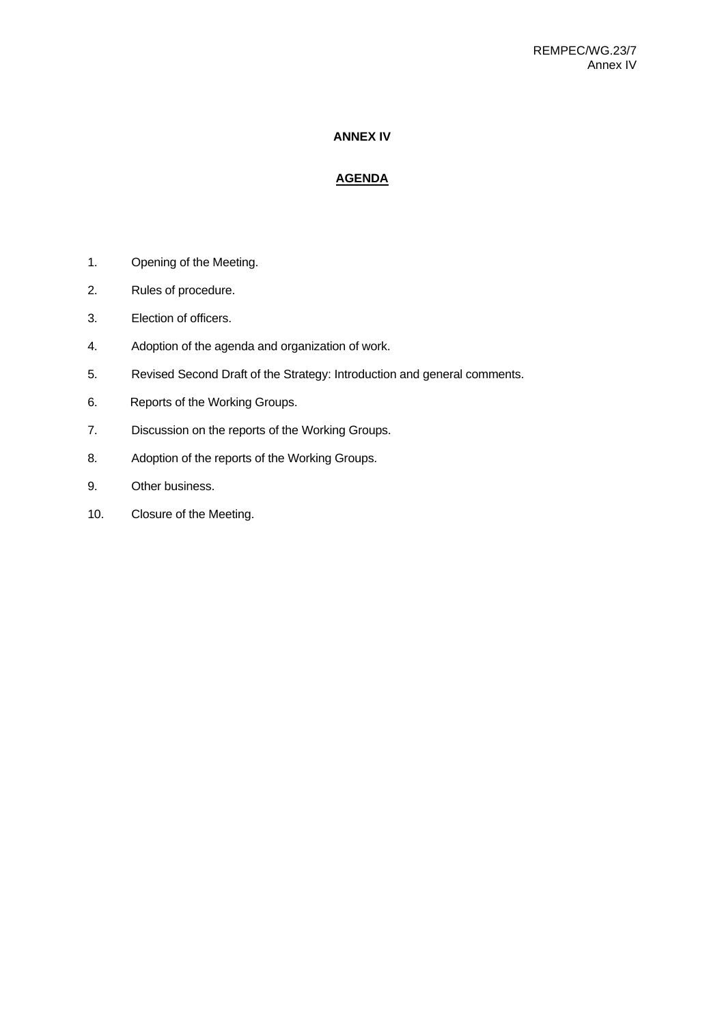# **ANNEX IV**

# **AGENDA**

- 1. Opening of the Meeting.
- 2. Rules of procedure.
- 3. Election of officers.
- 4. Adoption of the agenda and organization of work.
- 5. Revised Second Draft of the Strategy: Introduction and general comments.
- 6. Reports of the Working Groups.
- 7. Discussion on the reports of the Working Groups.
- 8. Adoption of the reports of the Working Groups.
- 9. Other business.
- 10. Closure of the Meeting.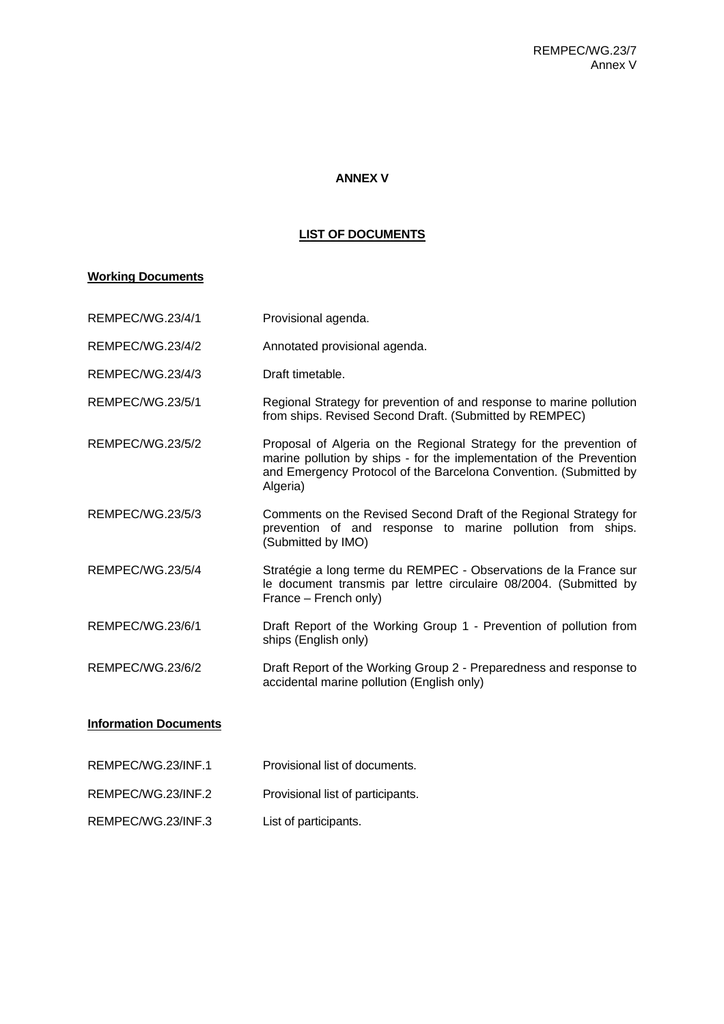# **ANNEX V**

# **LIST OF DOCUMENTS**

# **Working Documents**

| <b>REMPEC/WG.23/4/1</b>      | Provisional agenda.                                                                                                                                                                                                         |
|------------------------------|-----------------------------------------------------------------------------------------------------------------------------------------------------------------------------------------------------------------------------|
| REMPEC/WG.23/4/2             | Annotated provisional agenda.                                                                                                                                                                                               |
| REMPEC/WG.23/4/3             | Draft timetable.                                                                                                                                                                                                            |
| REMPEC/WG.23/5/1             | Regional Strategy for prevention of and response to marine pollution<br>from ships. Revised Second Draft. (Submitted by REMPEC)                                                                                             |
| REMPEC/WG.23/5/2             | Proposal of Algeria on the Regional Strategy for the prevention of<br>marine pollution by ships - for the implementation of the Prevention<br>and Emergency Protocol of the Barcelona Convention. (Submitted by<br>Algeria) |
| REMPEC/WG.23/5/3             | Comments on the Revised Second Draft of the Regional Strategy for<br>prevention of and response to marine pollution from ships.<br>(Submitted by IMO)                                                                       |
| REMPEC/WG.23/5/4             | Stratégie a long terme du REMPEC - Observations de la France sur<br>le document transmis par lettre circulaire 08/2004. (Submitted by<br>France – French only)                                                              |
| REMPEC/WG.23/6/1             | Draft Report of the Working Group 1 - Prevention of pollution from<br>ships (English only)                                                                                                                                  |
| REMPEC/WG.23/6/2             | Draft Report of the Working Group 2 - Preparedness and response to<br>accidental marine pollution (English only)                                                                                                            |
| <b>Information Documents</b> |                                                                                                                                                                                                                             |
| REMPEC/WG.23/INF.1           | Provisional list of documents.                                                                                                                                                                                              |
| REMPEC/WG.23/INF.2           | Provisional list of participants.                                                                                                                                                                                           |

REMPEC/WG.23/INF.3 List of participants.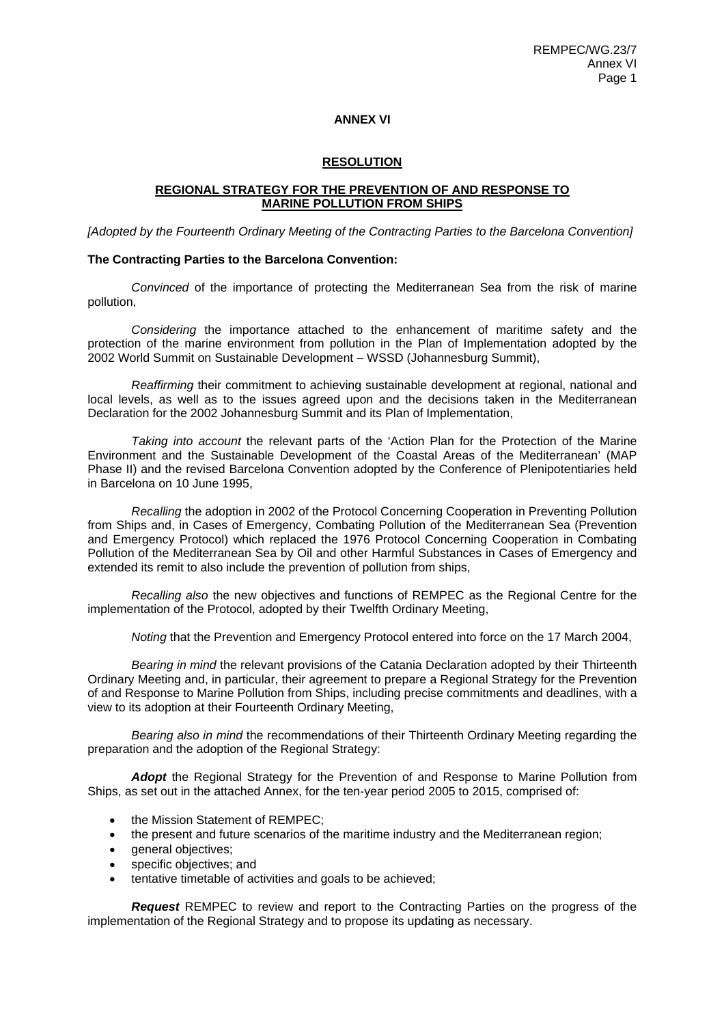#### **ANNEX VI**

#### **RESOLUTION**

#### **REGIONAL STRATEGY FOR THE PREVENTION OF AND RESPONSE TO MARINE POLLUTION FROM SHIPS**

*[Adopted by the Fourteenth Ordinary Meeting of the Contracting Parties to the Barcelona Convention]* 

#### **The Contracting Parties to the Barcelona Convention:**

*Convinced* of the importance of protecting the Mediterranean Sea from the risk of marine pollution,

*Considering* the importance attached to the enhancement of maritime safety and the protection of the marine environment from pollution in the Plan of Implementation adopted by the 2002 World Summit on Sustainable Development – WSSD (Johannesburg Summit),

*Reaffirming* their commitment to achieving sustainable development at regional, national and local levels, as well as to the issues agreed upon and the decisions taken in the Mediterranean Declaration for the 2002 Johannesburg Summit and its Plan of Implementation,

*Taking into account* the relevant parts of the 'Action Plan for the Protection of the Marine Environment and the Sustainable Development of the Coastal Areas of the Mediterranean' (MAP Phase II) and the revised Barcelona Convention adopted by the Conference of Plenipotentiaries held in Barcelona on 10 June 1995,

*Recalling* the adoption in 2002 of the Protocol Concerning Cooperation in Preventing Pollution from Ships and, in Cases of Emergency, Combating Pollution of the Mediterranean Sea (Prevention and Emergency Protocol) which replaced the 1976 Protocol Concerning Cooperation in Combating Pollution of the Mediterranean Sea by Oil and other Harmful Substances in Cases of Emergency and extended its remit to also include the prevention of pollution from ships,

*Recalling also* the new objectives and functions of REMPEC as the Regional Centre for the implementation of the Protocol, adopted by their Twelfth Ordinary Meeting,

*Noting* that the Prevention and Emergency Protocol entered into force on the 17 March 2004,

*Bearing in mind* the relevant provisions of the Catania Declaration adopted by their Thirteenth Ordinary Meeting and, in particular, their agreement to prepare a Regional Strategy for the Prevention of and Response to Marine Pollution from Ships, including precise commitments and deadlines, with a view to its adoption at their Fourteenth Ordinary Meeting,

*Bearing also in mind* the recommendations of their Thirteenth Ordinary Meeting regarding the preparation and the adoption of the Regional Strategy:

*Adopt* the Regional Strategy for the Prevention of and Response to Marine Pollution from Ships, as set out in the attached Annex, for the ten-year period 2005 to 2015, comprised of:

- the Mission Statement of REMPEC:
- the present and future scenarios of the maritime industry and the Mediterranean region;
- general objectives;
- specific objectives; and
- tentative timetable of activities and goals to be achieved;

*Request* REMPEC to review and report to the Contracting Parties on the progress of the implementation of the Regional Strategy and to propose its updating as necessary.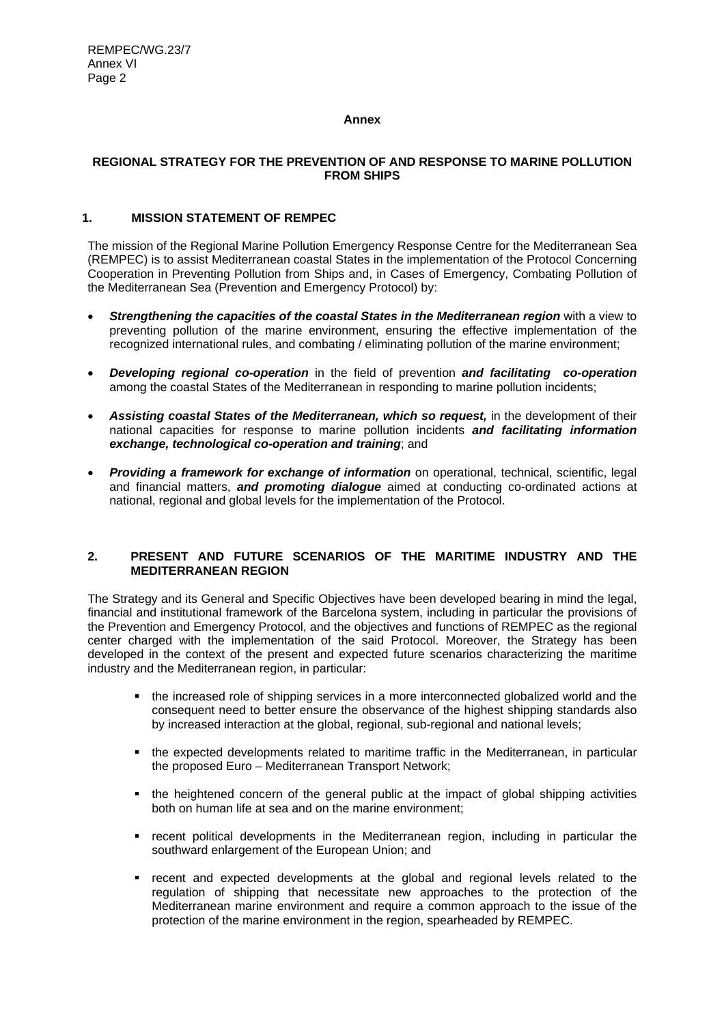# **Annex**

# **REGIONAL STRATEGY FOR THE PREVENTION OF AND RESPONSE TO MARINE POLLUTION FROM SHIPS**

# **1. MISSION STATEMENT OF REMPEC**

The mission of the Regional Marine Pollution Emergency Response Centre for the Mediterranean Sea (REMPEC) is to assist Mediterranean coastal States in the implementation of the Protocol Concerning Cooperation in Preventing Pollution from Ships and, in Cases of Emergency, Combating Pollution of the Mediterranean Sea (Prevention and Emergency Protocol) by:

- *Strengthening the capacities of the coastal States in the Mediterranean region* with a view to preventing pollution of the marine environment, ensuring the effective implementation of the recognized international rules, and combating / eliminating pollution of the marine environment;
- *Developing regional co-operation* in the field of prevention *and facilitating co-operation* among the coastal States of the Mediterranean in responding to marine pollution incidents;
- *Assisting coastal States of the Mediterranean, which so request,* in the development of their national capacities for response to marine pollution incidents *and facilitating information exchange, technological co-operation and training*; and
- *Providing a framework for exchange of information* on operational, technical, scientific, legal and financial matters, *and promoting dialogue* aimed at conducting co-ordinated actions at national, regional and global levels for the implementation of the Protocol.

## **2. PRESENT AND FUTURE SCENARIOS OF THE MARITIME INDUSTRY AND THE MEDITERRANEAN REGION**

The Strategy and its General and Specific Objectives have been developed bearing in mind the legal, financial and institutional framework of the Barcelona system, including in particular the provisions of the Prevention and Emergency Protocol, and the objectives and functions of REMPEC as the regional center charged with the implementation of the said Protocol. Moreover, the Strategy has been developed in the context of the present and expected future scenarios characterizing the maritime industry and the Mediterranean region, in particular:

- the increased role of shipping services in a more interconnected globalized world and the consequent need to better ensure the observance of the highest shipping standards also by increased interaction at the global, regional, sub-regional and national levels;
- the expected developments related to maritime traffic in the Mediterranean, in particular the proposed Euro – Mediterranean Transport Network;
- the heightened concern of the general public at the impact of global shipping activities both on human life at sea and on the marine environment;
- recent political developments in the Mediterranean region, including in particular the southward enlargement of the European Union; and
- recent and expected developments at the global and regional levels related to the regulation of shipping that necessitate new approaches to the protection of the Mediterranean marine environment and require a common approach to the issue of the protection of the marine environment in the region, spearheaded by REMPEC.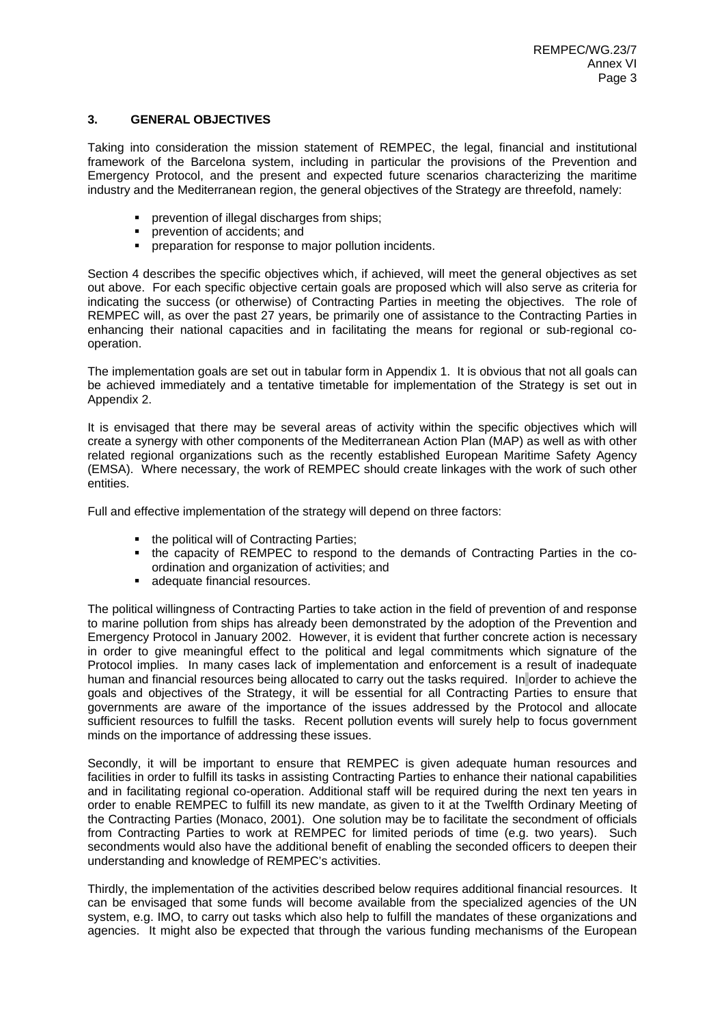# **3. GENERAL OBJECTIVES**

Taking into consideration the mission statement of REMPEC, the legal, financial and institutional framework of the Barcelona system, including in particular the provisions of the Prevention and Emergency Protocol, and the present and expected future scenarios characterizing the maritime industry and the Mediterranean region, the general objectives of the Strategy are threefold, namely:

- prevention of illegal discharges from ships;
- prevention of accidents; and
- preparation for response to major pollution incidents.

Section 4 describes the specific objectives which, if achieved, will meet the general objectives as set out above. For each specific objective certain goals are proposed which will also serve as criteria for indicating the success (or otherwise) of Contracting Parties in meeting the objectives. The role of REMPEC will, as over the past 27 years, be primarily one of assistance to the Contracting Parties in enhancing their national capacities and in facilitating the means for regional or sub-regional cooperation.

The implementation goals are set out in tabular form in Appendix 1. It is obvious that not all goals can be achieved immediately and a tentative timetable for implementation of the Strategy is set out in Appendix 2.

It is envisaged that there may be several areas of activity within the specific objectives which will create a synergy with other components of the Mediterranean Action Plan (MAP) as well as with other related regional organizations such as the recently established European Maritime Safety Agency (EMSA). Where necessary, the work of REMPEC should create linkages with the work of such other entities.

Full and effective implementation of the strategy will depend on three factors:

- the political will of Contracting Parties;
- the capacity of REMPEC to respond to the demands of Contracting Parties in the coordination and organization of activities; and
- **adequate financial resources.**

The political willingness of Contracting Parties to take action in the field of prevention of and response to marine pollution from ships has already been demonstrated by the adoption of the Prevention and Emergency Protocol in January 2002. However, it is evident that further concrete action is necessary in order to give meaningful effect to the political and legal commitments which signature of the Protocol implies. In many cases lack of implementation and enforcement is a result of inadequate human and financial resources being allocated to carry out the tasks required. In order to achieve the goals and objectives of the Strategy, it will be essential for all Contracting Parties to ensure that governments are aware of the importance of the issues addressed by the Protocol and allocate sufficient resources to fulfill the tasks. Recent pollution events will surely help to focus government minds on the importance of addressing these issues.

Secondly, it will be important to ensure that REMPEC is given adequate human resources and facilities in order to fulfill its tasks in assisting Contracting Parties to enhance their national capabilities and in facilitating regional co-operation. Additional staff will be required during the next ten years in order to enable REMPEC to fulfill its new mandate, as given to it at the Twelfth Ordinary Meeting of the Contracting Parties (Monaco, 2001). One solution may be to facilitate the secondment of officials from Contracting Parties to work at REMPEC for limited periods of time (e.g. two years). Such secondments would also have the additional benefit of enabling the seconded officers to deepen their understanding and knowledge of REMPEC's activities.

Thirdly, the implementation of the activities described below requires additional financial resources. It can be envisaged that some funds will become available from the specialized agencies of the UN system, e.g. IMO, to carry out tasks which also help to fulfill the mandates of these organizations and agencies. It might also be expected that through the various funding mechanisms of the European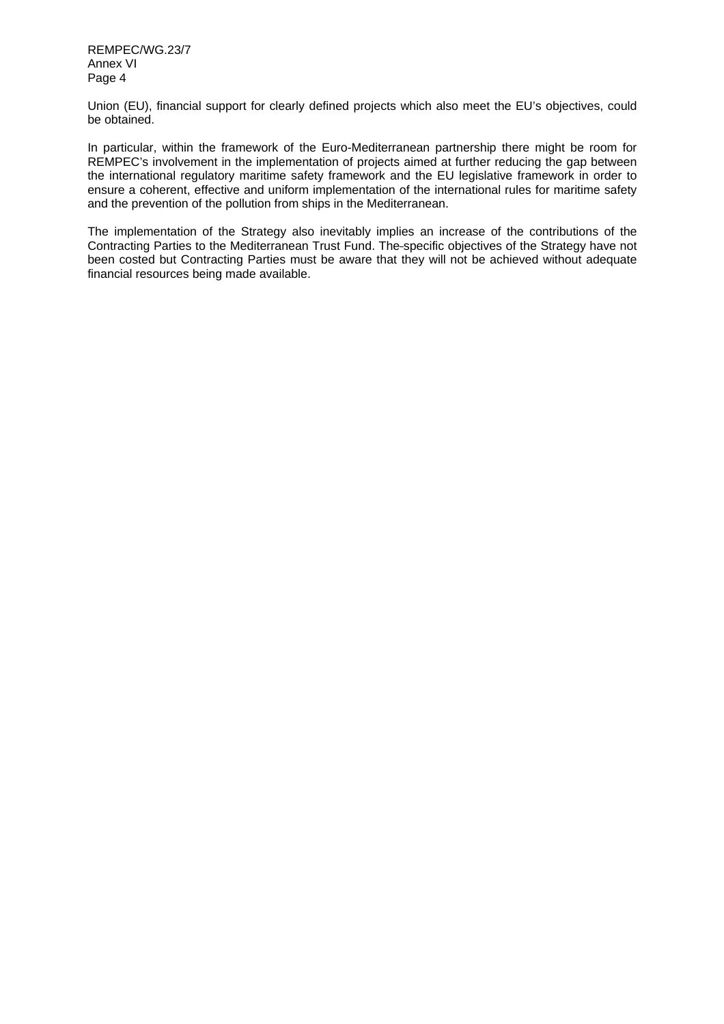REMPEC/WG.23/7 Annex VI Page 4

Union (EU), financial support for clearly defined projects which also meet the EU's objectives, could be obtained.

In particular, within the framework of the Euro-Mediterranean partnership there might be room for REMPEC's involvement in the implementation of projects aimed at further reducing the gap between the international regulatory maritime safety framework and the EU legislative framework in order to ensure a coherent, effective and uniform implementation of the international rules for maritime safety and the prevention of the pollution from ships in the Mediterranean.

The implementation of the Strategy also inevitably implies an increase of the contributions of the Contracting Parties to the Mediterranean Trust Fund. The specific objectives of the Strategy have not been costed but Contracting Parties must be aware that they will not be achieved without adequate financial resources being made available.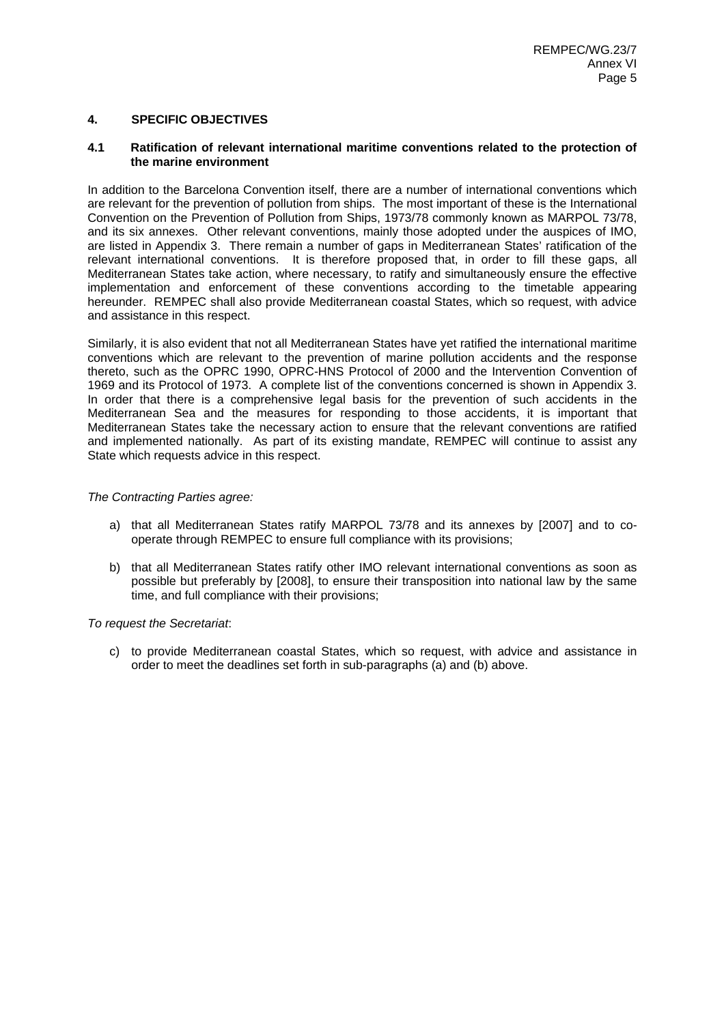# **4. SPECIFIC OBJECTIVES**

#### **4.1 Ratification of relevant international maritime conventions related to the protection of the marine environment**

In addition to the Barcelona Convention itself, there are a number of international conventions which are relevant for the prevention of pollution from ships. The most important of these is the International Convention on the Prevention of Pollution from Ships, 1973/78 commonly known as MARPOL 73/78, and its six annexes. Other relevant conventions, mainly those adopted under the auspices of IMO, are listed in Appendix 3. There remain a number of gaps in Mediterranean States' ratification of the relevant international conventions. It is therefore proposed that, in order to fill these gaps, all Mediterranean States take action, where necessary, to ratify and simultaneously ensure the effective implementation and enforcement of these conventions according to the timetable appearing hereunder. REMPEC shall also provide Mediterranean coastal States, which so request, with advice and assistance in this respect.

Similarly, it is also evident that not all Mediterranean States have yet ratified the international maritime conventions which are relevant to the prevention of marine pollution accidents and the response thereto, such as the OPRC 1990, OPRC-HNS Protocol of 2000 and the Intervention Convention of 1969 and its Protocol of 1973. A complete list of the conventions concerned is shown in Appendix 3. In order that there is a comprehensive legal basis for the prevention of such accidents in the Mediterranean Sea and the measures for responding to those accidents, it is important that Mediterranean States take the necessary action to ensure that the relevant conventions are ratified and implemented nationally. As part of its existing mandate, REMPEC will continue to assist any State which requests advice in this respect.

#### *The Contracting Parties agree:*

- a) that all Mediterranean States ratify MARPOL 73/78 and its annexes by [2007] and to cooperate through REMPEC to ensure full compliance with its provisions;
- b) that all Mediterranean States ratify other IMO relevant international conventions as soon as possible but preferably by [2008], to ensure their transposition into national law by the same time, and full compliance with their provisions;

*To request the Secretariat*:

c) to provide Mediterranean coastal States, which so request, with advice and assistance in order to meet the deadlines set forth in sub-paragraphs (a) and (b) above.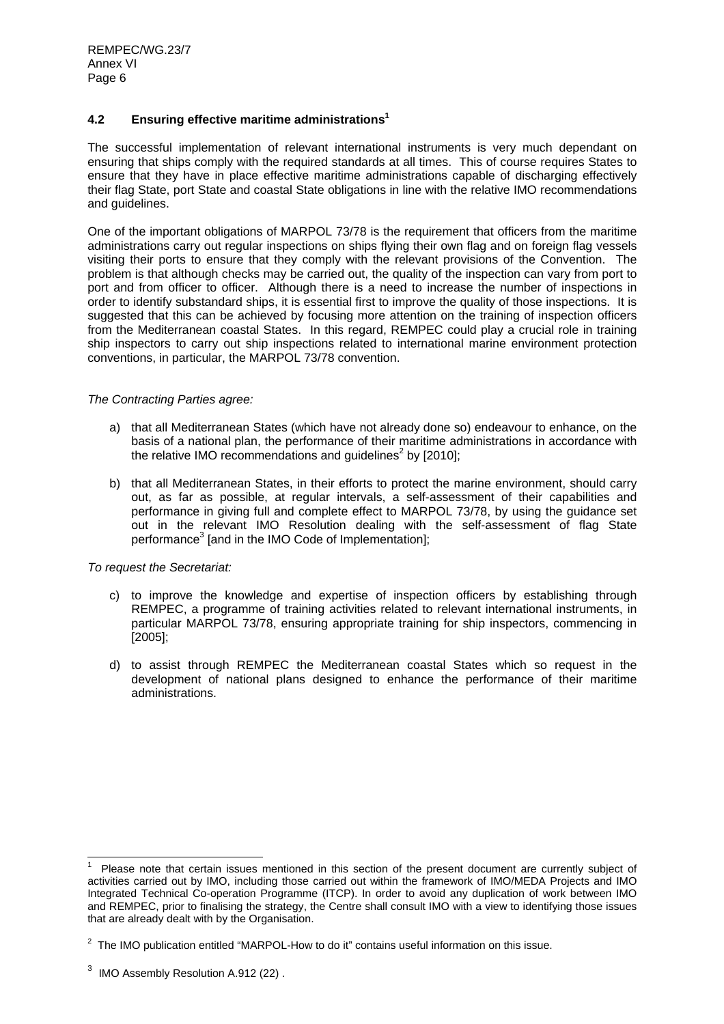# **4.2 Ensuring effective maritime administrations1**

The successful implementation of relevant international instruments is very much dependant on ensuring that ships comply with the required standards at all times. This of course requires States to ensure that they have in place effective maritime administrations capable of discharging effectively their flag State, port State and coastal State obligations in line with the relative IMO recommendations and guidelines.

One of the important obligations of MARPOL 73/78 is the requirement that officers from the maritime administrations carry out regular inspections on ships flying their own flag and on foreign flag vessels visiting their ports to ensure that they comply with the relevant provisions of the Convention. The problem is that although checks may be carried out, the quality of the inspection can vary from port to port and from officer to officer. Although there is a need to increase the number of inspections in order to identify substandard ships, it is essential first to improve the quality of those inspections. It is suggested that this can be achieved by focusing more attention on the training of inspection officers from the Mediterranean coastal States. In this regard, REMPEC could play a crucial role in training ship inspectors to carry out ship inspections related to international marine environment protection conventions, in particular, the MARPOL 73/78 convention.

#### *The Contracting Parties agree:*

- a) that all Mediterranean States (which have not already done so) endeavour to enhance, on the basis of a national plan, the performance of their maritime administrations in accordance with the relative IMO recommendations and guidelines<sup>2</sup> by [2010];
- b) that all Mediterranean States, in their efforts to protect the marine environment, should carry out, as far as possible, at regular intervals, a self-assessment of their capabilities and performance in giving full and complete effect to MARPOL 73/78, by using the guidance set out in the relevant IMO Resolution dealing with the self-assessment of flag State performance<sup>3</sup> [and in the IMO Code of Implementation];

# *To request the Secretariat:*

- c) to improve the knowledge and expertise of inspection officers by establishing through REMPEC, a programme of training activities related to relevant international instruments, in particular MARPOL 73/78, ensuring appropriate training for ship inspectors, commencing in [2005];
- d) to assist through REMPEC the Mediterranean coastal States which so request in the development of national plans designed to enhance the performance of their maritime administrations.

<sup>1</sup> Please note that certain issues mentioned in this section of the present document are currently subject of activities carried out by IMO, including those carried out within the framework of IMO/MEDA Projects and IMO Integrated Technical Co-operation Programme (ITCP). In order to avoid any duplication of work between IMO and REMPEC, prior to finalising the strategy, the Centre shall consult IMO with a view to identifying those issues that are already dealt with by the Organisation.

 $2$  The IMO publication entitled "MARPOL-How to do it" contains useful information on this issue.

 $^3$  IMO Assembly Resolution A.912 (22) .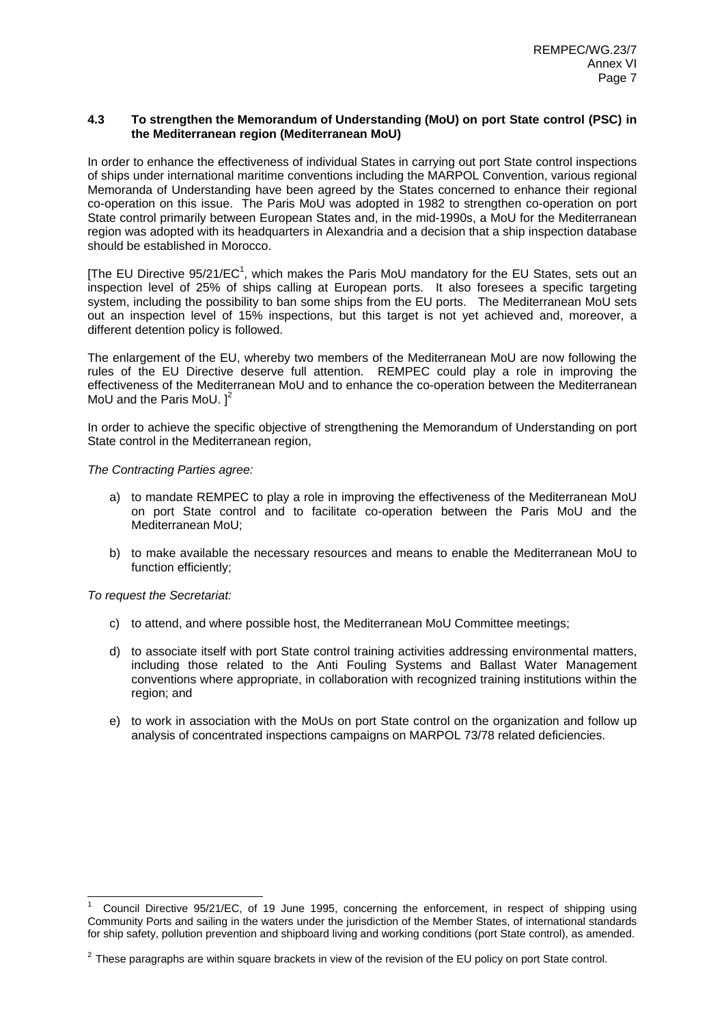## **4.3 To strengthen the Memorandum of Understanding (MoU) on port State control (PSC) in the Mediterranean region (Mediterranean MoU)**

In order to enhance the effectiveness of individual States in carrying out port State control inspections of ships under international maritime conventions including the MARPOL Convention, various regional Memoranda of Understanding have been agreed by the States concerned to enhance their regional co-operation on this issue. The Paris MoU was adopted in 1982 to strengthen co-operation on port State control primarily between European States and, in the mid-1990s, a MoU for the Mediterranean region was adopted with its headquarters in Alexandria and a decision that a ship inspection database should be established in Morocco.

[The EU Directive 95/21/EC<sup>1</sup>, which makes the Paris MoU mandatory for the EU States, sets out an inspection level of 25% of ships calling at European ports. It also foresees a specific targeting system, including the possibility to ban some ships from the EU ports. The Mediterranean MoU sets out an inspection level of 15% inspections, but this target is not yet achieved and, moreover, a different detention policy is followed.

The enlargement of the EU, whereby two members of the Mediterranean MoU are now following the rules of the EU Directive deserve full attention. REMPEC could play a role in improving the effectiveness of the Mediterranean MoU and to enhance the co-operation between the Mediterranean MoU and the Paris MoU.  $1^2$ 

In order to achieve the specific objective of strengthening the Memorandum of Understanding on port State control in the Mediterranean region,

## *The Contracting Parties agree:*

- a) to mandate REMPEC to play a role in improving the effectiveness of the Mediterranean MoU on port State control and to facilitate co-operation between the Paris MoU and the Mediterranean MoU;
- b) to make available the necessary resources and means to enable the Mediterranean MoU to function efficiently;

*To request the Secretariat:*

- c) to attend, and where possible host, the Mediterranean MoU Committee meetings;
- d) to associate itself with port State control training activities addressing environmental matters, including those related to the Anti Fouling Systems and Ballast Water Management conventions where appropriate, in collaboration with recognized training institutions within the region; and
- e) to work in association with the MoUs on port State control on the organization and follow up analysis of concentrated inspections campaigns on MARPOL 73/78 related deficiencies.

<sup>1</sup> Council Directive 95/21/EC, of 19 June 1995, concerning the enforcement, in respect of shipping using Community Ports and sailing in the waters under the jurisdiction of the Member States, of international standards for ship safety, pollution prevention and shipboard living and working conditions (port State control), as amended.

 $2$  These paragraphs are within square brackets in view of the revision of the EU policy on port State control.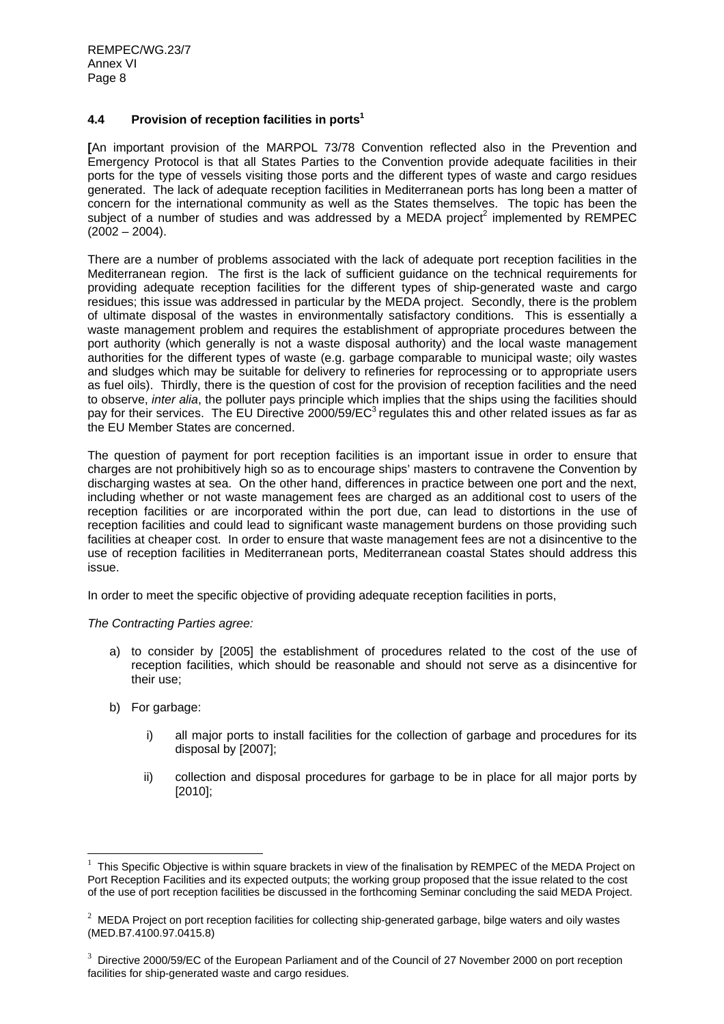REMPEC/WG.23/7 Annex VI Page 8

## **4.4 Provision of reception facilities in ports1**

**[**An important provision of the MARPOL 73/78 Convention reflected also in the Prevention and Emergency Protocol is that all States Parties to the Convention provide adequate facilities in their ports for the type of vessels visiting those ports and the different types of waste and cargo residues generated. The lack of adequate reception facilities in Mediterranean ports has long been a matter of concern for the international community as well as the States themselves. The topic has been the subject of a number of studies and was addressed by a MEDA project<sup>2</sup> implemented by REMPEC  $(2002 - 2004)$ .

There are a number of problems associated with the lack of adequate port reception facilities in the Mediterranean region. The first is the lack of sufficient guidance on the technical requirements for providing adequate reception facilities for the different types of ship-generated waste and cargo residues; this issue was addressed in particular by the MEDA project. Secondly, there is the problem of ultimate disposal of the wastes in environmentally satisfactory conditions. This is essentially a waste management problem and requires the establishment of appropriate procedures between the port authority (which generally is not a waste disposal authority) and the local waste management authorities for the different types of waste (e.g. garbage comparable to municipal waste; oily wastes and sludges which may be suitable for delivery to refineries for reprocessing or to appropriate users as fuel oils). Thirdly, there is the question of cost for the provision of reception facilities and the need to observe, *inter alia*, the polluter pays principle which implies that the ships using the facilities should pay for their services. The EU Directive 2000/59/ $EC^3$  regulates this and other related issues as far as the EU Member States are concerned.

The question of payment for port reception facilities is an important issue in order to ensure that charges are not prohibitively high so as to encourage ships' masters to contravene the Convention by discharging wastes at sea. On the other hand, differences in practice between one port and the next, including whether or not waste management fees are charged as an additional cost to users of the reception facilities or are incorporated within the port due, can lead to distortions in the use of reception facilities and could lead to significant waste management burdens on those providing such facilities at cheaper cost. In order to ensure that waste management fees are not a disincentive to the use of reception facilities in Mediterranean ports, Mediterranean coastal States should address this issue.

In order to meet the specific objective of providing adequate reception facilities in ports,

*The Contracting Parties agree:* 

- a) to consider by [2005] the establishment of procedures related to the cost of the use of reception facilities, which should be reasonable and should not serve as a disincentive for their use;
- b) For garbage:

- i) all major ports to install facilities for the collection of garbage and procedures for its disposal by [2007];
- ii) collection and disposal procedures for garbage to be in place for all major ports by [2010];

 $1$  This Specific Objective is within square brackets in view of the finalisation by REMPEC of the MEDA Project on Port Reception Facilities and its expected outputs; the working group proposed that the issue related to the cost of the use of port reception facilities be discussed in the forthcoming Seminar concluding the said MEDA Project.

 $2$  MEDA Project on port reception facilities for collecting ship-generated garbage, bilge waters and oily wastes (MED.B7.4100.97.0415.8)

 $3$  Directive 2000/59/EC of the European Parliament and of the Council of 27 November 2000 on port reception facilities for ship-generated waste and cargo residues.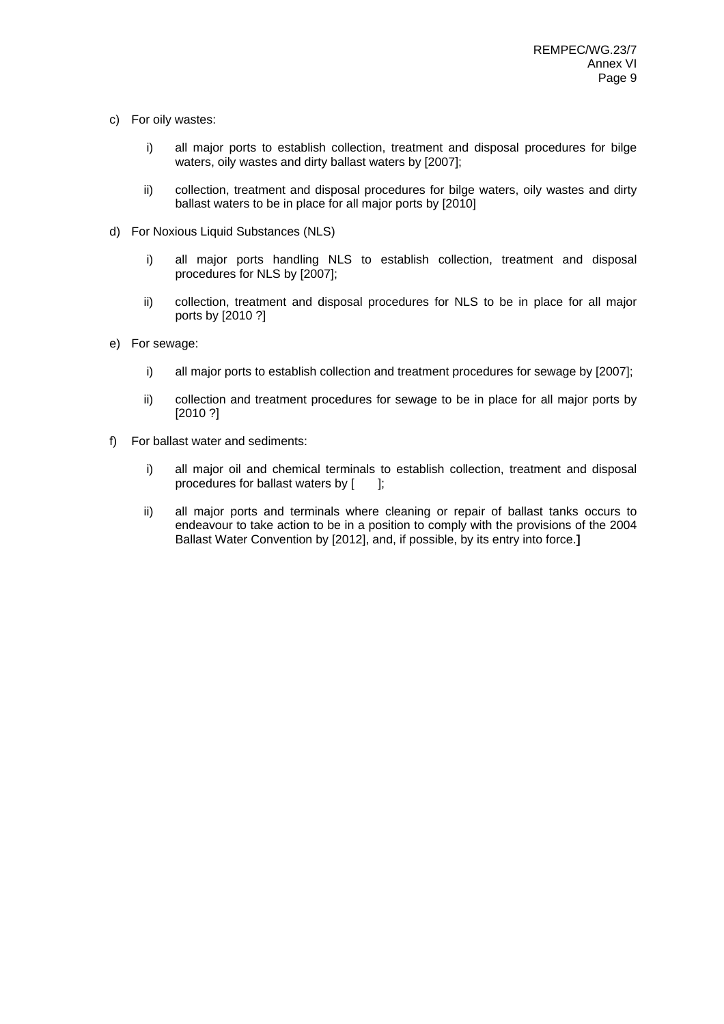- c) For oily wastes:
	- i) all major ports to establish collection, treatment and disposal procedures for bilge waters, oily wastes and dirty ballast waters by [2007];
	- ii) collection, treatment and disposal procedures for bilge waters, oily wastes and dirty ballast waters to be in place for all major ports by [2010]
- d) For Noxious Liquid Substances (NLS)
	- i) all major ports handling NLS to establish collection, treatment and disposal procedures for NLS by [2007];
	- ii) collection, treatment and disposal procedures for NLS to be in place for all major ports by [2010 ?]
- e) For sewage:
	- i) all major ports to establish collection and treatment procedures for sewage by [2007];
	- ii) collection and treatment procedures for sewage to be in place for all major ports by [2010 ?]
- f) For ballast water and sediments:
	- i) all major oil and chemical terminals to establish collection, treatment and disposal procedures for ballast waters by [ ];
	- ii) all major ports and terminals where cleaning or repair of ballast tanks occurs to endeavour to take action to be in a position to comply with the provisions of the 2004 Ballast Water Convention by [2012], and, if possible, by its entry into force.**]**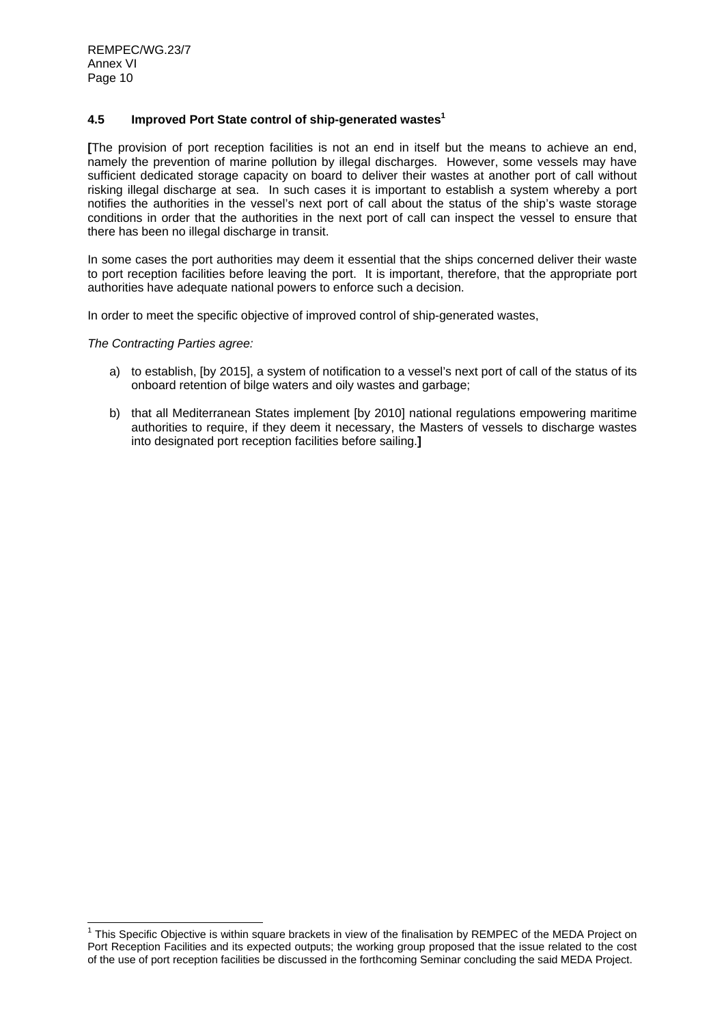# **4.5 Improved Port State control of ship-generated wastes1**

**[**The provision of port reception facilities is not an end in itself but the means to achieve an end, namely the prevention of marine pollution by illegal discharges. However, some vessels may have sufficient dedicated storage capacity on board to deliver their wastes at another port of call without risking illegal discharge at sea. In such cases it is important to establish a system whereby a port notifies the authorities in the vessel's next port of call about the status of the ship's waste storage conditions in order that the authorities in the next port of call can inspect the vessel to ensure that there has been no illegal discharge in transit.

In some cases the port authorities may deem it essential that the ships concerned deliver their waste to port reception facilities before leaving the port. It is important, therefore, that the appropriate port authorities have adequate national powers to enforce such a decision.

In order to meet the specific objective of improved control of ship-generated wastes,

*The Contracting Parties agree:* 

- a) to establish, [by 2015], a system of notification to a vessel's next port of call of the status of its onboard retention of bilge waters and oily wastes and garbage;
- b) that all Mediterranean States implement [by 2010] national regulations empowering maritime authorities to require, if they deem it necessary, the Masters of vessels to discharge wastes into designated port reception facilities before sailing.**]**

 1 This Specific Objective is within square brackets in view of the finalisation by REMPEC of the MEDA Project on Port Reception Facilities and its expected outputs; the working group proposed that the issue related to the cost of the use of port reception facilities be discussed in the forthcoming Seminar concluding the said MEDA Project.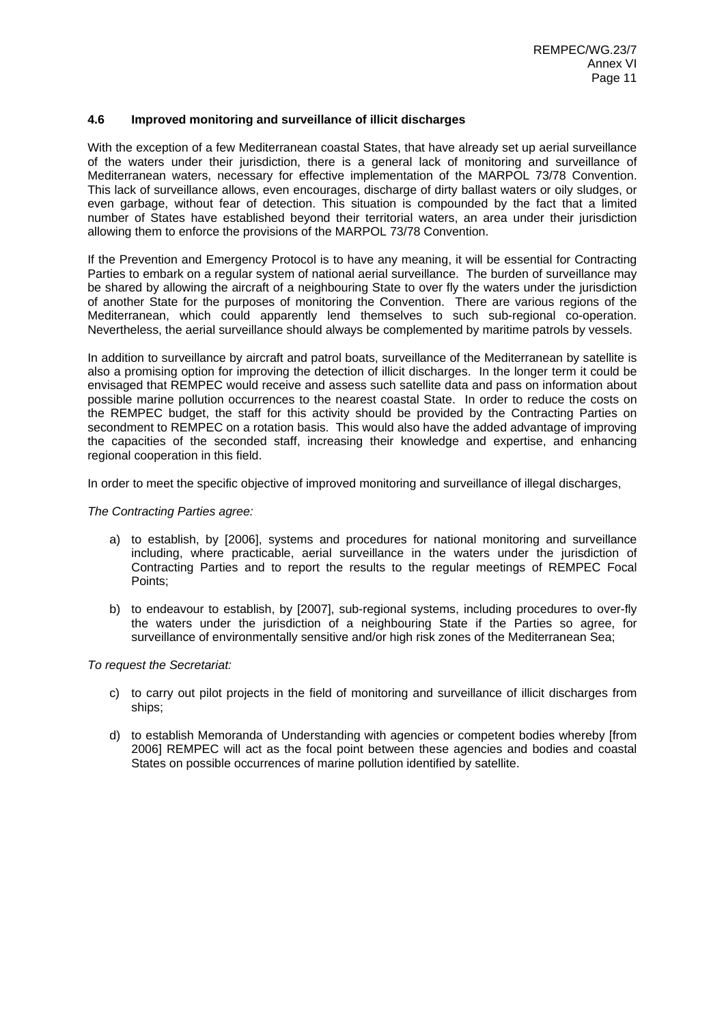# **4.6 Improved monitoring and surveillance of illicit discharges**

With the exception of a few Mediterranean coastal States, that have already set up aerial surveillance of the waters under their jurisdiction, there is a general lack of monitoring and surveillance of Mediterranean waters, necessary for effective implementation of the MARPOL 73/78 Convention. This lack of surveillance allows, even encourages, discharge of dirty ballast waters or oily sludges, or even garbage, without fear of detection. This situation is compounded by the fact that a limited number of States have established beyond their territorial waters, an area under their jurisdiction allowing them to enforce the provisions of the MARPOL 73/78 Convention.

If the Prevention and Emergency Protocol is to have any meaning, it will be essential for Contracting Parties to embark on a regular system of national aerial surveillance. The burden of surveillance may be shared by allowing the aircraft of a neighbouring State to over fly the waters under the jurisdiction of another State for the purposes of monitoring the Convention. There are various regions of the Mediterranean, which could apparently lend themselves to such sub-regional co-operation. Nevertheless, the aerial surveillance should always be complemented by maritime patrols by vessels.

In addition to surveillance by aircraft and patrol boats, surveillance of the Mediterranean by satellite is also a promising option for improving the detection of illicit discharges. In the longer term it could be envisaged that REMPEC would receive and assess such satellite data and pass on information about possible marine pollution occurrences to the nearest coastal State. In order to reduce the costs on the REMPEC budget, the staff for this activity should be provided by the Contracting Parties on secondment to REMPEC on a rotation basis. This would also have the added advantage of improving the capacities of the seconded staff, increasing their knowledge and expertise, and enhancing regional cooperation in this field.

In order to meet the specific objective of improved monitoring and surveillance of illegal discharges,

*The Contracting Parties agree:* 

- a) to establish, by [2006], systems and procedures for national monitoring and surveillance including, where practicable, aerial surveillance in the waters under the jurisdiction of Contracting Parties and to report the results to the regular meetings of REMPEC Focal Points;
- b) to endeavour to establish, by [2007], sub-regional systems, including procedures to over-fly the waters under the jurisdiction of a neighbouring State if the Parties so agree, for surveillance of environmentally sensitive and/or high risk zones of the Mediterranean Sea;

- c) to carry out pilot projects in the field of monitoring and surveillance of illicit discharges from ships;
- d) to establish Memoranda of Understanding with agencies or competent bodies whereby [from 2006] REMPEC will act as the focal point between these agencies and bodies and coastal States on possible occurrences of marine pollution identified by satellite.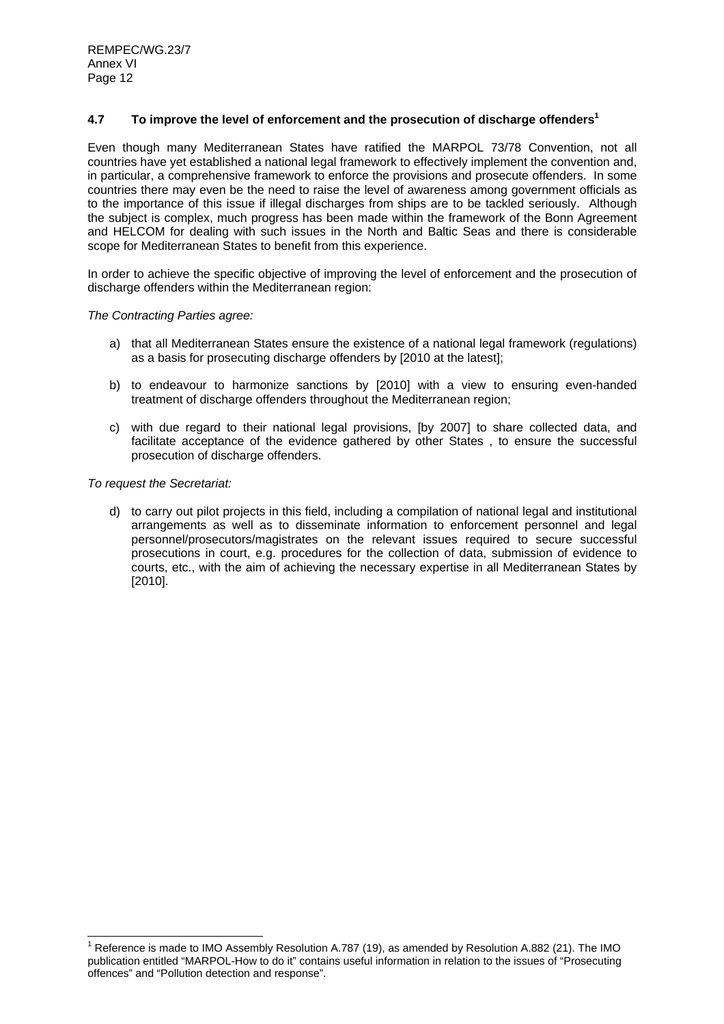# **4.7 To improve the level of enforcement and the prosecution of discharge offenders1**

Even though many Mediterranean States have ratified the MARPOL 73/78 Convention, not all countries have yet established a national legal framework to effectively implement the convention and, in particular, a comprehensive framework to enforce the provisions and prosecute offenders. In some countries there may even be the need to raise the level of awareness among government officials as to the importance of this issue if illegal discharges from ships are to be tackled seriously. Although the subject is complex, much progress has been made within the framework of the Bonn Agreement and HELCOM for dealing with such issues in the North and Baltic Seas and there is considerable scope for Mediterranean States to benefit from this experience.

In order to achieve the specific objective of improving the level of enforcement and the prosecution of discharge offenders within the Mediterranean region:

#### *The Contracting Parties agree:*

- a) that all Mediterranean States ensure the existence of a national legal framework (regulations) as a basis for prosecuting discharge offenders by [2010 at the latest];
- b) to endeavour to harmonize sanctions by [2010] with a view to ensuring even-handed treatment of discharge offenders throughout the Mediterranean region:
- c) with due regard to their national legal provisions, [by 2007] to share collected data, and facilitate acceptance of the evidence gathered by other States , to ensure the successful prosecution of discharge offenders.

*To request the Secretariat:* 

d) to carry out pilot projects in this field, including a compilation of national legal and institutional arrangements as well as to disseminate information to enforcement personnel and legal personnel/prosecutors/magistrates on the relevant issues required to secure successful prosecutions in court, e.g. procedures for the collection of data, submission of evidence to courts, etc., with the aim of achieving the necessary expertise in all Mediterranean States by [2010].

 1 Reference is made to IMO Assembly Resolution A.787 (19), as amended by Resolution A.882 (21). The IMO publication entitled "MARPOL-How to do it" contains useful information in relation to the issues of "Prosecuting offences" and "Pollution detection and response".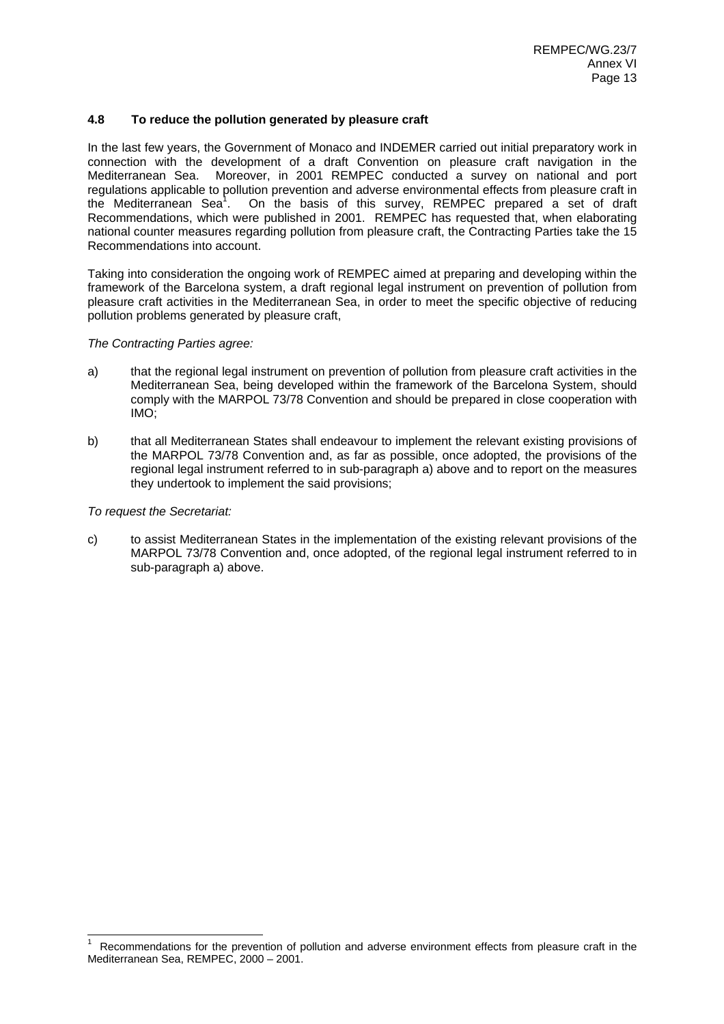# **4.8 To reduce the pollution generated by pleasure craft**

In the last few years, the Government of Monaco and INDEMER carried out initial preparatory work in connection with the development of a draft Convention on pleasure craft navigation in the Mediterranean Sea. Moreover, in 2001 REMPEC conducted a survey on national and port regulations applicable to pollution prevention and adverse environmental effects from pleasure craft in the Mediterranean Sea<sup>1</sup>. On the basis of this survey, REMPEC prepared a set of draft Recommendations, which were published in 2001. REMPEC has requested that, when elaborating national counter measures regarding pollution from pleasure craft, the Contracting Parties take the 15 Recommendations into account.

Taking into consideration the ongoing work of REMPEC aimed at preparing and developing within the framework of the Barcelona system, a draft regional legal instrument on prevention of pollution from pleasure craft activities in the Mediterranean Sea, in order to meet the specific objective of reducing pollution problems generated by pleasure craft,

#### *The Contracting Parties agree:*

- a) that the regional legal instrument on prevention of pollution from pleasure craft activities in the Mediterranean Sea, being developed within the framework of the Barcelona System, should comply with the MARPOL 73/78 Convention and should be prepared in close cooperation with IMO;
- b) that all Mediterranean States shall endeavour to implement the relevant existing provisions of the MARPOL 73/78 Convention and, as far as possible, once adopted, the provisions of the regional legal instrument referred to in sub-paragraph a) above and to report on the measures they undertook to implement the said provisions;

#### *To request the Secretariat:*

 $\overline{a}$ 

c) to assist Mediterranean States in the implementation of the existing relevant provisions of the MARPOL 73/78 Convention and, once adopted, of the regional legal instrument referred to in sub-paragraph a) above.

<sup>1</sup> Recommendations for the prevention of pollution and adverse environment effects from pleasure craft in the Mediterranean Sea, REMPEC, 2000 – 2001.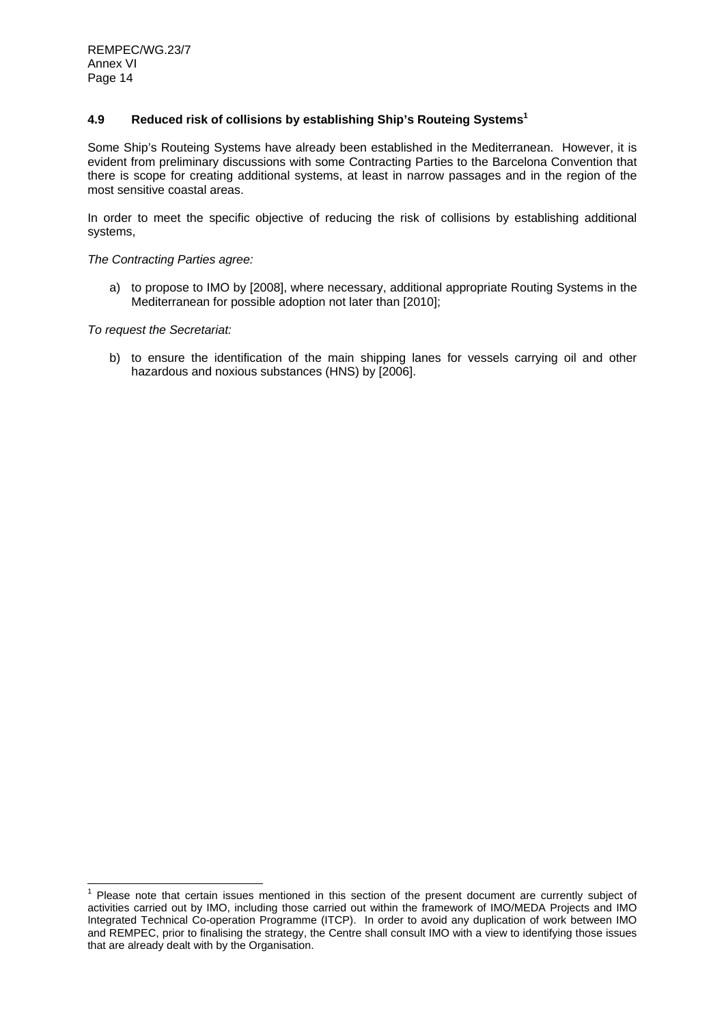# **4.9 Reduced risk of collisions by establishing Ship's Routeing Systems1**

Some Ship's Routeing Systems have already been established in the Mediterranean. However, it is evident from preliminary discussions with some Contracting Parties to the Barcelona Convention that there is scope for creating additional systems, at least in narrow passages and in the region of the most sensitive coastal areas.

In order to meet the specific objective of reducing the risk of collisions by establishing additional systems,

*The Contracting Parties agree:* 

a) to propose to IMO by [2008], where necessary, additional appropriate Routing Systems in the Mediterranean for possible adoption not later than [2010];

*To request the Secretariat:* 

b) to ensure the identification of the main shipping lanes for vessels carrying oil and other hazardous and noxious substances (HNS) by [2006].

 1 Please note that certain issues mentioned in this section of the present document are currently subject of activities carried out by IMO, including those carried out within the framework of IMO/MEDA Projects and IMO Integrated Technical Co-operation Programme (ITCP). In order to avoid any duplication of work between IMO and REMPEC, prior to finalising the strategy, the Centre shall consult IMO with a view to identifying those issues that are already dealt with by the Organisation.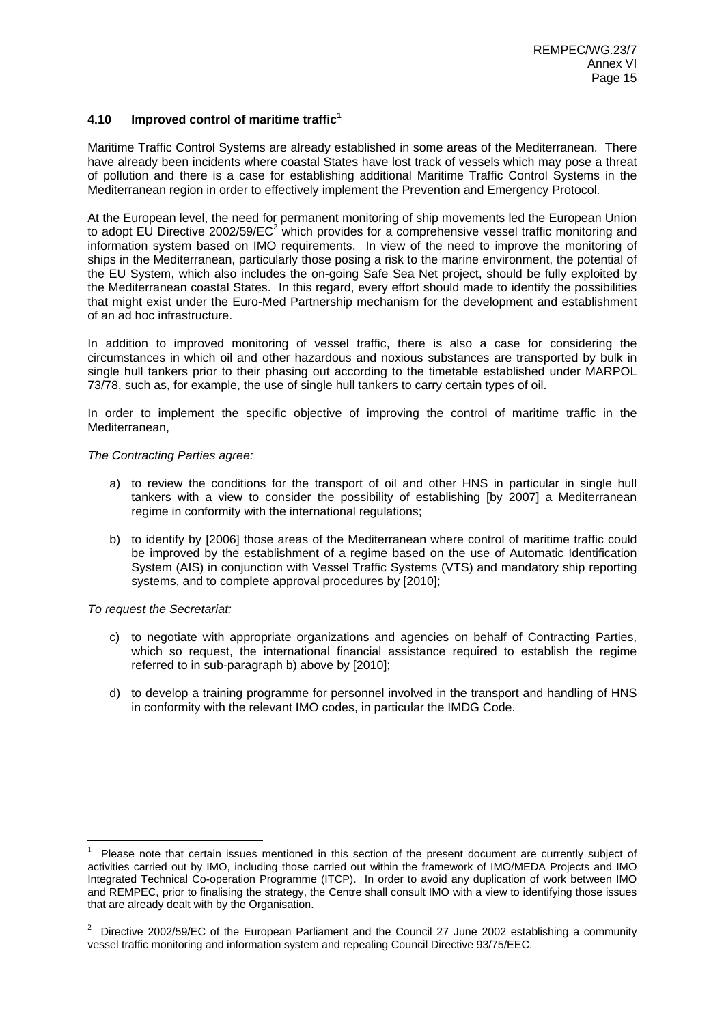# **4.10 Improved control of maritime traffic<sup>1</sup>**

Maritime Traffic Control Systems are already established in some areas of the Mediterranean. There have already been incidents where coastal States have lost track of vessels which may pose a threat of pollution and there is a case for establishing additional Maritime Traffic Control Systems in the Mediterranean region in order to effectively implement the Prevention and Emergency Protocol.

At the European level, the need for permanent monitoring of ship movements led the European Union to adopt EU Directive 2002/59/EC<sup>2</sup> which provides for a comprehensive vessel traffic monitoring and information system based on IMO requirements. In view of the need to improve the monitoring of ships in the Mediterranean, particularly those posing a risk to the marine environment, the potential of the EU System, which also includes the on-going Safe Sea Net project, should be fully exploited by the Mediterranean coastal States. In this regard, every effort should made to identify the possibilities that might exist under the Euro-Med Partnership mechanism for the development and establishment of an ad hoc infrastructure.

In addition to improved monitoring of vessel traffic, there is also a case for considering the circumstances in which oil and other hazardous and noxious substances are transported by bulk in single hull tankers prior to their phasing out according to the timetable established under MARPOL 73/78, such as, for example, the use of single hull tankers to carry certain types of oil.

In order to implement the specific objective of improving the control of maritime traffic in the Mediterranean,

#### *The Contracting Parties agree:*

- a) to review the conditions for the transport of oil and other HNS in particular in single hull tankers with a view to consider the possibility of establishing [by 2007] a Mediterranean regime in conformity with the international regulations;
- b) to identify by [2006] those areas of the Mediterranean where control of maritime traffic could be improved by the establishment of a regime based on the use of Automatic Identification System (AIS) in conjunction with Vessel Traffic Systems (VTS) and mandatory ship reporting systems, and to complete approval procedures by [2010];

#### *To request the Secretariat:*

- c) to negotiate with appropriate organizations and agencies on behalf of Contracting Parties, which so request, the international financial assistance required to establish the regime referred to in sub-paragraph b) above by [2010];
- d) to develop a training programme for personnel involved in the transport and handling of HNS in conformity with the relevant IMO codes, in particular the IMDG Code.

<sup>1</sup> Please note that certain issues mentioned in this section of the present document are currently subject of activities carried out by IMO, including those carried out within the framework of IMO/MEDA Projects and IMO Integrated Technical Co-operation Programme (ITCP). In order to avoid any duplication of work between IMO and REMPEC, prior to finalising the strategy, the Centre shall consult IMO with a view to identifying those issues that are already dealt with by the Organisation.

<sup>2</sup> Directive 2002/59/EC of the European Parliament and the Council 27 June 2002 establishing a community vessel traffic monitoring and information system and repealing Council Directive 93/75/EEC.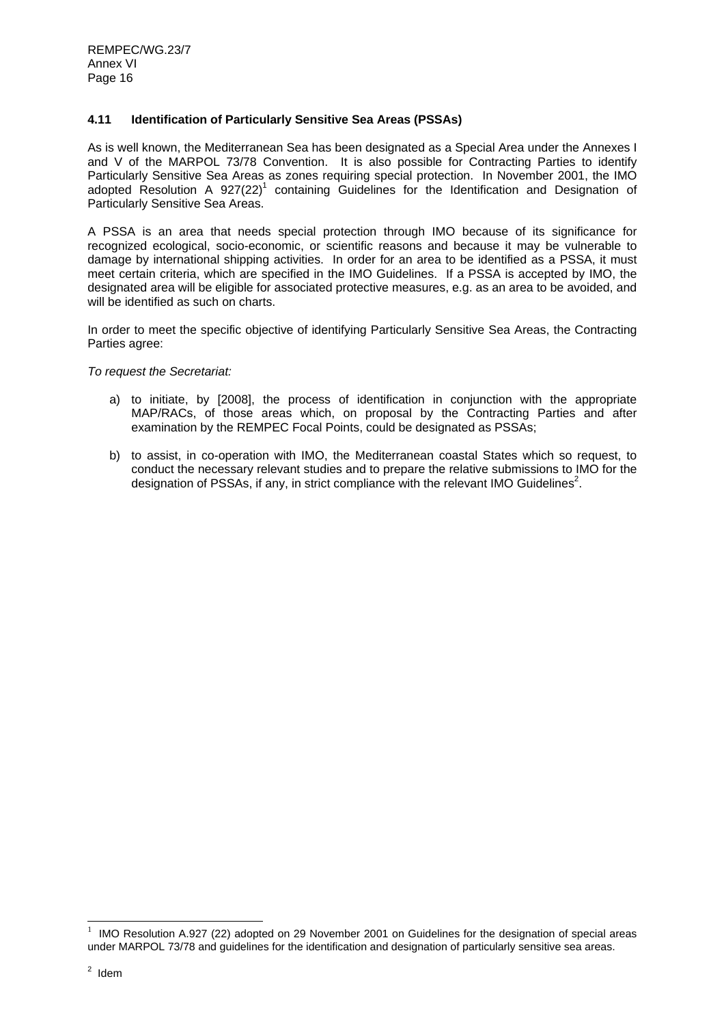# **4.11 Identification of Particularly Sensitive Sea Areas (PSSAs)**

As is well known, the Mediterranean Sea has been designated as a Special Area under the Annexes I and V of the MARPOL 73/78 Convention. It is also possible for Contracting Parties to identify Particularly Sensitive Sea Areas as zones requiring special protection. In November 2001, the IMO adopted Resolution A  $927(22)^1$  containing Guidelines for the Identification and Designation of Particularly Sensitive Sea Areas.

A PSSA is an area that needs special protection through IMO because of its significance for recognized ecological, socio-economic, or scientific reasons and because it may be vulnerable to damage by international shipping activities. In order for an area to be identified as a PSSA, it must meet certain criteria, which are specified in the IMO Guidelines. If a PSSA is accepted by IMO, the designated area will be eligible for associated protective measures, e.g. as an area to be avoided, and will be identified as such on charts.

In order to meet the specific objective of identifying Particularly Sensitive Sea Areas, the Contracting Parties agree:

*To request the Secretariat:* 

- a) to initiate, by [2008], the process of identification in conjunction with the appropriate MAP/RACs, of those areas which, on proposal by the Contracting Parties and after examination by the REMPEC Focal Points, could be designated as PSSAs;
- b) to assist, in co-operation with IMO, the Mediterranean coastal States which so request, to conduct the necessary relevant studies and to prepare the relative submissions to IMO for the designation of PSSAs, if any, in strict compliance with the relevant IMO Guidelines<sup>2</sup>.

<sup>1</sup> IMO Resolution A.927 (22) adopted on 29 November 2001 on Guidelines for the designation of special areas under MARPOL 73/78 and guidelines for the identification and designation of particularly sensitive sea areas.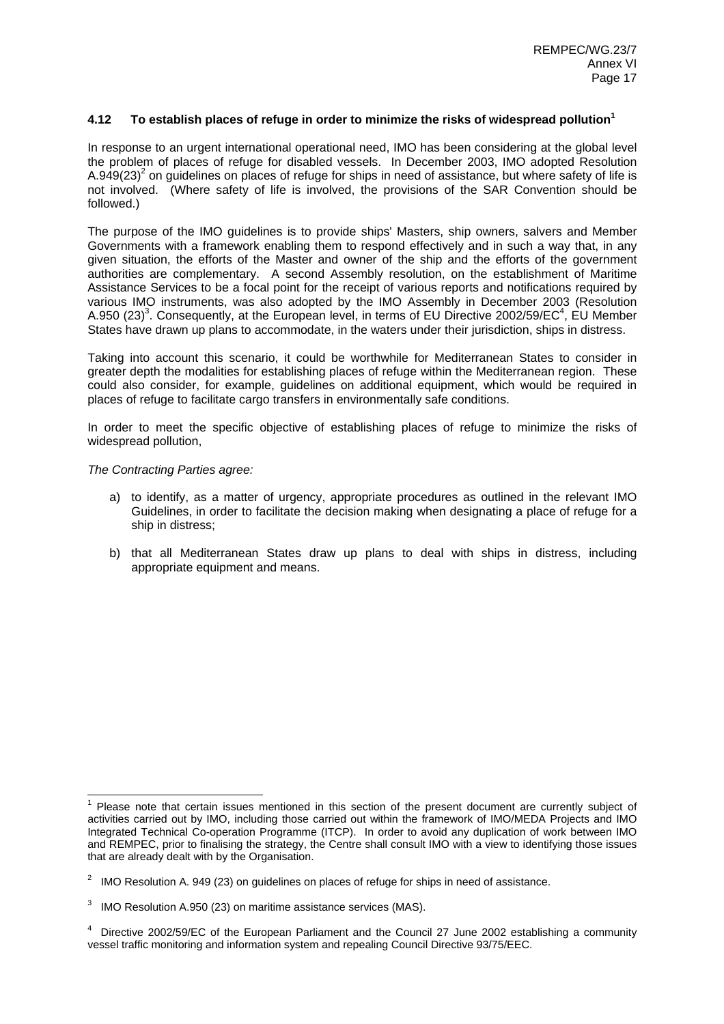# **4.12 To establish places of refuge in order to minimize the risks of widespread pollution<sup>1</sup>**

In response to an urgent international operational need, IMO has been considering at the global level the problem of places of refuge for disabled vessels. In December 2003, IMO adopted Resolution A.949(23)<sup>2</sup> on guidelines on places of refuge for ships in need of assistance, but where safety of life is not involved. (Where safety of life is involved, the provisions of the SAR Convention should be followed.)

The purpose of the IMO guidelines is to provide ships' Masters, ship owners, salvers and Member Governments with a framework enabling them to respond effectively and in such a way that, in any given situation, the efforts of the Master and owner of the ship and the efforts of the government authorities are complementary. A second Assembly resolution, on the establishment of Maritime Assistance Services to be a focal point for the receipt of various reports and notifications required by various IMO instruments, was also adopted by the IMO Assembly in December 2003 (Resolution A.950 (23)<sup>3</sup>. Consequently, at the European level, in terms of EU Directive 2002/59/EC<sup>4</sup>, EU Member States have drawn up plans to accommodate, in the waters under their jurisdiction, ships in distress.

Taking into account this scenario, it could be worthwhile for Mediterranean States to consider in greater depth the modalities for establishing places of refuge within the Mediterranean region. These could also consider, for example, guidelines on additional equipment, which would be required in places of refuge to facilitate cargo transfers in environmentally safe conditions.

In order to meet the specific objective of establishing places of refuge to minimize the risks of widespread pollution,

## *The Contracting Parties agree:*

- a) to identify, as a matter of urgency, appropriate procedures as outlined in the relevant IMO Guidelines, in order to facilitate the decision making when designating a place of refuge for a ship in distress;
- b) that all Mediterranean States draw up plans to deal with ships in distress, including appropriate equipment and means.

 1 Please note that certain issues mentioned in this section of the present document are currently subject of activities carried out by IMO, including those carried out within the framework of IMO/MEDA Projects and IMO Integrated Technical Co-operation Programme (ITCP). In order to avoid any duplication of work between IMO and REMPEC, prior to finalising the strategy, the Centre shall consult IMO with a view to identifying those issues that are already dealt with by the Organisation.

<sup>&</sup>lt;sup>2</sup> IMO Resolution A. 949 (23) on guidelines on places of refuge for ships in need of assistance.

 $3$  IMO Resolution A.950 (23) on maritime assistance services (MAS).

<sup>&</sup>lt;sup>4</sup> Directive 2002/59/EC of the European Parliament and the Council 27 June 2002 establishing a community vessel traffic monitoring and information system and repealing Council Directive 93/75/EEC.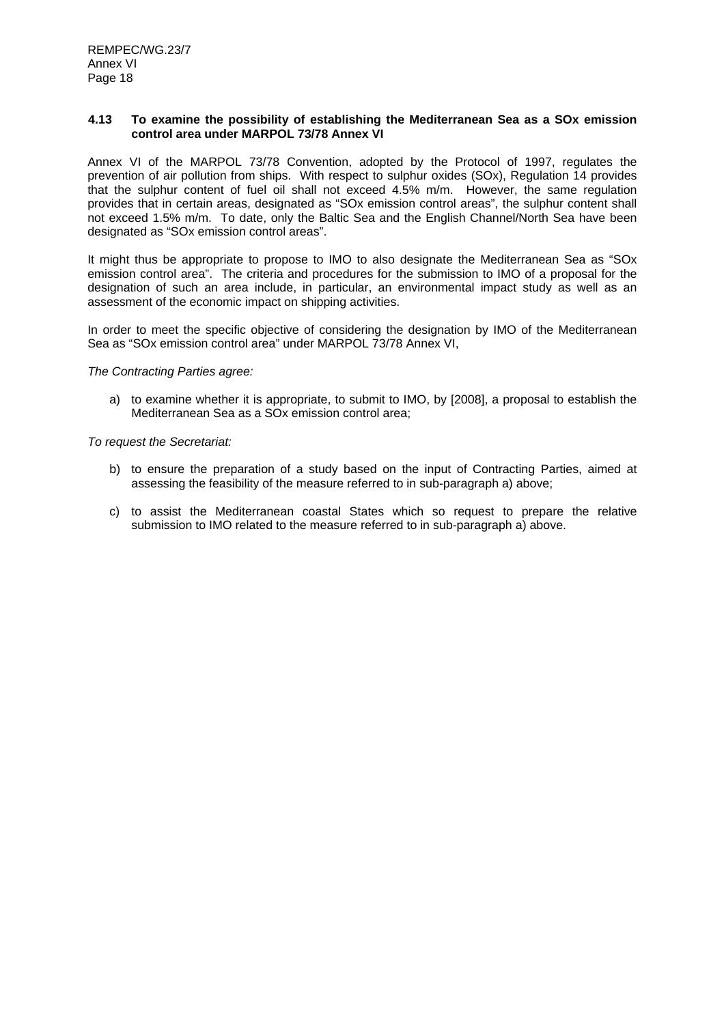#### **4.13 To examine the possibility of establishing the Mediterranean Sea as a SOx emission control area under MARPOL 73/78 Annex VI**

Annex VI of the MARPOL 73/78 Convention, adopted by the Protocol of 1997, regulates the prevention of air pollution from ships. With respect to sulphur oxides (SOx), Regulation 14 provides that the sulphur content of fuel oil shall not exceed 4.5% m/m. However, the same regulation provides that in certain areas, designated as "SOx emission control areas", the sulphur content shall not exceed 1.5% m/m. To date, only the Baltic Sea and the English Channel/North Sea have been designated as "SOx emission control areas".

It might thus be appropriate to propose to IMO to also designate the Mediterranean Sea as "SOx emission control area". The criteria and procedures for the submission to IMO of a proposal for the designation of such an area include, in particular, an environmental impact study as well as an assessment of the economic impact on shipping activities.

In order to meet the specific objective of considering the designation by IMO of the Mediterranean Sea as "SOx emission control area" under MARPOL 73/78 Annex VI,

*The Contracting Parties agree:* 

a) to examine whether it is appropriate, to submit to IMO, by [2008], a proposal to establish the Mediterranean Sea as a SOx emission control area;

- b) to ensure the preparation of a study based on the input of Contracting Parties, aimed at assessing the feasibility of the measure referred to in sub-paragraph a) above;
- c) to assist the Mediterranean coastal States which so request to prepare the relative submission to IMO related to the measure referred to in sub-paragraph a) above.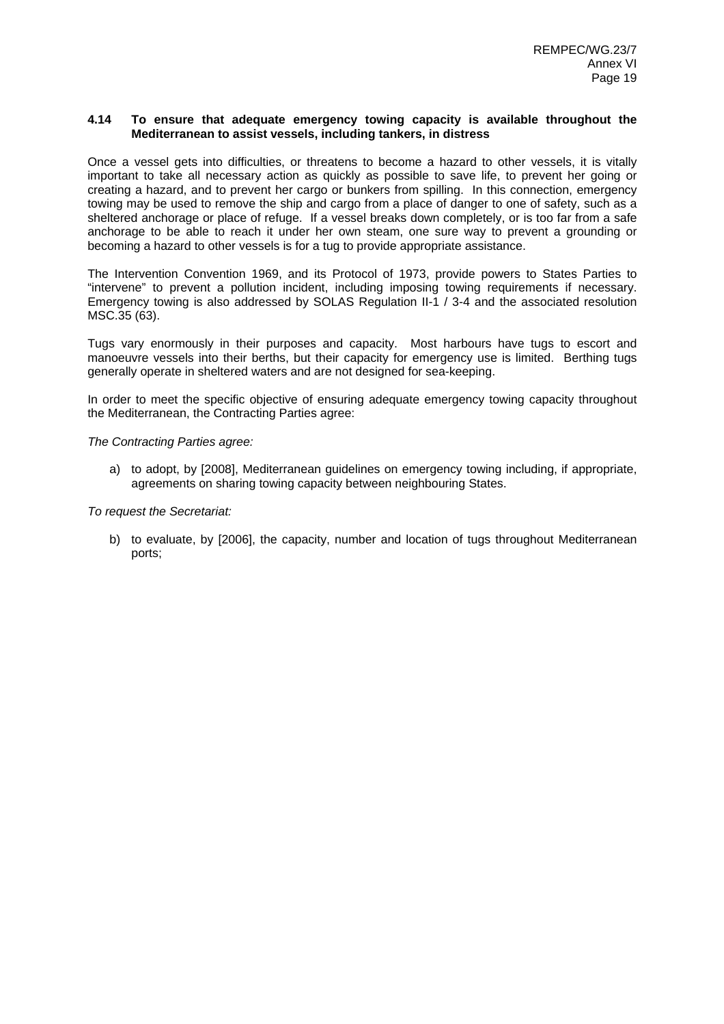#### **4.14 To ensure that adequate emergency towing capacity is available throughout the Mediterranean to assist vessels, including tankers, in distress**

Once a vessel gets into difficulties, or threatens to become a hazard to other vessels, it is vitally important to take all necessary action as quickly as possible to save life, to prevent her going or creating a hazard, and to prevent her cargo or bunkers from spilling. In this connection, emergency towing may be used to remove the ship and cargo from a place of danger to one of safety, such as a sheltered anchorage or place of refuge. If a vessel breaks down completely, or is too far from a safe anchorage to be able to reach it under her own steam, one sure way to prevent a grounding or becoming a hazard to other vessels is for a tug to provide appropriate assistance.

The Intervention Convention 1969, and its Protocol of 1973, provide powers to States Parties to "intervene" to prevent a pollution incident, including imposing towing requirements if necessary. Emergency towing is also addressed by SOLAS Regulation II-1 / 3-4 and the associated resolution MSC.35 (63).

Tugs vary enormously in their purposes and capacity. Most harbours have tugs to escort and manoeuvre vessels into their berths, but their capacity for emergency use is limited. Berthing tugs generally operate in sheltered waters and are not designed for sea-keeping.

In order to meet the specific objective of ensuring adequate emergency towing capacity throughout the Mediterranean, the Contracting Parties agree:

*The Contracting Parties agree:* 

a) to adopt, by [2008], Mediterranean guidelines on emergency towing including, if appropriate, agreements on sharing towing capacity between neighbouring States.

*To request the Secretariat:* 

b) to evaluate, by [2006], the capacity, number and location of tugs throughout Mediterranean ports;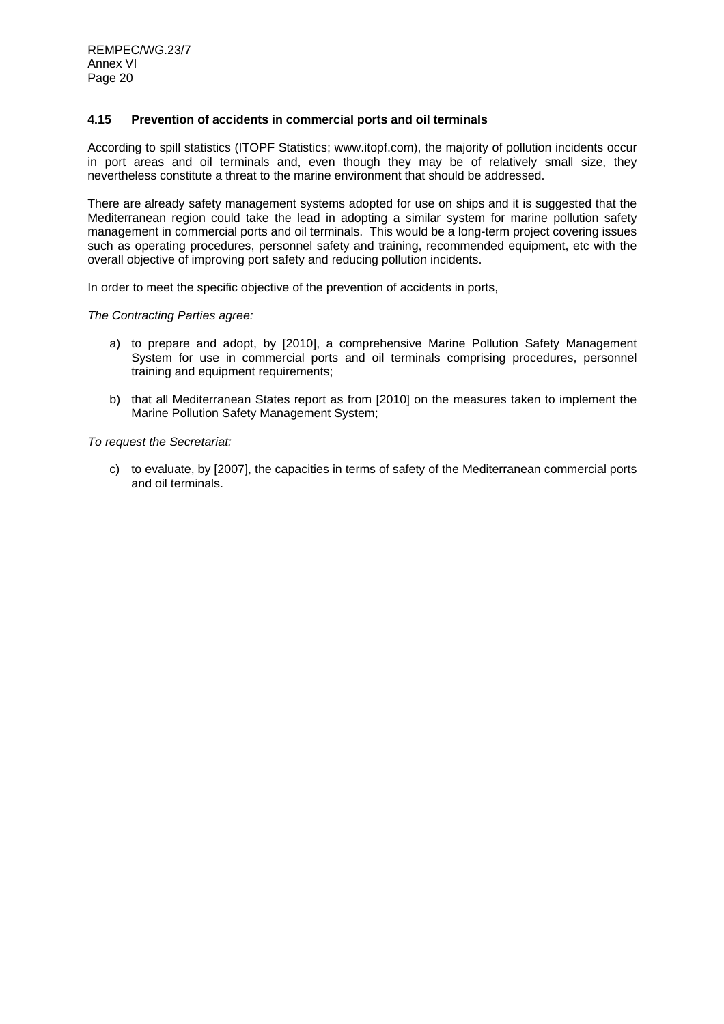## **4.15 Prevention of accidents in commercial ports and oil terminals**

According to spill statistics (ITOPF Statistics; www.itopf.com), the majority of pollution incidents occur in port areas and oil terminals and, even though they may be of relatively small size, they nevertheless constitute a threat to the marine environment that should be addressed.

There are already safety management systems adopted for use on ships and it is suggested that the Mediterranean region could take the lead in adopting a similar system for marine pollution safety management in commercial ports and oil terminals. This would be a long-term project covering issues such as operating procedures, personnel safety and training, recommended equipment, etc with the overall objective of improving port safety and reducing pollution incidents.

In order to meet the specific objective of the prevention of accidents in ports,

#### *The Contracting Parties agree:*

- a) to prepare and adopt, by [2010], a comprehensive Marine Pollution Safety Management System for use in commercial ports and oil terminals comprising procedures, personnel training and equipment requirements;
- b) that all Mediterranean States report as from [2010] on the measures taken to implement the Marine Pollution Safety Management System;

*To request the Secretariat:* 

c) to evaluate, by [2007], the capacities in terms of safety of the Mediterranean commercial ports and oil terminals.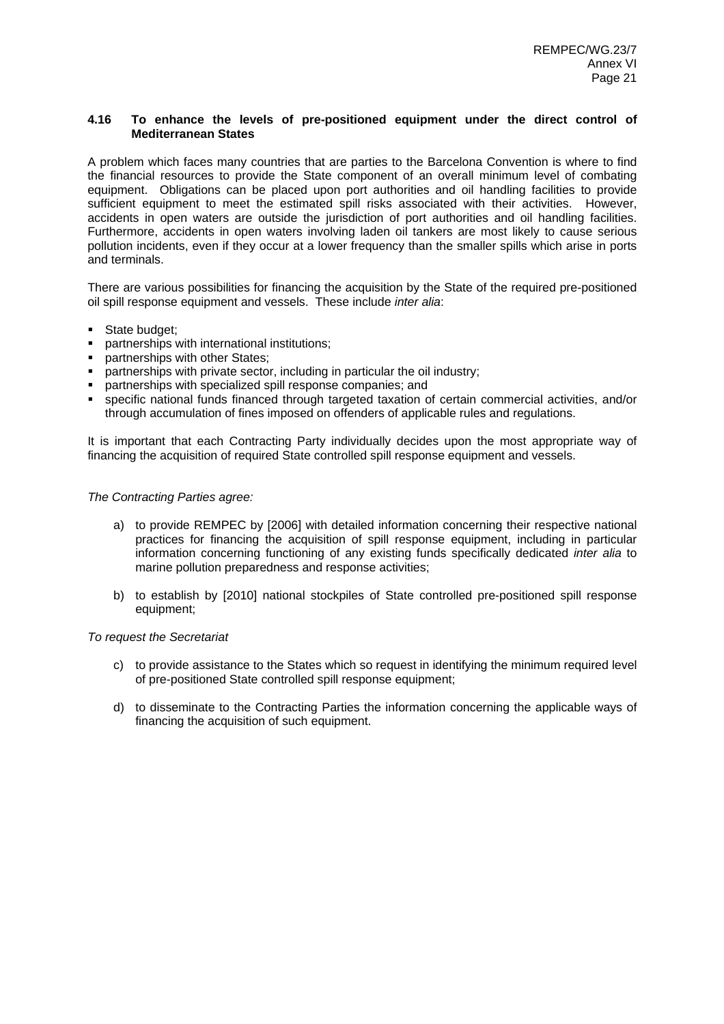#### **4.16 To enhance the levels of pre-positioned equipment under the direct control of Mediterranean States**

A problem which faces many countries that are parties to the Barcelona Convention is where to find the financial resources to provide the State component of an overall minimum level of combating equipment. Obligations can be placed upon port authorities and oil handling facilities to provide sufficient equipment to meet the estimated spill risks associated with their activities. However, accidents in open waters are outside the jurisdiction of port authorities and oil handling facilities. Furthermore, accidents in open waters involving laden oil tankers are most likely to cause serious pollution incidents, even if they occur at a lower frequency than the smaller spills which arise in ports and terminals.

There are various possibilities for financing the acquisition by the State of the required pre-positioned oil spill response equipment and vessels. These include *inter alia*:

- **State budget;**
- partnerships with international institutions;
- **partnerships with other States:**
- partnerships with private sector, including in particular the oil industry;
- partnerships with specialized spill response companies; and
- specific national funds financed through targeted taxation of certain commercial activities, and/or through accumulation of fines imposed on offenders of applicable rules and regulations.

It is important that each Contracting Party individually decides upon the most appropriate way of financing the acquisition of required State controlled spill response equipment and vessels.

#### *The Contracting Parties agree:*

- a) to provide REMPEC by [2006] with detailed information concerning their respective national practices for financing the acquisition of spill response equipment, including in particular information concerning functioning of any existing funds specifically dedicated *inter alia* to marine pollution preparedness and response activities;
- b) to establish by [2010] national stockpiles of State controlled pre-positioned spill response equipment;

- c) to provide assistance to the States which so request in identifying the minimum required level of pre-positioned State controlled spill response equipment;
- d) to disseminate to the Contracting Parties the information concerning the applicable ways of financing the acquisition of such equipment.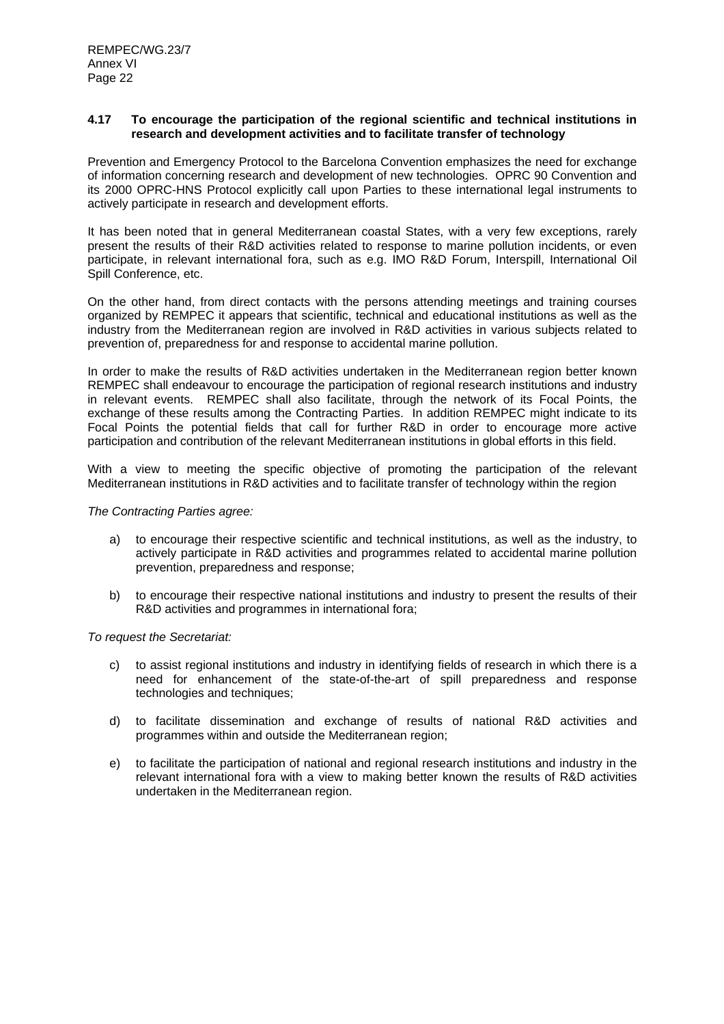#### **4.17 To encourage the participation of the regional scientific and technical institutions in research and development activities and to facilitate transfer of technology**

Prevention and Emergency Protocol to the Barcelona Convention emphasizes the need for exchange of information concerning research and development of new technologies. OPRC 90 Convention and its 2000 OPRC-HNS Protocol explicitly call upon Parties to these international legal instruments to actively participate in research and development efforts.

It has been noted that in general Mediterranean coastal States, with a very few exceptions, rarely present the results of their R&D activities related to response to marine pollution incidents, or even participate, in relevant international fora, such as e.g. IMO R&D Forum, Interspill, International Oil Spill Conference, etc.

On the other hand, from direct contacts with the persons attending meetings and training courses organized by REMPEC it appears that scientific, technical and educational institutions as well as the industry from the Mediterranean region are involved in R&D activities in various subjects related to prevention of, preparedness for and response to accidental marine pollution.

In order to make the results of R&D activities undertaken in the Mediterranean region better known REMPEC shall endeavour to encourage the participation of regional research institutions and industry in relevant events. REMPEC shall also facilitate, through the network of its Focal Points, the exchange of these results among the Contracting Parties. In addition REMPEC might indicate to its Focal Points the potential fields that call for further R&D in order to encourage more active participation and contribution of the relevant Mediterranean institutions in global efforts in this field.

With a view to meeting the specific objective of promoting the participation of the relevant Mediterranean institutions in R&D activities and to facilitate transfer of technology within the region

#### *The Contracting Parties agree:*

- a) to encourage their respective scientific and technical institutions, as well as the industry, to actively participate in R&D activities and programmes related to accidental marine pollution prevention, preparedness and response;
- b) to encourage their respective national institutions and industry to present the results of their R&D activities and programmes in international fora;

- c) to assist regional institutions and industry in identifying fields of research in which there is a need for enhancement of the state-of-the-art of spill preparedness and response technologies and techniques;
- d) to facilitate dissemination and exchange of results of national R&D activities and programmes within and outside the Mediterranean region;
- e) to facilitate the participation of national and regional research institutions and industry in the relevant international fora with a view to making better known the results of R&D activities undertaken in the Mediterranean region.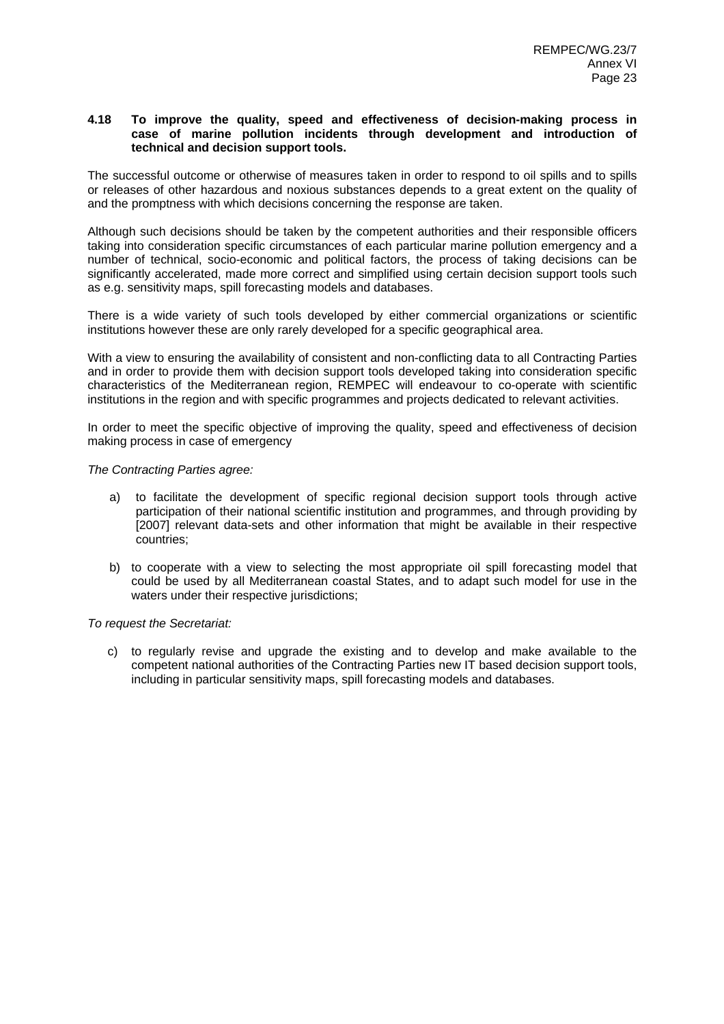#### **4.18 To improve the quality, speed and effectiveness of decision-making process in case of marine pollution incidents through development and introduction of technical and decision support tools.**

The successful outcome or otherwise of measures taken in order to respond to oil spills and to spills or releases of other hazardous and noxious substances depends to a great extent on the quality of and the promptness with which decisions concerning the response are taken.

Although such decisions should be taken by the competent authorities and their responsible officers taking into consideration specific circumstances of each particular marine pollution emergency and a number of technical, socio-economic and political factors, the process of taking decisions can be significantly accelerated, made more correct and simplified using certain decision support tools such as e.g. sensitivity maps, spill forecasting models and databases.

There is a wide variety of such tools developed by either commercial organizations or scientific institutions however these are only rarely developed for a specific geographical area.

With a view to ensuring the availability of consistent and non-conflicting data to all Contracting Parties and in order to provide them with decision support tools developed taking into consideration specific characteristics of the Mediterranean region, REMPEC will endeavour to co-operate with scientific institutions in the region and with specific programmes and projects dedicated to relevant activities.

In order to meet the specific objective of improving the quality, speed and effectiveness of decision making process in case of emergency

#### *The Contracting Parties agree:*

- a) to facilitate the development of specific regional decision support tools through active participation of their national scientific institution and programmes, and through providing by [2007] relevant data-sets and other information that might be available in their respective countries;
- b) to cooperate with a view to selecting the most appropriate oil spill forecasting model that could be used by all Mediterranean coastal States, and to adapt such model for use in the waters under their respective jurisdictions;

*To request the Secretariat:* 

c) to regularly revise and upgrade the existing and to develop and make available to the competent national authorities of the Contracting Parties new IT based decision support tools, including in particular sensitivity maps, spill forecasting models and databases.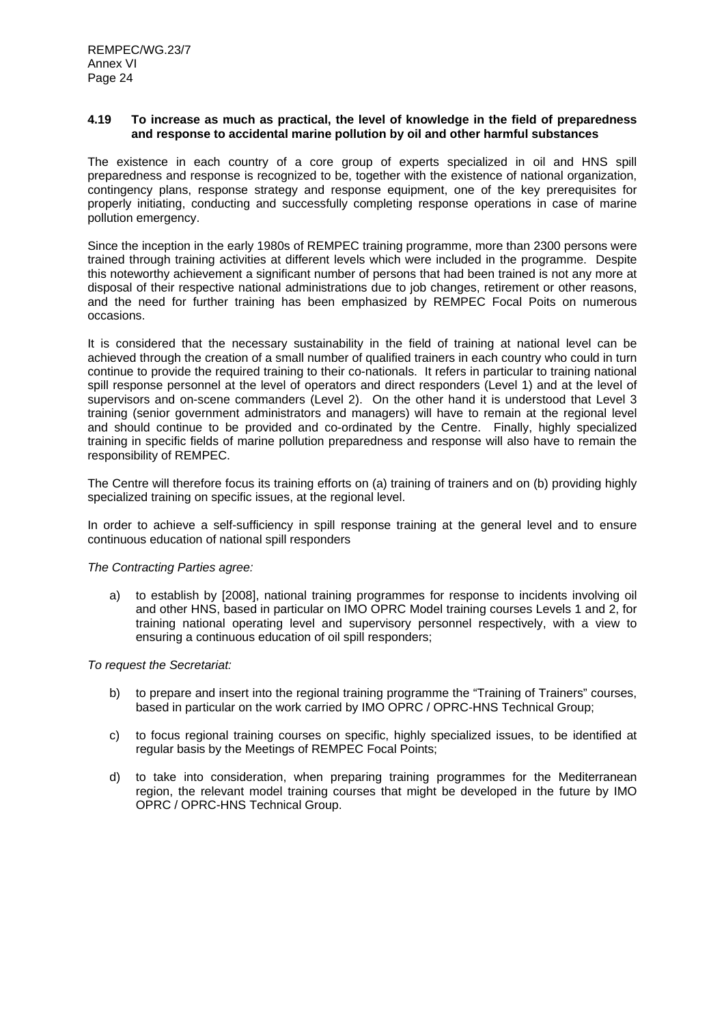#### **4.19 To increase as much as practical, the level of knowledge in the field of preparedness and response to accidental marine pollution by oil and other harmful substances**

The existence in each country of a core group of experts specialized in oil and HNS spill preparedness and response is recognized to be, together with the existence of national organization, contingency plans, response strategy and response equipment, one of the key prerequisites for properly initiating, conducting and successfully completing response operations in case of marine pollution emergency.

Since the inception in the early 1980s of REMPEC training programme, more than 2300 persons were trained through training activities at different levels which were included in the programme. Despite this noteworthy achievement a significant number of persons that had been trained is not any more at disposal of their respective national administrations due to job changes, retirement or other reasons, and the need for further training has been emphasized by REMPEC Focal Poits on numerous occasions.

It is considered that the necessary sustainability in the field of training at national level can be achieved through the creation of a small number of qualified trainers in each country who could in turn continue to provide the required training to their co-nationals. It refers in particular to training national spill response personnel at the level of operators and direct responders (Level 1) and at the level of supervisors and on-scene commanders (Level 2). On the other hand it is understood that Level 3 training (senior government administrators and managers) will have to remain at the regional level and should continue to be provided and co-ordinated by the Centre. Finally, highly specialized training in specific fields of marine pollution preparedness and response will also have to remain the responsibility of REMPEC.

The Centre will therefore focus its training efforts on (a) training of trainers and on (b) providing highly specialized training on specific issues, at the regional level.

In order to achieve a self-sufficiency in spill response training at the general level and to ensure continuous education of national spill responders

#### *The Contracting Parties agree:*

a) to establish by [2008], national training programmes for response to incidents involving oil and other HNS, based in particular on IMO OPRC Model training courses Levels 1 and 2, for training national operating level and supervisory personnel respectively, with a view to ensuring a continuous education of oil spill responders;

- b) to prepare and insert into the regional training programme the "Training of Trainers" courses, based in particular on the work carried by IMO OPRC / OPRC-HNS Technical Group;
- c) to focus regional training courses on specific, highly specialized issues, to be identified at regular basis by the Meetings of REMPEC Focal Points;
- d) to take into consideration, when preparing training programmes for the Mediterranean region, the relevant model training courses that might be developed in the future by IMO OPRC / OPRC-HNS Technical Group.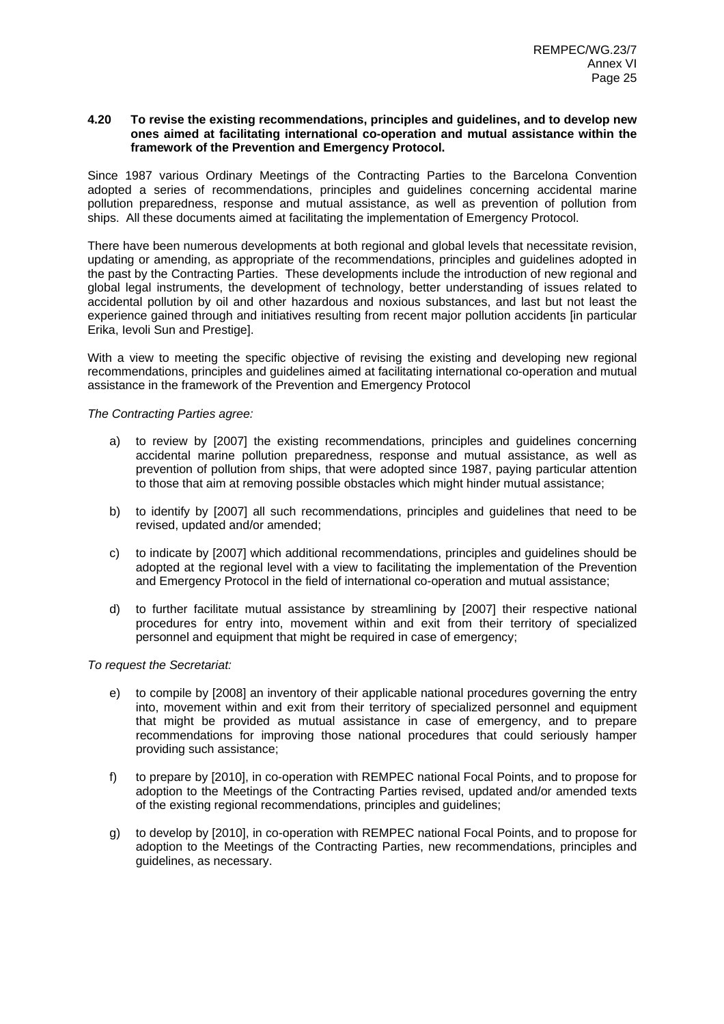#### **4.20 To revise the existing recommendations, principles and guidelines, and to develop new ones aimed at facilitating international co-operation and mutual assistance within the framework of the Prevention and Emergency Protocol.**

Since 1987 various Ordinary Meetings of the Contracting Parties to the Barcelona Convention adopted a series of recommendations, principles and guidelines concerning accidental marine pollution preparedness, response and mutual assistance, as well as prevention of pollution from ships. All these documents aimed at facilitating the implementation of Emergency Protocol.

There have been numerous developments at both regional and global levels that necessitate revision, updating or amending, as appropriate of the recommendations, principles and guidelines adopted in the past by the Contracting Parties. These developments include the introduction of new regional and global legal instruments, the development of technology, better understanding of issues related to accidental pollution by oil and other hazardous and noxious substances, and last but not least the experience gained through and initiatives resulting from recent major pollution accidents [in particular Erika, Ievoli Sun and Prestige].

With a view to meeting the specific objective of revising the existing and developing new regional recommendations, principles and guidelines aimed at facilitating international co-operation and mutual assistance in the framework of the Prevention and Emergency Protocol

*The Contracting Parties agree:* 

- a) to review by [2007] the existing recommendations, principles and guidelines concerning accidental marine pollution preparedness, response and mutual assistance, as well as prevention of pollution from ships, that were adopted since 1987, paying particular attention to those that aim at removing possible obstacles which might hinder mutual assistance;
- b) to identify by [2007] all such recommendations, principles and guidelines that need to be revised, updated and/or amended;
- c) to indicate by [2007] which additional recommendations, principles and guidelines should be adopted at the regional level with a view to facilitating the implementation of the Prevention and Emergency Protocol in the field of international co-operation and mutual assistance;
- d) to further facilitate mutual assistance by streamlining by [2007] their respective national procedures for entry into, movement within and exit from their territory of specialized personnel and equipment that might be required in case of emergency;

- e) to compile by [2008] an inventory of their applicable national procedures governing the entry into, movement within and exit from their territory of specialized personnel and equipment that might be provided as mutual assistance in case of emergency, and to prepare recommendations for improving those national procedures that could seriously hamper providing such assistance;
- f) to prepare by [2010], in co-operation with REMPEC national Focal Points, and to propose for adoption to the Meetings of the Contracting Parties revised, updated and/or amended texts of the existing regional recommendations, principles and guidelines;
- g) to develop by [2010], in co-operation with REMPEC national Focal Points, and to propose for adoption to the Meetings of the Contracting Parties, new recommendations, principles and guidelines, as necessary.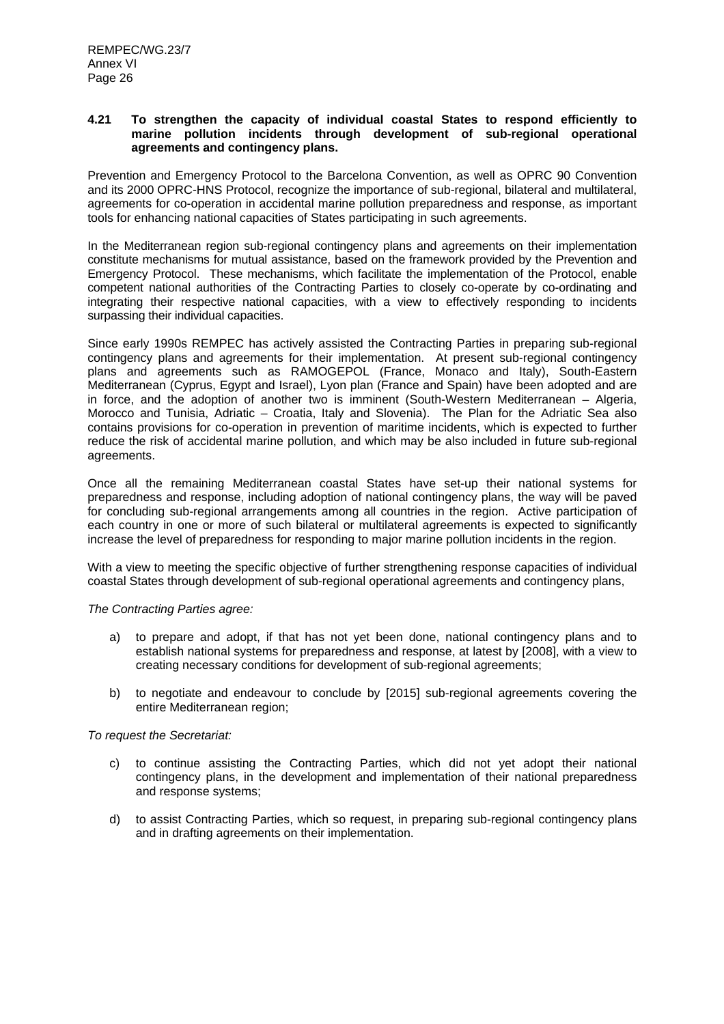#### **4.21 To strengthen the capacity of individual coastal States to respond efficiently to marine pollution incidents through development of sub-regional operational agreements and contingency plans.**

Prevention and Emergency Protocol to the Barcelona Convention, as well as OPRC 90 Convention and its 2000 OPRC-HNS Protocol, recognize the importance of sub-regional, bilateral and multilateral, agreements for co-operation in accidental marine pollution preparedness and response, as important tools for enhancing national capacities of States participating in such agreements.

In the Mediterranean region sub-regional contingency plans and agreements on their implementation constitute mechanisms for mutual assistance, based on the framework provided by the Prevention and Emergency Protocol. These mechanisms, which facilitate the implementation of the Protocol, enable competent national authorities of the Contracting Parties to closely co-operate by co-ordinating and integrating their respective national capacities, with a view to effectively responding to incidents surpassing their individual capacities.

Since early 1990s REMPEC has actively assisted the Contracting Parties in preparing sub-regional contingency plans and agreements for their implementation. At present sub-regional contingency plans and agreements such as RAMOGEPOL (France, Monaco and Italy), South-Eastern Mediterranean (Cyprus, Egypt and Israel), Lyon plan (France and Spain) have been adopted and are in force, and the adoption of another two is imminent (South-Western Mediterranean – Algeria, Morocco and Tunisia, Adriatic – Croatia, Italy and Slovenia). The Plan for the Adriatic Sea also contains provisions for co-operation in prevention of maritime incidents, which is expected to further reduce the risk of accidental marine pollution, and which may be also included in future sub-regional agreements.

Once all the remaining Mediterranean coastal States have set-up their national systems for preparedness and response, including adoption of national contingency plans, the way will be paved for concluding sub-regional arrangements among all countries in the region. Active participation of each country in one or more of such bilateral or multilateral agreements is expected to significantly increase the level of preparedness for responding to major marine pollution incidents in the region.

With a view to meeting the specific objective of further strengthening response capacities of individual coastal States through development of sub-regional operational agreements and contingency plans,

#### *The Contracting Parties agree:*

- a) to prepare and adopt, if that has not yet been done, national contingency plans and to establish national systems for preparedness and response, at latest by [2008], with a view to creating necessary conditions for development of sub-regional agreements;
- b) to negotiate and endeavour to conclude by [2015] sub-regional agreements covering the entire Mediterranean region;

- c) to continue assisting the Contracting Parties, which did not yet adopt their national contingency plans, in the development and implementation of their national preparedness and response systems;
- d) to assist Contracting Parties, which so request, in preparing sub-regional contingency plans and in drafting agreements on their implementation.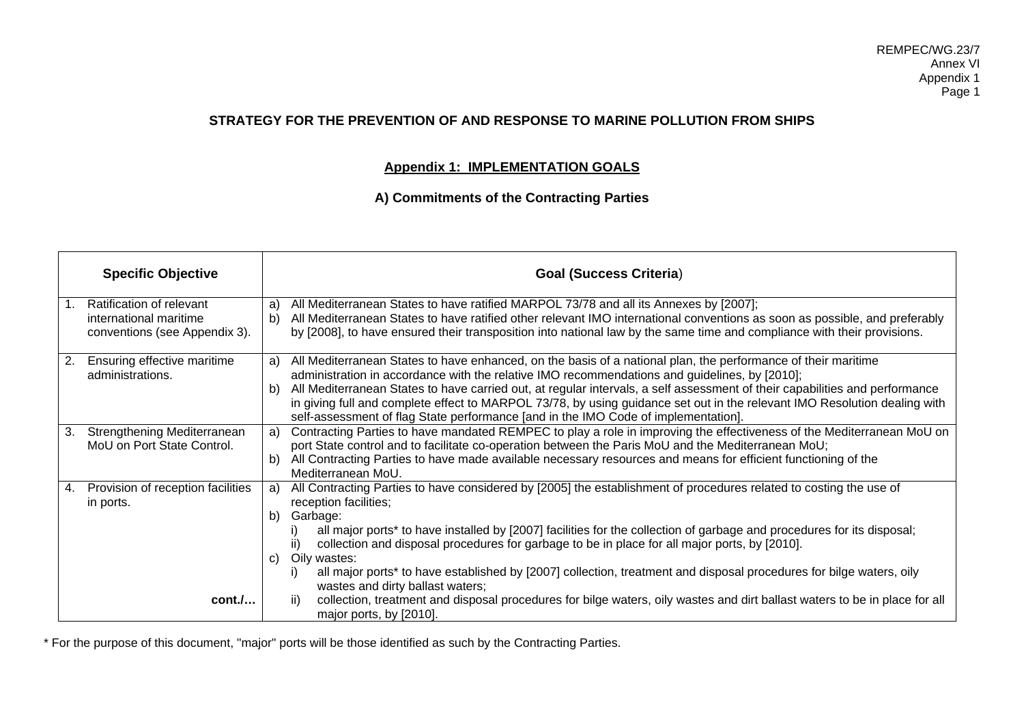# **STRATEGY FOR THE PREVENTION OF AND RESPONSE TO MARINE POLLUTION FROM SHIPS**

# **Appendix 1: IMPLEMENTATION GOALS**

# **A) Commitments of the Contracting Parties**

|    | <b>Specific Objective</b>                                                           | <b>Goal (Success Criteria)</b>                                                                                                                                                                                                                                                                                                                                                                                                                                                                                                                                               |  |
|----|-------------------------------------------------------------------------------------|------------------------------------------------------------------------------------------------------------------------------------------------------------------------------------------------------------------------------------------------------------------------------------------------------------------------------------------------------------------------------------------------------------------------------------------------------------------------------------------------------------------------------------------------------------------------------|--|
|    | Ratification of relevant<br>international maritime<br>conventions (see Appendix 3). | All Mediterranean States to have ratified MARPOL 73/78 and all its Annexes by [2007];<br>a)<br>All Mediterranean States to have ratified other relevant IMO international conventions as soon as possible, and preferably<br>b)<br>by [2008], to have ensured their transposition into national law by the same time and compliance with their provisions.                                                                                                                                                                                                                   |  |
| 2. | Ensuring effective maritime<br>administrations.                                     | All Mediterranean States to have enhanced, on the basis of a national plan, the performance of their maritime<br>a)<br>administration in accordance with the relative IMO recommendations and guidelines, by [2010];<br>All Mediterranean States to have carried out, at regular intervals, a self assessment of their capabilities and performance<br>b)<br>in giving full and complete effect to MARPOL 73/78, by using guidance set out in the relevant IMO Resolution dealing with<br>self-assessment of flag State performance [and in the IMO Code of implementation]. |  |
| 3. | Strengthening Mediterranean<br>MoU on Port State Control.                           | Contracting Parties to have mandated REMPEC to play a role in improving the effectiveness of the Mediterranean MoU on<br>a)<br>port State control and to facilitate co-operation between the Paris MoU and the Mediterranean MoU;<br>All Contracting Parties to have made available necessary resources and means for efficient functioning of the<br>b)<br>Mediterranean MoU.                                                                                                                                                                                               |  |
| 4. | Provision of reception facilities<br>in ports.                                      | All Contracting Parties to have considered by [2005] the establishment of procedures related to costing the use of<br>a)<br>reception facilities;<br>b)<br>Garbage:<br>all major ports* to have installed by [2007] facilities for the collection of garbage and procedures for its disposal;<br>collection and disposal procedures for garbage to be in place for all major ports, by [2010].<br>ii)<br>Oily wastes:<br>C)                                                                                                                                                  |  |
|    | cont.                                                                               | all major ports* to have established by [2007] collection, treatment and disposal procedures for bilge waters, oily<br>wastes and dirty ballast waters;<br>collection, treatment and disposal procedures for bilge waters, oily wastes and dirt ballast waters to be in place for all<br>ii)<br>major ports, by [2010].                                                                                                                                                                                                                                                      |  |

\* For the purpose of this document, "major" ports will be those identified as such by the Contracting Parties.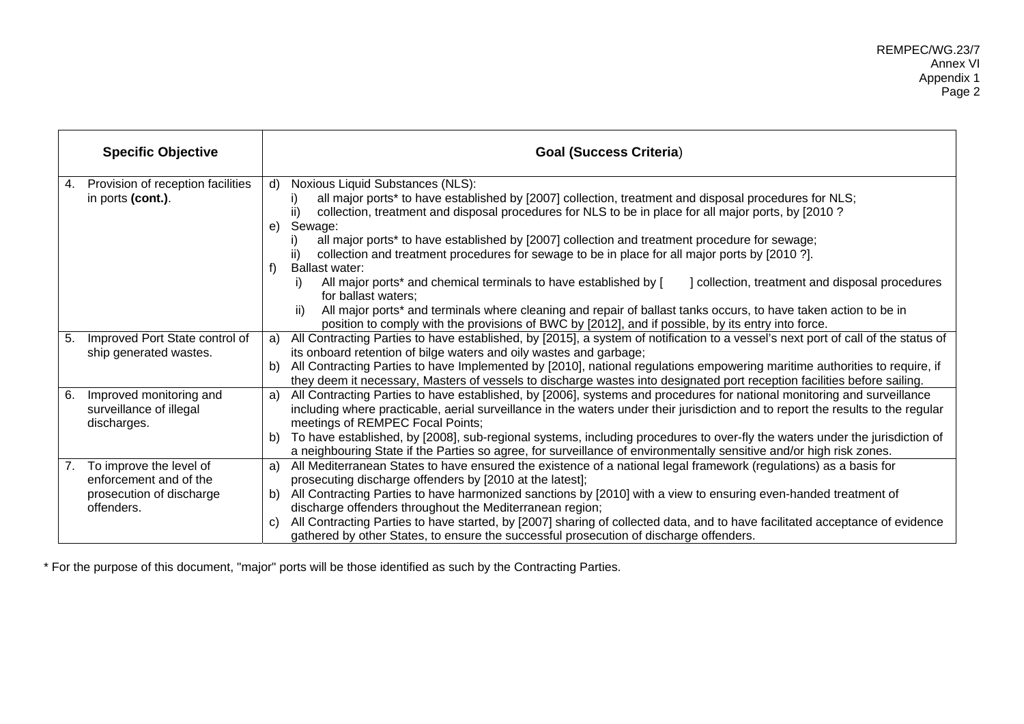|    | <b>Specific Objective</b>                                         |    | <b>Goal (Success Criteria)</b>                                                                                                                                                                                                                                                                  |
|----|-------------------------------------------------------------------|----|-------------------------------------------------------------------------------------------------------------------------------------------------------------------------------------------------------------------------------------------------------------------------------------------------|
| 4. | Provision of reception facilities<br>in ports (cont.).            | d) | Noxious Liquid Substances (NLS):<br>all major ports* to have established by [2007] collection, treatment and disposal procedures for NLS;<br>ii)<br>collection, treatment and disposal procedures for NLS to be in place for all major ports, by [2010 ?                                        |
|    |                                                                   |    | e) Sewage:<br>all major ports* to have established by [2007] collection and treatment procedure for sewage;<br>I)<br>collection and treatment procedures for sewage to be in place for all major ports by [2010 ?].<br>ii)                                                                      |
|    |                                                                   | f) | Ballast water:<br>All major ports* and chemical terminals to have established by [<br>collection, treatment and disposal procedures<br>i)<br>for ballast waters;                                                                                                                                |
|    |                                                                   |    | All major ports* and terminals where cleaning and repair of ballast tanks occurs, to have taken action to be in<br>ii)<br>position to comply with the provisions of BWC by [2012], and if possible, by its entry into force.                                                                    |
| 5. | Improved Port State control of<br>ship generated wastes.          | a) | All Contracting Parties to have established, by [2015], a system of notification to a vessel's next port of call of the status of<br>its onboard retention of bilge waters and oily wastes and garbage;                                                                                         |
|    |                                                                   |    | b) All Contracting Parties to have Implemented by [2010], national regulations empowering maritime authorities to require, if<br>they deem it necessary, Masters of vessels to discharge wastes into designated port reception facilities before sailing.                                       |
| 6. | Improved monitoring and<br>surveillance of illegal<br>discharges. | a) | All Contracting Parties to have established, by [2006], systems and procedures for national monitoring and surveillance<br>including where practicable, aerial surveillance in the waters under their jurisdiction and to report the results to the regular<br>meetings of REMPEC Focal Points; |
|    |                                                                   | b) | To have established, by [2008], sub-regional systems, including procedures to over-fly the waters under the jurisdiction of<br>a neighbouring State if the Parties so agree, for surveillance of environmentally sensitive and/or high risk zones.                                              |
| 7. | To improve the level of<br>enforcement and of the                 | a) | All Mediterranean States to have ensured the existence of a national legal framework (regulations) as a basis for<br>prosecuting discharge offenders by [2010 at the latest];                                                                                                                   |
|    | prosecution of discharge<br>offenders.                            | b) | All Contracting Parties to have harmonized sanctions by [2010] with a view to ensuring even-handed treatment of<br>discharge offenders throughout the Mediterranean region;                                                                                                                     |
|    |                                                                   | C) | All Contracting Parties to have started, by [2007] sharing of collected data, and to have facilitated acceptance of evidence<br>gathered by other States, to ensure the successful prosecution of discharge offenders.                                                                          |

\* For the purpose of this document, "major" ports will be those identified as such by the Contracting Parties.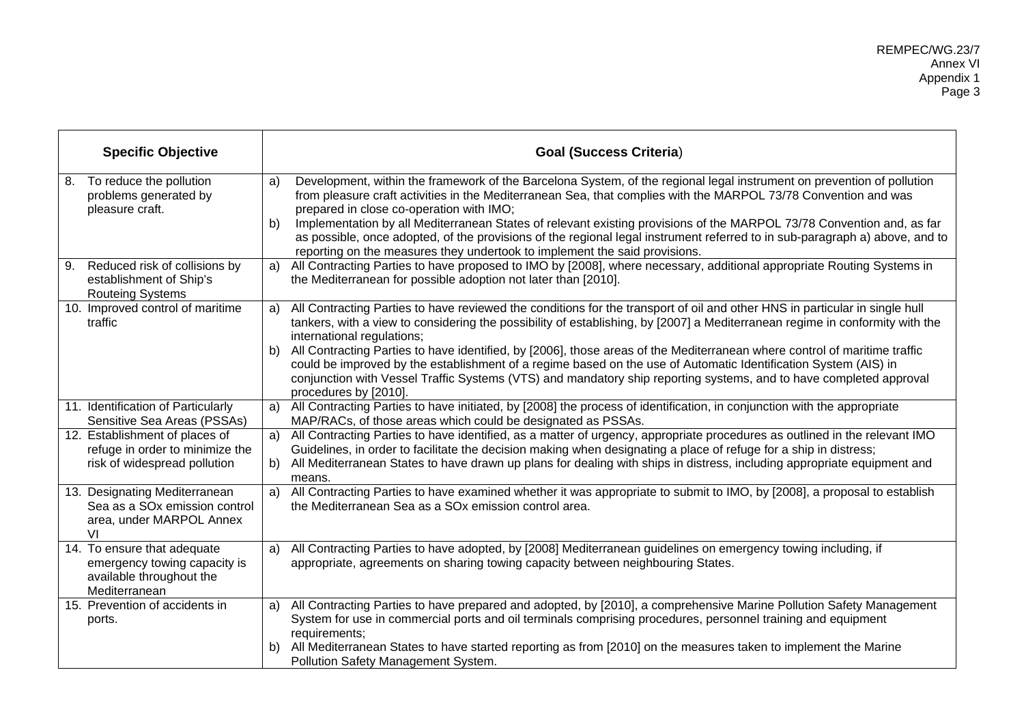| <b>Goal (Success Criteria)</b>                                                                                                                                                                                                                                                                                                                                                                                                                                                                                                                                                                                                                                                                    |
|---------------------------------------------------------------------------------------------------------------------------------------------------------------------------------------------------------------------------------------------------------------------------------------------------------------------------------------------------------------------------------------------------------------------------------------------------------------------------------------------------------------------------------------------------------------------------------------------------------------------------------------------------------------------------------------------------|
| Development, within the framework of the Barcelona System, of the regional legal instrument on prevention of pollution<br>a)<br>from pleasure craft activities in the Mediterranean Sea, that complies with the MARPOL 73/78 Convention and was<br>prepared in close co-operation with IMO;<br>Implementation by all Mediterranean States of relevant existing provisions of the MARPOL 73/78 Convention and, as far<br>b)<br>as possible, once adopted, of the provisions of the regional legal instrument referred to in sub-paragraph a) above, and to<br>reporting on the measures they undertook to implement the said provisions.                                                           |
| All Contracting Parties to have proposed to IMO by [2008], where necessary, additional appropriate Routing Systems in<br>a)<br>the Mediterranean for possible adoption not later than [2010].                                                                                                                                                                                                                                                                                                                                                                                                                                                                                                     |
| All Contracting Parties to have reviewed the conditions for the transport of oil and other HNS in particular in single hull<br>a)<br>tankers, with a view to considering the possibility of establishing, by [2007] a Mediterranean regime in conformity with the<br>international regulations;<br>b) All Contracting Parties to have identified, by [2006], those areas of the Mediterranean where control of maritime traffic<br>could be improved by the establishment of a regime based on the use of Automatic Identification System (AIS) in<br>conjunction with Vessel Traffic Systems (VTS) and mandatory ship reporting systems, and to have completed approval<br>procedures by [2010]. |
| a) All Contracting Parties to have initiated, by [2008] the process of identification, in conjunction with the appropriate<br>MAP/RACs, of those areas which could be designated as PSSAs.                                                                                                                                                                                                                                                                                                                                                                                                                                                                                                        |
| a) All Contracting Parties to have identified, as a matter of urgency, appropriate procedures as outlined in the relevant IMO<br>Guidelines, in order to facilitate the decision making when designating a place of refuge for a ship in distress;<br>All Mediterranean States to have drawn up plans for dealing with ships in distress, including appropriate equipment and<br>b)<br>means.                                                                                                                                                                                                                                                                                                     |
| All Contracting Parties to have examined whether it was appropriate to submit to IMO, by [2008], a proposal to establish<br>a)<br>the Mediterranean Sea as a SO <sub>x</sub> emission control area.                                                                                                                                                                                                                                                                                                                                                                                                                                                                                               |
| All Contracting Parties to have adopted, by [2008] Mediterranean guidelines on emergency towing including, if<br>a)<br>appropriate, agreements on sharing towing capacity between neighbouring States.                                                                                                                                                                                                                                                                                                                                                                                                                                                                                            |
| a) All Contracting Parties to have prepared and adopted, by [2010], a comprehensive Marine Pollution Safety Management<br>System for use in commercial ports and oil terminals comprising procedures, personnel training and equipment<br>requirements;<br>b) All Mediterranean States to have started reporting as from [2010] on the measures taken to implement the Marine<br>Pollution Safety Management System.                                                                                                                                                                                                                                                                              |
|                                                                                                                                                                                                                                                                                                                                                                                                                                                                                                                                                                                                                                                                                                   |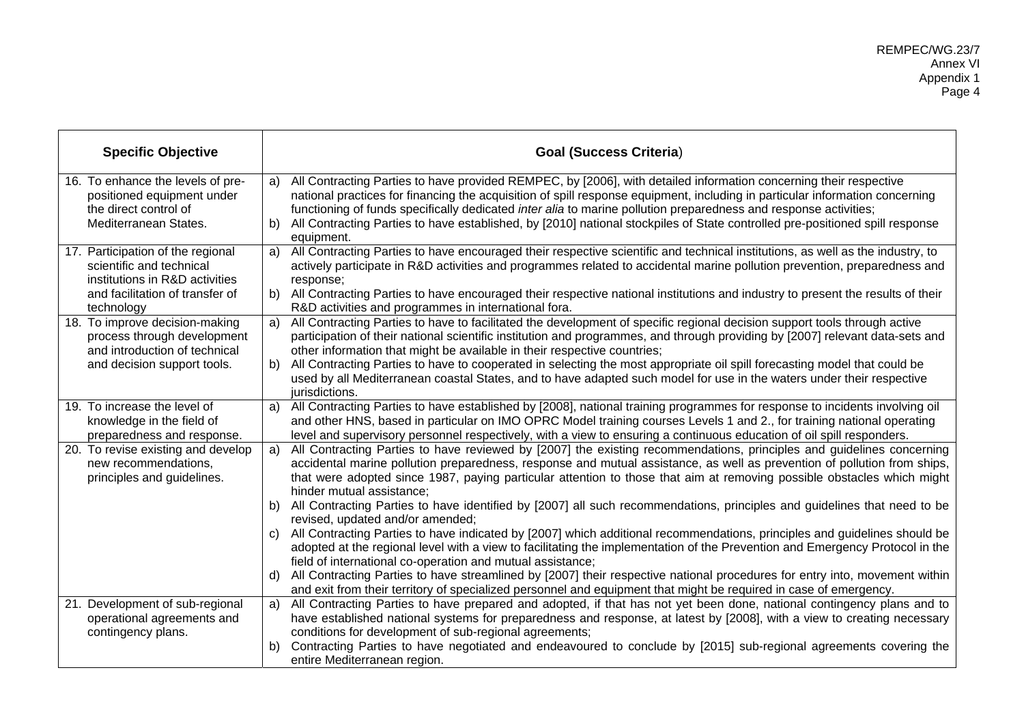| <b>Specific Objective</b>                                    |    | <b>Goal (Success Criteria)</b>                                                                                                                                                                                                                   |
|--------------------------------------------------------------|----|--------------------------------------------------------------------------------------------------------------------------------------------------------------------------------------------------------------------------------------------------|
| 16. To enhance the levels of pre-                            |    | a) All Contracting Parties to have provided REMPEC, by [2006], with detailed information concerning their respective                                                                                                                             |
| positioned equipment under<br>the direct control of          |    | national practices for financing the acquisition of spill response equipment, including in particular information concerning<br>functioning of funds specifically dedicated inter alia to marine pollution preparedness and response activities; |
| Mediterranean States.                                        |    | b) All Contracting Parties to have established, by [2010] national stockpiles of State controlled pre-positioned spill response                                                                                                                  |
|                                                              |    | equipment.                                                                                                                                                                                                                                       |
| 17. Participation of the regional                            |    | a) All Contracting Parties to have encouraged their respective scientific and technical institutions, as well as the industry, to                                                                                                                |
| scientific and technical                                     |    | actively participate in R&D activities and programmes related to accidental marine pollution prevention, preparedness and                                                                                                                        |
| institutions in R&D activities                               |    | response;                                                                                                                                                                                                                                        |
| and facilitation of transfer of                              |    | b) All Contracting Parties to have encouraged their respective national institutions and industry to present the results of their                                                                                                                |
| technology                                                   |    | R&D activities and programmes in international fora.                                                                                                                                                                                             |
| 18. To improve decision-making                               | a) | All Contracting Parties to have to facilitated the development of specific regional decision support tools through active                                                                                                                        |
| process through development<br>and introduction of technical |    | participation of their national scientific institution and programmes, and through providing by [2007] relevant data-sets and<br>other information that might be available in their respective countries;                                        |
| and decision support tools.                                  |    | b) All Contracting Parties to have to cooperated in selecting the most appropriate oil spill forecasting model that could be                                                                                                                     |
|                                                              |    | used by all Mediterranean coastal States, and to have adapted such model for use in the waters under their respective                                                                                                                            |
|                                                              |    | jurisdictions.                                                                                                                                                                                                                                   |
| 19. To increase the level of                                 |    | a) All Contracting Parties to have established by [2008], national training programmes for response to incidents involving oil                                                                                                                   |
| knowledge in the field of                                    |    | and other HNS, based in particular on IMO OPRC Model training courses Levels 1 and 2., for training national operating                                                                                                                           |
| preparedness and response.                                   |    | level and supervisory personnel respectively, with a view to ensuring a continuous education of oil spill responders.                                                                                                                            |
| 20. To revise existing and develop                           | a) | All Contracting Parties to have reviewed by [2007] the existing recommendations, principles and guidelines concerning                                                                                                                            |
| new recommendations,                                         |    | accidental marine pollution preparedness, response and mutual assistance, as well as prevention of pollution from ships,                                                                                                                         |
| principles and guidelines.                                   |    | that were adopted since 1987, paying particular attention to those that aim at removing possible obstacles which might                                                                                                                           |
|                                                              |    | hinder mutual assistance;                                                                                                                                                                                                                        |
|                                                              |    | b) All Contracting Parties to have identified by [2007] all such recommendations, principles and guidelines that need to be                                                                                                                      |
|                                                              |    | revised, updated and/or amended;                                                                                                                                                                                                                 |
|                                                              |    | c) All Contracting Parties to have indicated by [2007] which additional recommendations, principles and guidelines should be                                                                                                                     |
|                                                              |    | adopted at the regional level with a view to facilitating the implementation of the Prevention and Emergency Protocol in the<br>field of international co-operation and mutual assistance;                                                       |
|                                                              |    | d) All Contracting Parties to have streamlined by [2007] their respective national procedures for entry into, movement within                                                                                                                    |
|                                                              |    | and exit from their territory of specialized personnel and equipment that might be required in case of emergency.                                                                                                                                |
| 21. Development of sub-regional                              | a) | All Contracting Parties to have prepared and adopted, if that has not yet been done, national contingency plans and to                                                                                                                           |
| operational agreements and                                   |    | have established national systems for preparedness and response, at latest by [2008], with a view to creating necessary                                                                                                                          |
| contingency plans.                                           |    | conditions for development of sub-regional agreements;                                                                                                                                                                                           |
|                                                              | b) | Contracting Parties to have negotiated and endeavoured to conclude by [2015] sub-regional agreements covering the                                                                                                                                |
|                                                              |    | entire Mediterranean region.                                                                                                                                                                                                                     |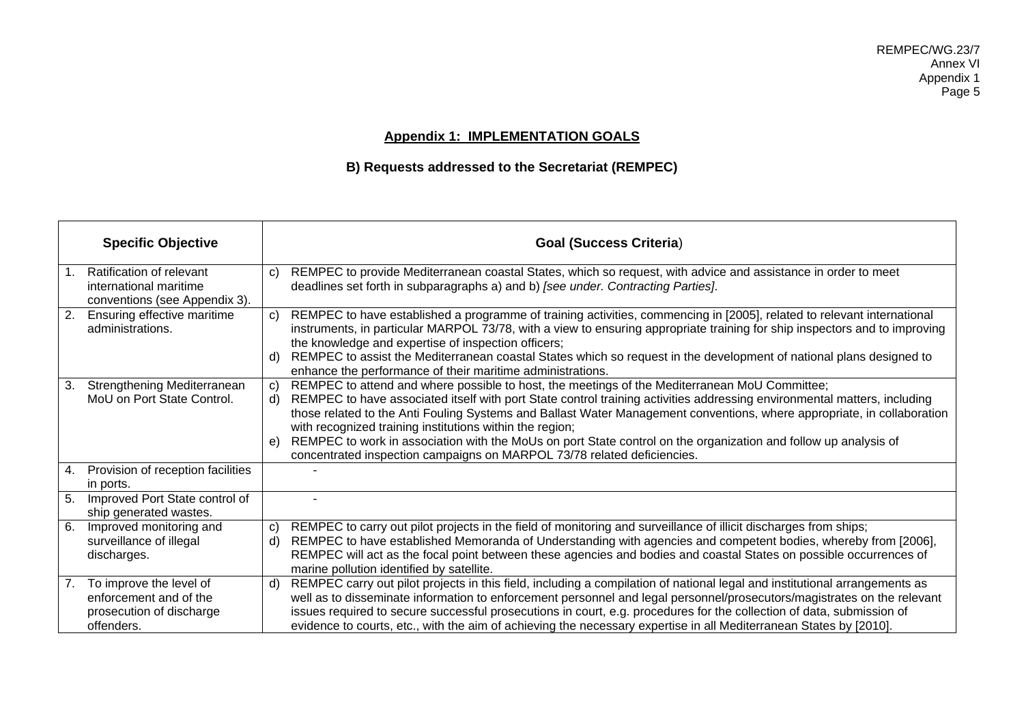# **Appendix 1: IMPLEMENTATION GOALS**

# **B) Requests addressed to the Secretariat (REMPEC)**

|    | <b>Specific Objective</b>                                                                   |                | <b>Goal (Success Criteria)</b>                                                                                                                                                                                                                                                                                                                                                                                                                                                                                                                                                                                 |
|----|---------------------------------------------------------------------------------------------|----------------|----------------------------------------------------------------------------------------------------------------------------------------------------------------------------------------------------------------------------------------------------------------------------------------------------------------------------------------------------------------------------------------------------------------------------------------------------------------------------------------------------------------------------------------------------------------------------------------------------------------|
|    | Ratification of relevant<br>international maritime<br>conventions (see Appendix 3).         | C)             | REMPEC to provide Mediterranean coastal States, which so request, with advice and assistance in order to meet<br>deadlines set forth in subparagraphs a) and b) [see under. Contracting Parties].                                                                                                                                                                                                                                                                                                                                                                                                              |
| 2. | Ensuring effective maritime<br>administrations.                                             | c)<br>d)       | REMPEC to have established a programme of training activities, commencing in [2005], related to relevant international<br>instruments, in particular MARPOL 73/78, with a view to ensuring appropriate training for ship inspectors and to improving<br>the knowledge and expertise of inspection officers;<br>REMPEC to assist the Mediterranean coastal States which so request in the development of national plans designed to<br>enhance the performance of their maritime administrations.                                                                                                               |
| 3. | Strengthening Mediterranean<br>MoU on Port State Control.                                   | c)<br>d)<br>e) | REMPEC to attend and where possible to host, the meetings of the Mediterranean MoU Committee;<br>REMPEC to have associated itself with port State control training activities addressing environmental matters, including<br>those related to the Anti Fouling Systems and Ballast Water Management conventions, where appropriate, in collaboration<br>with recognized training institutions within the region;<br>REMPEC to work in association with the MoUs on port State control on the organization and follow up analysis of<br>concentrated inspection campaigns on MARPOL 73/78 related deficiencies. |
|    | 4. Provision of reception facilities<br>in ports.                                           |                |                                                                                                                                                                                                                                                                                                                                                                                                                                                                                                                                                                                                                |
| 5. | Improved Port State control of<br>ship generated wastes.                                    |                |                                                                                                                                                                                                                                                                                                                                                                                                                                                                                                                                                                                                                |
| 6. | Improved monitoring and<br>surveillance of illegal<br>discharges.                           | C)<br>d)       | REMPEC to carry out pilot projects in the field of monitoring and surveillance of illicit discharges from ships;<br>REMPEC to have established Memoranda of Understanding with agencies and competent bodies, whereby from [2006],<br>REMPEC will act as the focal point between these agencies and bodies and coastal States on possible occurrences of<br>marine pollution identified by satellite.                                                                                                                                                                                                          |
| 7. | To improve the level of<br>enforcement and of the<br>prosecution of discharge<br>offenders. | d)             | REMPEC carry out pilot projects in this field, including a compilation of national legal and institutional arrangements as<br>well as to disseminate information to enforcement personnel and legal personnel/prosecutors/magistrates on the relevant<br>issues required to secure successful prosecutions in court, e.g. procedures for the collection of data, submission of<br>evidence to courts, etc., with the aim of achieving the necessary expertise in all Mediterranean States by [2010].                                                                                                           |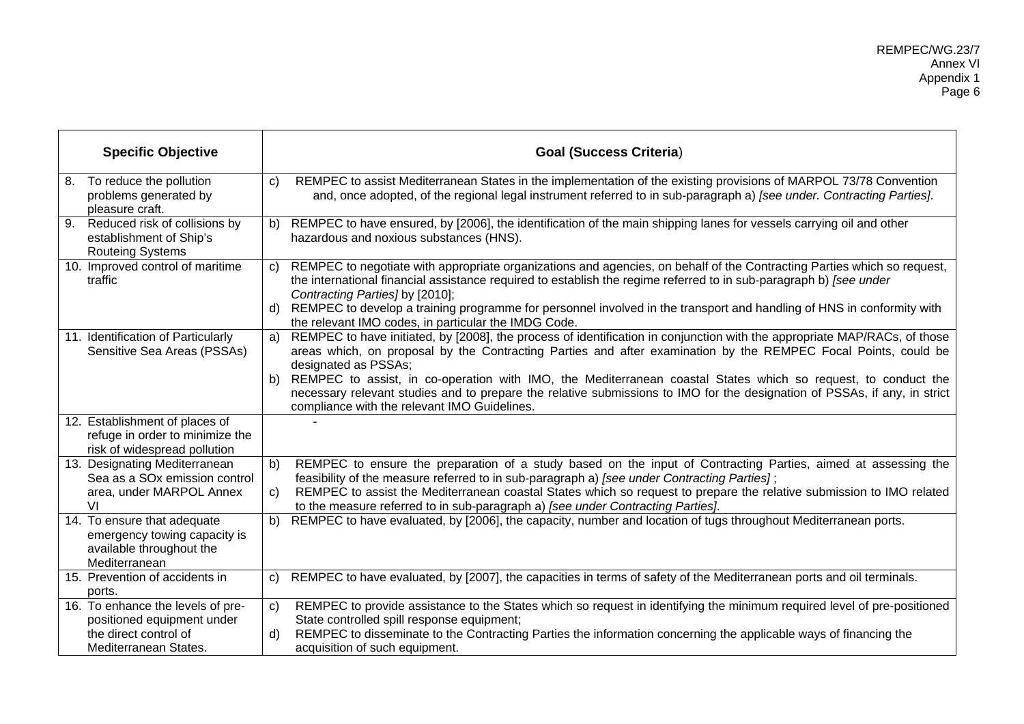|    | <b>Specific Objective</b>                                                                                |                    | <b>Goal (Success Criteria)</b>                                                                                                                                                                                                                                                                                                       |
|----|----------------------------------------------------------------------------------------------------------|--------------------|--------------------------------------------------------------------------------------------------------------------------------------------------------------------------------------------------------------------------------------------------------------------------------------------------------------------------------------|
|    | 8. To reduce the pollution<br>problems generated by<br>pleasure craft.                                   | $\mathbf{C}$       | REMPEC to assist Mediterranean States in the implementation of the existing provisions of MARPOL 73/78 Convention<br>and, once adopted, of the regional legal instrument referred to in sub-paragraph a) [see under. Contracting Parties].                                                                                           |
| 9. | Reduced risk of collisions by<br>establishment of Ship's<br><b>Routeing Systems</b>                      | b)                 | REMPEC to have ensured, by [2006], the identification of the main shipping lanes for vessels carrying oil and other<br>hazardous and noxious substances (HNS).                                                                                                                                                                       |
|    | 10. Improved control of maritime<br>traffic                                                              | $\mathbf{C}$       | REMPEC to negotiate with appropriate organizations and agencies, on behalf of the Contracting Parties which so request,<br>the international financial assistance required to establish the regime referred to in sub-paragraph b) [see under<br>Contracting Parties] by [2010];                                                     |
|    |                                                                                                          | d)                 | REMPEC to develop a training programme for personnel involved in the transport and handling of HNS in conformity with<br>the relevant IMO codes, in particular the IMDG Code.                                                                                                                                                        |
|    | 11. Identification of Particularly<br>Sensitive Sea Areas (PSSAs)                                        | a)                 | REMPEC to have initiated, by [2008], the process of identification in conjunction with the appropriate MAP/RACs, of those<br>areas which, on proposal by the Contracting Parties and after examination by the REMPEC Focal Points, could be<br>designated as PSSAs;                                                                  |
|    |                                                                                                          | b)                 | REMPEC to assist, in co-operation with IMO, the Mediterranean coastal States which so request, to conduct the<br>necessary relevant studies and to prepare the relative submissions to IMO for the designation of PSSAs, if any, in strict<br>compliance with the relevant IMO Guidelines.                                           |
|    | 12. Establishment of places of<br>refuge in order to minimize the<br>risk of widespread pollution        |                    |                                                                                                                                                                                                                                                                                                                                      |
|    | 13. Designating Mediterranean<br>Sea as a SO <sub>x</sub> emission control<br>area, under MARPOL Annex   | b)<br>$\mathsf{C}$ | REMPEC to ensure the preparation of a study based on the input of Contracting Parties, aimed at assessing the<br>feasibility of the measure referred to in sub-paragraph a) [see under Contracting Parties];<br>REMPEC to assist the Mediterranean coastal States which so request to prepare the relative submission to IMO related |
|    | VI                                                                                                       |                    | to the measure referred to in sub-paragraph a) [see under Contracting Parties].                                                                                                                                                                                                                                                      |
|    | 14. To ensure that adequate<br>emergency towing capacity is<br>available throughout the<br>Mediterranean | $\overline{b)}$    | REMPEC to have evaluated, by [2006], the capacity, number and location of tugs throughout Mediterranean ports.                                                                                                                                                                                                                       |
|    | 15. Prevention of accidents in<br>ports.                                                                 | $\mathbf{C}$       | REMPEC to have evaluated, by [2007], the capacities in terms of safety of the Mediterranean ports and oil terminals.                                                                                                                                                                                                                 |
|    | 16. To enhance the levels of pre-<br>positioned equipment under<br>the direct control of                 | $\mathsf{C}$<br>d) | REMPEC to provide assistance to the States which so request in identifying the minimum required level of pre-positioned<br>State controlled spill response equipment;<br>REMPEC to disseminate to the Contracting Parties the information concerning the applicable ways of financing the                                            |
|    | Mediterranean States.                                                                                    |                    | acquisition of such equipment.                                                                                                                                                                                                                                                                                                       |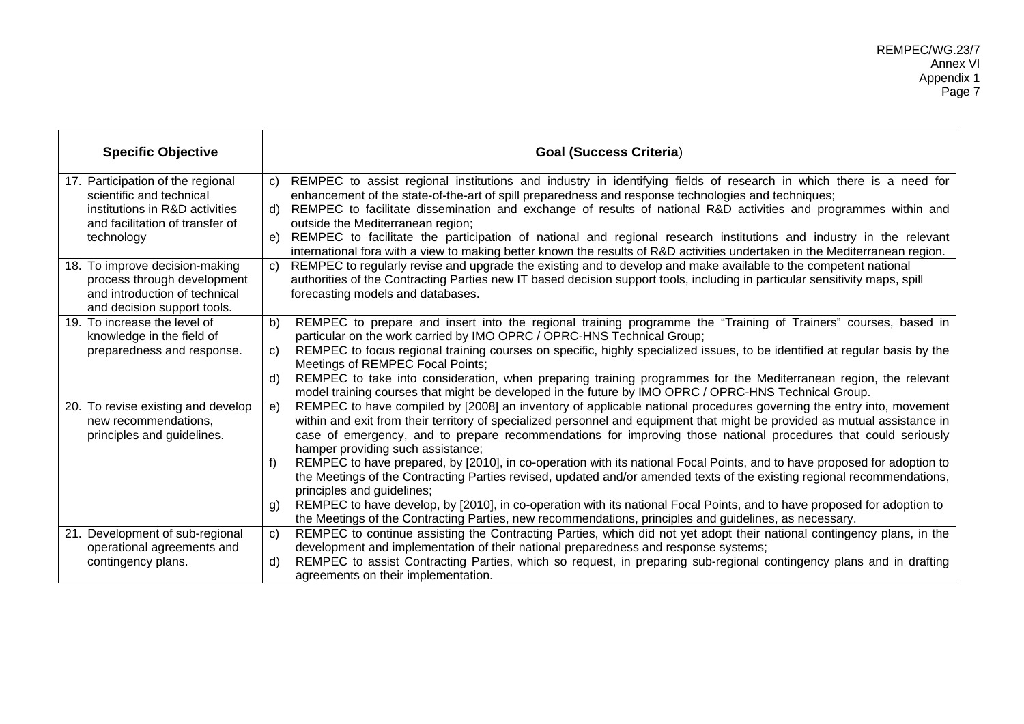| <b>Specific Objective</b>                                                                                                                        | <b>Goal (Success Criteria)</b>                                                                                                                                                                                                                                                                                                                                                                                                                                                                                                                                                                                                                                                                                                                                                                                                                                                                                                                 |
|--------------------------------------------------------------------------------------------------------------------------------------------------|------------------------------------------------------------------------------------------------------------------------------------------------------------------------------------------------------------------------------------------------------------------------------------------------------------------------------------------------------------------------------------------------------------------------------------------------------------------------------------------------------------------------------------------------------------------------------------------------------------------------------------------------------------------------------------------------------------------------------------------------------------------------------------------------------------------------------------------------------------------------------------------------------------------------------------------------|
| 17. Participation of the regional<br>scientific and technical<br>institutions in R&D activities<br>and facilitation of transfer of<br>technology | REMPEC to assist regional institutions and industry in identifying fields of research in which there is a need for<br>C)<br>enhancement of the state-of-the-art of spill preparedness and response technologies and techniques;<br>REMPEC to facilitate dissemination and exchange of results of national R&D activities and programmes within and<br>d)<br>outside the Mediterranean region;<br>REMPEC to facilitate the participation of national and regional research institutions and industry in the relevant<br>e)<br>international fora with a view to making better known the results of R&D activities undertaken in the Mediterranean region.                                                                                                                                                                                                                                                                                       |
| 18. To improve decision-making<br>process through development<br>and introduction of technical<br>and decision support tools.                    | REMPEC to regularly revise and upgrade the existing and to develop and make available to the competent national<br>$\mathbf{C}$<br>authorities of the Contracting Parties new IT based decision support tools, including in particular sensitivity maps, spill<br>forecasting models and databases.                                                                                                                                                                                                                                                                                                                                                                                                                                                                                                                                                                                                                                            |
| 19. To increase the level of<br>knowledge in the field of<br>preparedness and response.                                                          | REMPEC to prepare and insert into the regional training programme the "Training of Trainers" courses, based in<br>b)<br>particular on the work carried by IMO OPRC / OPRC-HNS Technical Group;<br>REMPEC to focus regional training courses on specific, highly specialized issues, to be identified at regular basis by the<br>C)<br>Meetings of REMPEC Focal Points;<br>REMPEC to take into consideration, when preparing training programmes for the Mediterranean region, the relevant<br>d)<br>model training courses that might be developed in the future by IMO OPRC / OPRC-HNS Technical Group.                                                                                                                                                                                                                                                                                                                                       |
| 20. To revise existing and develop<br>new recommendations,<br>principles and guidelines.                                                         | REMPEC to have compiled by [2008] an inventory of applicable national procedures governing the entry into, movement<br>e)<br>within and exit from their territory of specialized personnel and equipment that might be provided as mutual assistance in<br>case of emergency, and to prepare recommendations for improving those national procedures that could seriously<br>hamper providing such assistance;<br>REMPEC to have prepared, by [2010], in co-operation with its national Focal Points, and to have proposed for adoption to<br>the Meetings of the Contracting Parties revised, updated and/or amended texts of the existing regional recommendations,<br>principles and guidelines;<br>REMPEC to have develop, by [2010], in co-operation with its national Focal Points, and to have proposed for adoption to<br>g)<br>the Meetings of the Contracting Parties, new recommendations, principles and guidelines, as necessary. |
| 21. Development of sub-regional<br>operational agreements and<br>contingency plans.                                                              | REMPEC to continue assisting the Contracting Parties, which did not yet adopt their national contingency plans, in the<br>$\mathbf{C}$<br>development and implementation of their national preparedness and response systems;<br>REMPEC to assist Contracting Parties, which so request, in preparing sub-regional contingency plans and in drafting<br>d)<br>agreements on their implementation.                                                                                                                                                                                                                                                                                                                                                                                                                                                                                                                                              |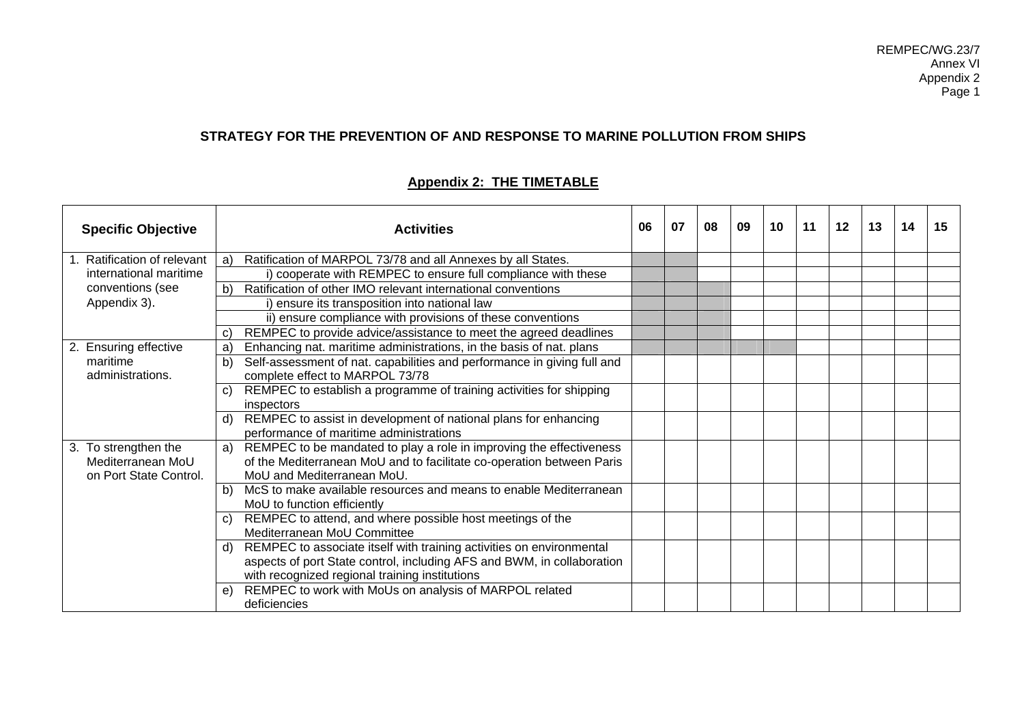# **STRATEGY FOR THE PREVENTION OF AND RESPONSE TO MARINE POLLUTION FROM SHIPS**

# **Appendix 2: THE TIMETABLE**

| <b>Specific Objective</b>                                           | <b>Activities</b>                                                                                                                                                                                      | 06 | 07 | 08 | 09 | 10 | 11 | $12 \,$ | 13 | 14 | 15 |
|---------------------------------------------------------------------|--------------------------------------------------------------------------------------------------------------------------------------------------------------------------------------------------------|----|----|----|----|----|----|---------|----|----|----|
| <b>Ratification of relevant</b>                                     | Ratification of MARPOL 73/78 and all Annexes by all States.<br>a                                                                                                                                       |    |    |    |    |    |    |         |    |    |    |
| international maritime                                              | i) cooperate with REMPEC to ensure full compliance with these                                                                                                                                          |    |    |    |    |    |    |         |    |    |    |
| conventions (see                                                    | Ratification of other IMO relevant international conventions<br>$\mathbf{b}$                                                                                                                           |    |    |    |    |    |    |         |    |    |    |
| Appendix 3).                                                        | i) ensure its transposition into national law                                                                                                                                                          |    |    |    |    |    |    |         |    |    |    |
|                                                                     | ii) ensure compliance with provisions of these conventions                                                                                                                                             |    |    |    |    |    |    |         |    |    |    |
|                                                                     | REMPEC to provide advice/assistance to meet the agreed deadlines<br>$\mathbf{C}$                                                                                                                       |    |    |    |    |    |    |         |    |    |    |
| 2. Ensuring effective                                               | Enhancing nat. maritime administrations, in the basis of nat. plans<br>a                                                                                                                               |    |    |    |    |    |    |         |    |    |    |
| maritime<br>administrations.                                        | Self-assessment of nat. capabilities and performance in giving full and<br>$\mathbf{b}$<br>complete effect to MARPOL 73/78                                                                             |    |    |    |    |    |    |         |    |    |    |
|                                                                     | REMPEC to establish a programme of training activities for shipping<br>C)<br>inspectors                                                                                                                |    |    |    |    |    |    |         |    |    |    |
|                                                                     | REMPEC to assist in development of national plans for enhancing<br>d)<br>performance of maritime administrations                                                                                       |    |    |    |    |    |    |         |    |    |    |
| 3. To strengthen the<br>Mediterranean MoU<br>on Port State Control. | REMPEC to be mandated to play a role in improving the effectiveness<br>a)<br>of the Mediterranean MoU and to facilitate co-operation between Paris<br>MoU and Mediterranean MoU.                       |    |    |    |    |    |    |         |    |    |    |
|                                                                     | McS to make available resources and means to enable Mediterranean<br>b)<br>MoU to function efficiently                                                                                                 |    |    |    |    |    |    |         |    |    |    |
|                                                                     | REMPEC to attend, and where possible host meetings of the<br>C)<br>Mediterranean MoU Committee                                                                                                         |    |    |    |    |    |    |         |    |    |    |
|                                                                     | REMPEC to associate itself with training activities on environmental<br>d)<br>aspects of port State control, including AFS and BWM, in collaboration<br>with recognized regional training institutions |    |    |    |    |    |    |         |    |    |    |
|                                                                     | REMPEC to work with MoUs on analysis of MARPOL related<br>e<br>deficiencies                                                                                                                            |    |    |    |    |    |    |         |    |    |    |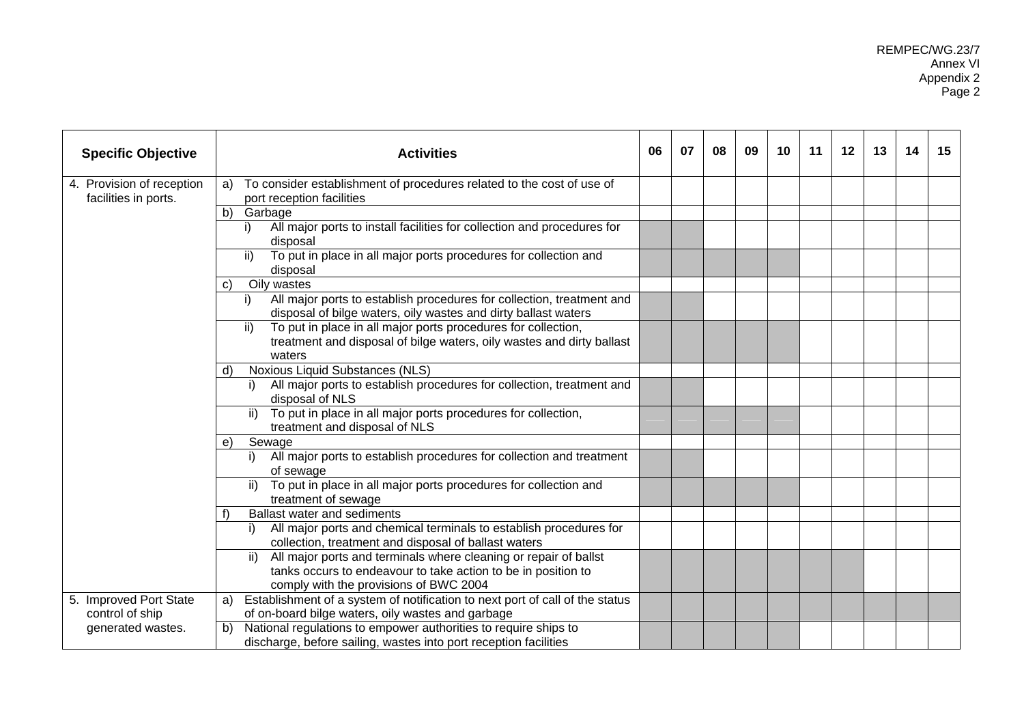| <b>Specific Objective</b>                                      | <b>Activities</b>                                                                                                                                                                  | 06 | 07 | 08 | 09 | 10 | 11 | 12 | 13 | 14 | 15 |
|----------------------------------------------------------------|------------------------------------------------------------------------------------------------------------------------------------------------------------------------------------|----|----|----|----|----|----|----|----|----|----|
| 4. Provision of reception<br>facilities in ports.              | To consider establishment of procedures related to the cost of use of<br>a)<br>port reception facilities                                                                           |    |    |    |    |    |    |    |    |    |    |
|                                                                | b)<br>Garbage                                                                                                                                                                      |    |    |    |    |    |    |    |    |    |    |
|                                                                | All major ports to install facilities for collection and procedures for<br>i)<br>disposal                                                                                          |    |    |    |    |    |    |    |    |    |    |
|                                                                | To put in place in all major ports procedures for collection and<br>ii)<br>disposal                                                                                                |    |    |    |    |    |    |    |    |    |    |
|                                                                | Oily wastes<br>C)                                                                                                                                                                  |    |    |    |    |    |    |    |    |    |    |
|                                                                | All major ports to establish procedures for collection, treatment and<br>i)<br>disposal of bilge waters, oily wastes and dirty ballast waters                                      |    |    |    |    |    |    |    |    |    |    |
|                                                                | ii)<br>To put in place in all major ports procedures for collection,<br>treatment and disposal of bilge waters, oily wastes and dirty ballast<br>waters                            |    |    |    |    |    |    |    |    |    |    |
|                                                                | Noxious Liquid Substances (NLS)<br>d)                                                                                                                                              |    |    |    |    |    |    |    |    |    |    |
|                                                                | All major ports to establish procedures for collection, treatment and<br>disposal of NLS                                                                                           |    |    |    |    |    |    |    |    |    |    |
|                                                                | To put in place in all major ports procedures for collection,<br>ii)<br>treatment and disposal of NLS                                                                              |    |    |    |    |    |    |    |    |    |    |
|                                                                | Sewage<br>e)                                                                                                                                                                       |    |    |    |    |    |    |    |    |    |    |
|                                                                | All major ports to establish procedures for collection and treatment<br>of sewage                                                                                                  |    |    |    |    |    |    |    |    |    |    |
|                                                                | To put in place in all major ports procedures for collection and<br>ii)<br>treatment of sewage                                                                                     |    |    |    |    |    |    |    |    |    |    |
|                                                                | <b>Ballast water and sediments</b>                                                                                                                                                 |    |    |    |    |    |    |    |    |    |    |
|                                                                | All major ports and chemical terminals to establish procedures for<br>i).<br>collection, treatment and disposal of ballast waters                                                  |    |    |    |    |    |    |    |    |    |    |
|                                                                | All major ports and terminals where cleaning or repair of ballst<br>ii)<br>tanks occurs to endeavour to take action to be in position to<br>comply with the provisions of BWC 2004 |    |    |    |    |    |    |    |    |    |    |
| 5. Improved Port State<br>control of ship<br>generated wastes. | a) Establishment of a system of notification to next port of call of the status<br>of on-board bilge waters, oily wastes and garbage                                               |    |    |    |    |    |    |    |    |    |    |
|                                                                | National regulations to empower authorities to require ships to<br>b)<br>discharge, before sailing, wastes into port reception facilities                                          |    |    |    |    |    |    |    |    |    |    |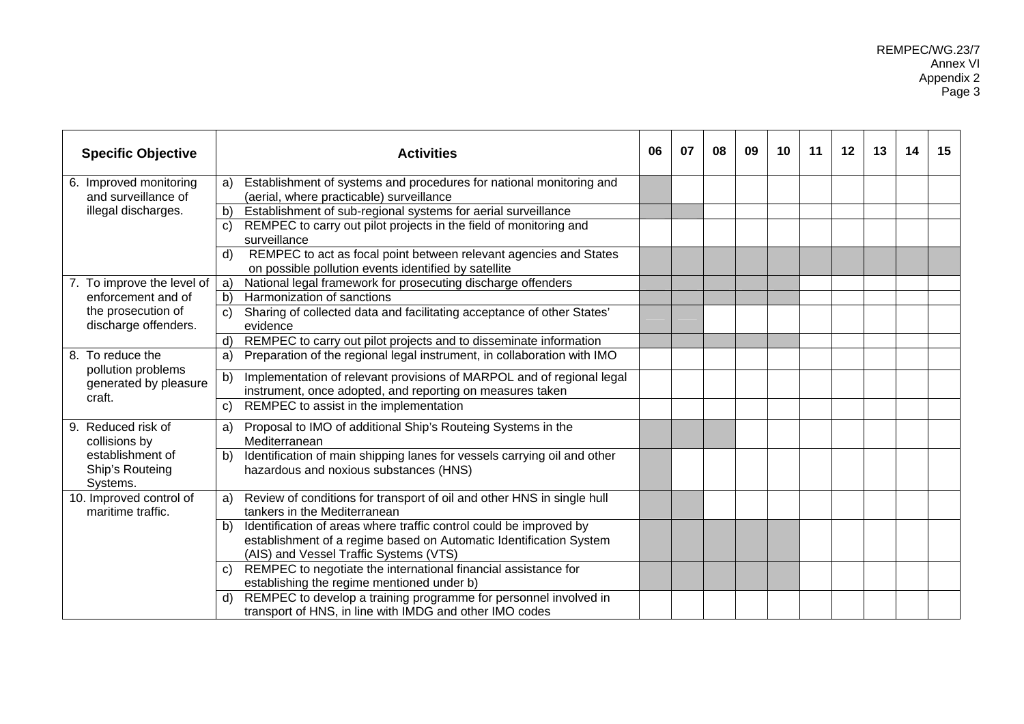| <b>Specific Objective</b>                       | <b>Activities</b>                                                                                                                                                                        | 06 | 07 | 08 | 09 | 10 | 11 | 12 | 13 | 14 | 15 |
|-------------------------------------------------|------------------------------------------------------------------------------------------------------------------------------------------------------------------------------------------|----|----|----|----|----|----|----|----|----|----|
| 6. Improved monitoring<br>and surveillance of   | Establishment of systems and procedures for national monitoring and<br>a)<br>(aerial, where practicable) surveillance                                                                    |    |    |    |    |    |    |    |    |    |    |
| illegal discharges.                             | Establishment of sub-regional systems for aerial surveillance<br>b)                                                                                                                      |    |    |    |    |    |    |    |    |    |    |
|                                                 | REMPEC to carry out pilot projects in the field of monitoring and<br>$\mathbf{C}$<br>surveillance                                                                                        |    |    |    |    |    |    |    |    |    |    |
|                                                 | REMPEC to act as focal point between relevant agencies and States<br>d)<br>on possible pollution events identified by satellite                                                          |    |    |    |    |    |    |    |    |    |    |
| 7. To improve the level of                      | National legal framework for prosecuting discharge offenders<br>a)                                                                                                                       |    |    |    |    |    |    |    |    |    |    |
| enforcement and of                              | Harmonization of sanctions<br>b)                                                                                                                                                         |    |    |    |    |    |    |    |    |    |    |
| the prosecution of<br>discharge offenders.      | Sharing of collected data and facilitating acceptance of other States'<br>C)<br>evidence                                                                                                 |    |    |    |    |    |    |    |    |    |    |
|                                                 | REMPEC to carry out pilot projects and to disseminate information<br>d)                                                                                                                  |    |    |    |    |    |    |    |    |    |    |
| 8. To reduce the<br>pollution problems          | Preparation of the regional legal instrument, in collaboration with IMO<br>a)                                                                                                            |    |    |    |    |    |    |    |    |    |    |
| generated by pleasure<br>craft.                 | Implementation of relevant provisions of MARPOL and of regional legal<br>b)<br>instrument, once adopted, and reporting on measures taken                                                 |    |    |    |    |    |    |    |    |    |    |
|                                                 | REMPEC to assist in the implementation<br>$\mathsf{C}$                                                                                                                                   |    |    |    |    |    |    |    |    |    |    |
| 9. Reduced risk of<br>collisions by             | Proposal to IMO of additional Ship's Routeing Systems in the<br>a)<br>Mediterranean                                                                                                      |    |    |    |    |    |    |    |    |    |    |
| establishment of<br>Ship's Routeing<br>Systems. | Identification of main shipping lanes for vessels carrying oil and other<br>b)<br>hazardous and noxious substances (HNS)                                                                 |    |    |    |    |    |    |    |    |    |    |
| 10. Improved control of<br>maritime traffic.    | Review of conditions for transport of oil and other HNS in single hull<br>a)<br>tankers in the Mediterranean                                                                             |    |    |    |    |    |    |    |    |    |    |
|                                                 | Identification of areas where traffic control could be improved by<br>b)<br>establishment of a regime based on Automatic Identification System<br>(AIS) and Vessel Traffic Systems (VTS) |    |    |    |    |    |    |    |    |    |    |
|                                                 | REMPEC to negotiate the international financial assistance for<br>C)<br>establishing the regime mentioned under b)                                                                       |    |    |    |    |    |    |    |    |    |    |
|                                                 | REMPEC to develop a training programme for personnel involved in<br>d)<br>transport of HNS, in line with IMDG and other IMO codes                                                        |    |    |    |    |    |    |    |    |    |    |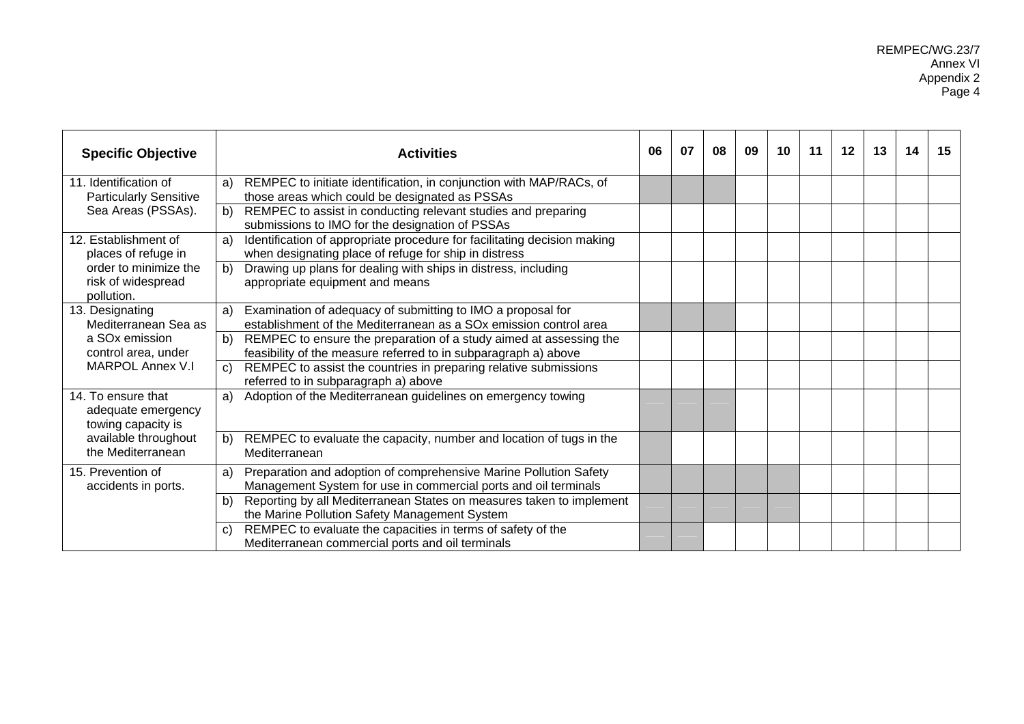| <b>Specific Objective</b>                                                    | <b>Activities</b>                                                                                                                                  | 06 | 07 | 08 | 09 | 10 | 11 | 12 | 13 | 14 | 15 |
|------------------------------------------------------------------------------|----------------------------------------------------------------------------------------------------------------------------------------------------|----|----|----|----|----|----|----|----|----|----|
| 11. Identification of<br><b>Particularly Sensitive</b><br>Sea Areas (PSSAs). | REMPEC to initiate identification, in conjunction with MAP/RACs, of<br>a)<br>those areas which could be designated as PSSAs                        |    |    |    |    |    |    |    |    |    |    |
|                                                                              | b) REMPEC to assist in conducting relevant studies and preparing<br>submissions to IMO for the designation of PSSAs                                |    |    |    |    |    |    |    |    |    |    |
| 12. Establishment of<br>places of refuge in                                  | Identification of appropriate procedure for facilitating decision making<br>a)<br>when designating place of refuge for ship in distress            |    |    |    |    |    |    |    |    |    |    |
| order to minimize the<br>risk of widespread<br>pollution.                    | b)<br>Drawing up plans for dealing with ships in distress, including<br>appropriate equipment and means                                            |    |    |    |    |    |    |    |    |    |    |
| 13. Designating<br>Mediterranean Sea as                                      | Examination of adequacy of submitting to IMO a proposal for<br>a)<br>establishment of the Mediterranean as a SO <sub>x</sub> emission control area |    |    |    |    |    |    |    |    |    |    |
| a SO <sub>x</sub> emission<br>control area, under                            | REMPEC to ensure the preparation of a study aimed at assessing the<br>b)<br>feasibility of the measure referred to in subparagraph a) above        |    |    |    |    |    |    |    |    |    |    |
| <b>MARPOL Annex V.I</b>                                                      | REMPEC to assist the countries in preparing relative submissions<br>C)<br>referred to in subparagraph a) above                                     |    |    |    |    |    |    |    |    |    |    |
| 14. To ensure that<br>adequate emergency<br>towing capacity is               | a) Adoption of the Mediterranean guidelines on emergency towing                                                                                    |    |    |    |    |    |    |    |    |    |    |
| available throughout<br>the Mediterranean                                    | REMPEC to evaluate the capacity, number and location of tugs in the<br>b)<br>Mediterranean                                                         |    |    |    |    |    |    |    |    |    |    |
| 15. Prevention of<br>accidents in ports.                                     | Preparation and adoption of comprehensive Marine Pollution Safety<br>a)<br>Management System for use in commercial ports and oil terminals         |    |    |    |    |    |    |    |    |    |    |
|                                                                              | Reporting by all Mediterranean States on measures taken to implement<br>b)<br>the Marine Pollution Safety Management System                        |    |    |    |    |    |    |    |    |    |    |
|                                                                              | REMPEC to evaluate the capacities in terms of safety of the<br>C)<br>Mediterranean commercial ports and oil terminals                              |    |    |    |    |    |    |    |    |    |    |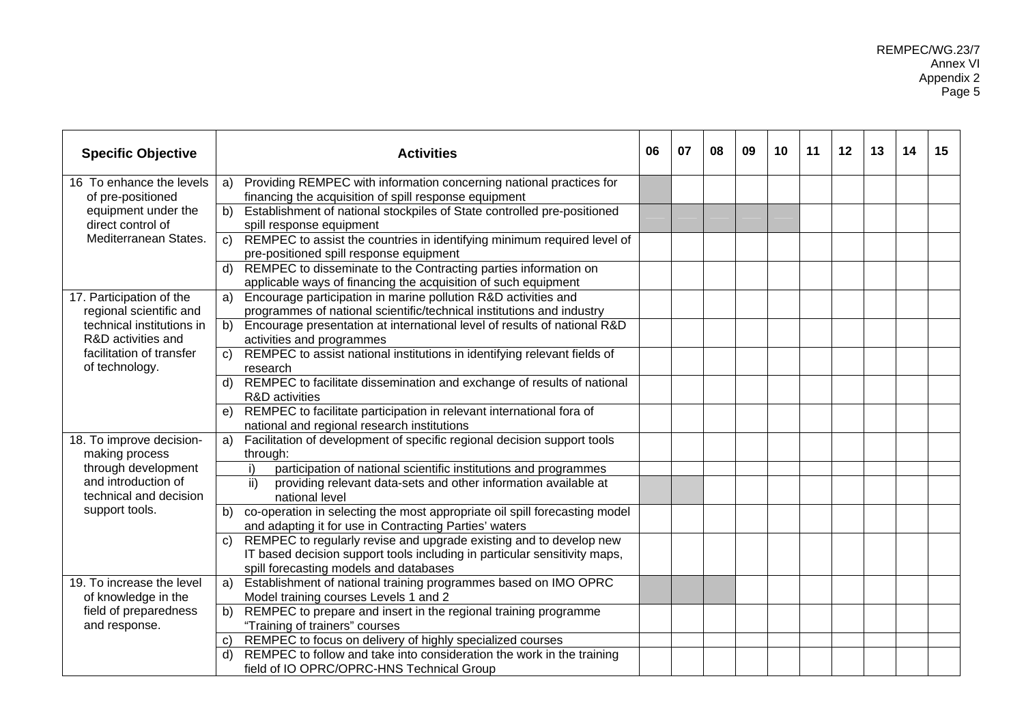| <b>Specific Objective</b>                                         | <b>Activities</b>                                                                                                                                                                               | 06 | 07 | 08 | 09 | 10 | 11 | 12 | 13 | 14 | 15 |
|-------------------------------------------------------------------|-------------------------------------------------------------------------------------------------------------------------------------------------------------------------------------------------|----|----|----|----|----|----|----|----|----|----|
| 16 To enhance the levels<br>of pre-positioned                     | Providing REMPEC with information concerning national practices for<br>a)<br>financing the acquisition of spill response equipment                                                              |    |    |    |    |    |    |    |    |    |    |
| equipment under the<br>direct control of<br>Mediterranean States. | Establishment of national stockpiles of State controlled pre-positioned<br>b)<br>spill response equipment                                                                                       |    |    |    |    |    |    |    |    |    |    |
|                                                                   | REMPEC to assist the countries in identifying minimum required level of<br>C)<br>pre-positioned spill response equipment                                                                        |    |    |    |    |    |    |    |    |    |    |
|                                                                   | REMPEC to disseminate to the Contracting parties information on<br>applicable ways of financing the acquisition of such equipment                                                               |    |    |    |    |    |    |    |    |    |    |
| 17. Participation of the<br>regional scientific and               | Encourage participation in marine pollution R&D activities and<br>a)<br>programmes of national scientific/technical institutions and industry                                                   |    |    |    |    |    |    |    |    |    |    |
| technical institutions in<br>R&D activities and                   | Encourage presentation at international level of results of national R&D<br>b)<br>activities and programmes                                                                                     |    |    |    |    |    |    |    |    |    |    |
| facilitation of transfer<br>of technology.                        | REMPEC to assist national institutions in identifying relevant fields of<br>C)<br>research                                                                                                      |    |    |    |    |    |    |    |    |    |    |
|                                                                   | REMPEC to facilitate dissemination and exchange of results of national<br>d)<br>R&D activities                                                                                                  |    |    |    |    |    |    |    |    |    |    |
|                                                                   | REMPEC to facilitate participation in relevant international fora of<br>e)<br>national and regional research institutions                                                                       |    |    |    |    |    |    |    |    |    |    |
| 18. To improve decision-<br>making process                        | Facilitation of development of specific regional decision support tools<br>a)<br>through:                                                                                                       |    |    |    |    |    |    |    |    |    |    |
| through development                                               | participation of national scientific institutions and programmes<br>i)                                                                                                                          |    |    |    |    |    |    |    |    |    |    |
| and introduction of<br>technical and decision                     | providing relevant data-sets and other information available at<br>ii)<br>national level                                                                                                        |    |    |    |    |    |    |    |    |    |    |
| support tools.                                                    | co-operation in selecting the most appropriate oil spill forecasting model<br>b)<br>and adapting it for use in Contracting Parties' waters                                                      |    |    |    |    |    |    |    |    |    |    |
|                                                                   | REMPEC to regularly revise and upgrade existing and to develop new<br>C)<br>IT based decision support tools including in particular sensitivity maps,<br>spill forecasting models and databases |    |    |    |    |    |    |    |    |    |    |
| 19. To increase the level<br>of knowledge in the                  | Establishment of national training programmes based on IMO OPRC<br>a)<br>Model training courses Levels 1 and 2                                                                                  |    |    |    |    |    |    |    |    |    |    |
| field of preparedness<br>and response.                            | REMPEC to prepare and insert in the regional training programme<br>b)<br>"Training of trainers" courses                                                                                         |    |    |    |    |    |    |    |    |    |    |
|                                                                   | REMPEC to focus on delivery of highly specialized courses<br>$\mathbf{C}$                                                                                                                       |    |    |    |    |    |    |    |    |    |    |
|                                                                   | REMPEC to follow and take into consideration the work in the training<br>d)<br>field of IO OPRC/OPRC-HNS Technical Group                                                                        |    |    |    |    |    |    |    |    |    |    |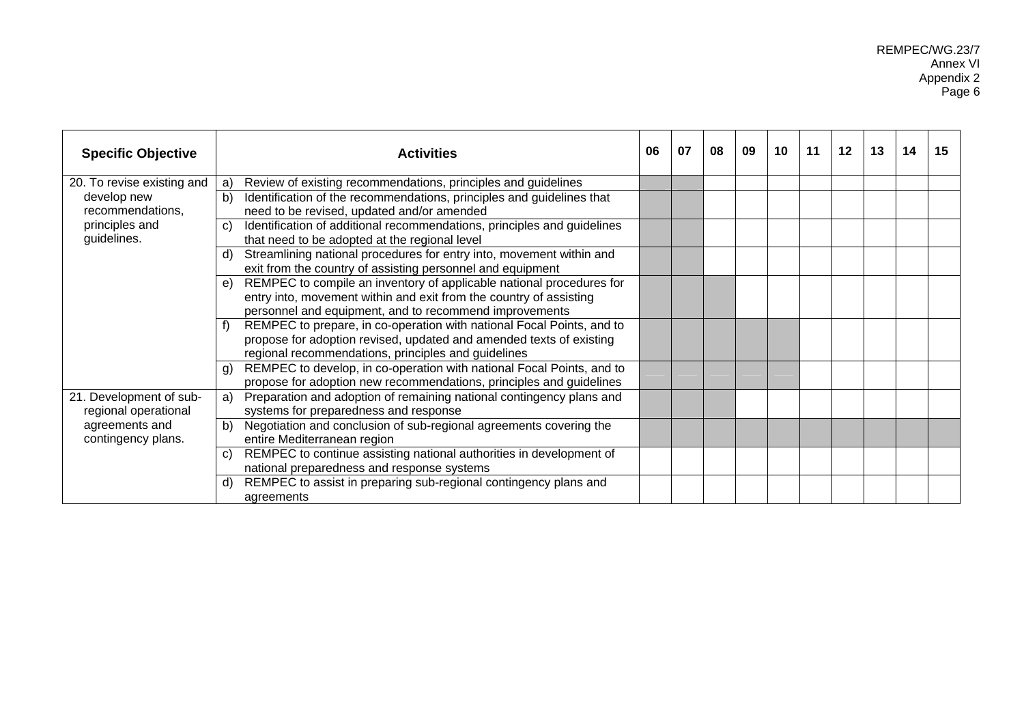REMPEC/WG.23/7 Annex VI Appendix 2 Page 6

| <b>Specific Objective</b>                                                               | <b>Activities</b>                                                                                                                                                                                         | 06 | 07 | 08 | 09 | 10 | 11 | 12 | 13 | 14 | 15 |
|-----------------------------------------------------------------------------------------|-----------------------------------------------------------------------------------------------------------------------------------------------------------------------------------------------------------|----|----|----|----|----|----|----|----|----|----|
| 20. To revise existing and                                                              | Review of existing recommendations, principles and guidelines<br>a)                                                                                                                                       |    |    |    |    |    |    |    |    |    |    |
| develop new<br>recommendations,                                                         | Identification of the recommendations, principles and guidelines that<br>b)<br>need to be revised, updated and/or amended                                                                                 |    |    |    |    |    |    |    |    |    |    |
| principles and                                                                          | Identification of additional recommendations, principles and guidelines<br>C)                                                                                                                             |    |    |    |    |    |    |    |    |    |    |
| guidelines.                                                                             | that need to be adopted at the regional level                                                                                                                                                             |    |    |    |    |    |    |    |    |    |    |
|                                                                                         | Streamlining national procedures for entry into, movement within and<br>d)<br>exit from the country of assisting personnel and equipment                                                                  |    |    |    |    |    |    |    |    |    |    |
|                                                                                         | REMPEC to compile an inventory of applicable national procedures for<br>e)<br>entry into, movement within and exit from the country of assisting                                                          |    |    |    |    |    |    |    |    |    |    |
|                                                                                         | personnel and equipment, and to recommend improvements                                                                                                                                                    |    |    |    |    |    |    |    |    |    |    |
|                                                                                         | REMPEC to prepare, in co-operation with national Focal Points, and to<br>f)<br>propose for adoption revised, updated and amended texts of existing<br>regional recommendations, principles and guidelines |    |    |    |    |    |    |    |    |    |    |
|                                                                                         | REMPEC to develop, in co-operation with national Focal Points, and to<br>g)<br>propose for adoption new recommendations, principles and guidelines                                                        |    |    |    |    |    |    |    |    |    |    |
| 21. Development of sub-<br>regional operational<br>agreements and<br>contingency plans. | a) Preparation and adoption of remaining national contingency plans and<br>systems for preparedness and response                                                                                          |    |    |    |    |    |    |    |    |    |    |
|                                                                                         | Negotiation and conclusion of sub-regional agreements covering the<br>b)<br>entire Mediterranean region                                                                                                   |    |    |    |    |    |    |    |    |    |    |
|                                                                                         | REMPEC to continue assisting national authorities in development of<br>C)<br>national preparedness and response systems                                                                                   |    |    |    |    |    |    |    |    |    |    |
|                                                                                         | REMPEC to assist in preparing sub-regional contingency plans and<br>d)<br>agreements                                                                                                                      |    |    |    |    |    |    |    |    |    |    |